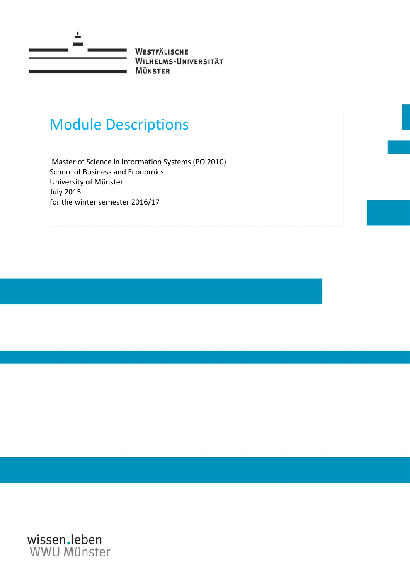

# Module Descriptions

Master of Science in Information Systems (PO 2010) School of Business and Economics University of Münster July 2015 for the winter semester 2016/17

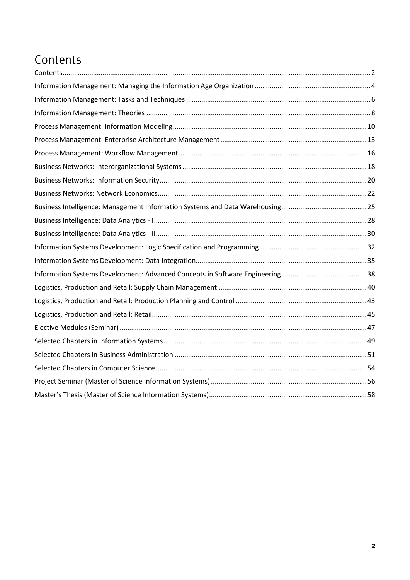## <span id="page-1-0"></span>Contents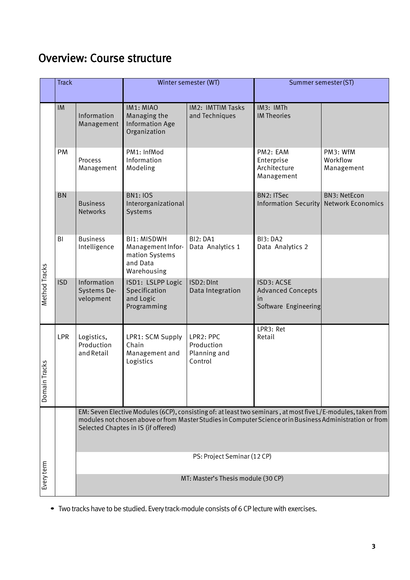### Overview: Course structure

|                   | <b>Track</b> |                                         |                                                                                      | Winter semester (WT)                               | Summer semester (ST)                                                                                                                                                                                                      |                                                 |
|-------------------|--------------|-----------------------------------------|--------------------------------------------------------------------------------------|----------------------------------------------------|---------------------------------------------------------------------------------------------------------------------------------------------------------------------------------------------------------------------------|-------------------------------------------------|
|                   | IM           | Information<br>Management               | IM1: MIAO<br>Managing the<br><b>Information Age</b><br>Organization                  | IM2: IMTTIM Tasks<br>and Techniques                | IM3: IMTh<br><b>IM Theories</b>                                                                                                                                                                                           |                                                 |
|                   | PM           | Process<br>Management                   | PM1: InfMod<br>Information<br>Modeling                                               |                                                    | PM2: EAM<br>Enterprise<br>Architecture<br>Management                                                                                                                                                                      | PM3: WfM<br>Workflow<br>Management              |
|                   | <b>BN</b>    | <b>Business</b><br><b>Networks</b>      | <b>BN1: IOS</b><br>Interorganizational<br>Systems                                    |                                                    | <b>BN2: ITSec</b><br><b>Information Security</b>                                                                                                                                                                          | <b>BN3: NetEcon</b><br><b>Network Economics</b> |
|                   | BI           | <b>Business</b><br>Intelligence         | <b>BI1: MISDWH</b><br>Management Infor-<br>mation Systems<br>and Data<br>Warehousing | <b>BI2: DA1</b><br>Data Analytics 1                | <b>BI3: DA2</b><br>Data Analytics 2                                                                                                                                                                                       |                                                 |
| Method Tracks     | <b>ISD</b>   | Information<br>Systems De-<br>velopment | ISD1: LSLPP Logic<br>Specification<br>and Logic<br>Programming                       | ISD2: DInt<br>Data Integration                     | ISD3: ACSE<br><b>Advanced Concepts</b><br>in<br>Software Engineering                                                                                                                                                      |                                                 |
| n Tracks<br>Domai | <b>LPR</b>   | Logistics,<br>Production<br>and Retail  | LPR1: SCM Supply<br>Chain<br>Management and<br>Logistics                             | LPR2: PPC<br>Production<br>Planning and<br>Control | LPR3: Ret<br>Retail                                                                                                                                                                                                       |                                                 |
|                   |              |                                         | Selected Chaptes in IS (if offered)                                                  |                                                    | EM: Seven Elective Modules (6CP), consisting of: at least two seminars, at most five L/E-modules, taken from<br>modules not chosen above or from Master Studies in Computer Science or in Business Administration or from |                                                 |
|                   |              |                                         |                                                                                      | PS: Project Seminar (12 CP)                        |                                                                                                                                                                                                                           |                                                 |
| Every term        |              |                                         |                                                                                      | MT: Master's Thesis module (30 CP)                 |                                                                                                                                                                                                                           |                                                 |

*•* Two tracks have to be studied. Every track-module consists of 6 CP lecture with exercises.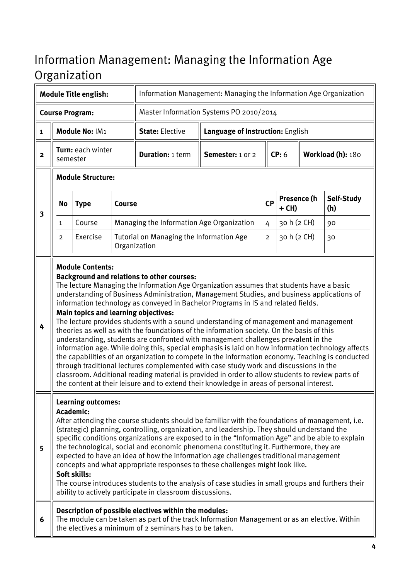# <span id="page-3-0"></span>Information Management: Managing the Information Age **Organization**

| <b>Module Title english:</b> |          |                                                        |               | Information Management: Managing the Information Age Organization                                                                                                                                                                                                                                                                                                                                                                                                                                                                                                                                                                                                                                                                                                                                                                                                                                                                                                                                                                                                                                                                                       |                                         |                |                        |                   |                   |
|------------------------------|----------|--------------------------------------------------------|---------------|---------------------------------------------------------------------------------------------------------------------------------------------------------------------------------------------------------------------------------------------------------------------------------------------------------------------------------------------------------------------------------------------------------------------------------------------------------------------------------------------------------------------------------------------------------------------------------------------------------------------------------------------------------------------------------------------------------------------------------------------------------------------------------------------------------------------------------------------------------------------------------------------------------------------------------------------------------------------------------------------------------------------------------------------------------------------------------------------------------------------------------------------------------|-----------------------------------------|----------------|------------------------|-------------------|-------------------|
|                              |          | <b>Course Program:</b>                                 |               |                                                                                                                                                                                                                                                                                                                                                                                                                                                                                                                                                                                                                                                                                                                                                                                                                                                                                                                                                                                                                                                                                                                                                         | Master Information Systems PO 2010/2014 |                |                        |                   |                   |
| $\mathbf{1}$                 |          | Module No: IM1                                         |               | <b>State: Elective</b>                                                                                                                                                                                                                                                                                                                                                                                                                                                                                                                                                                                                                                                                                                                                                                                                                                                                                                                                                                                                                                                                                                                                  | Language of Instruction: English        |                |                        |                   |                   |
| $\mathbf{2}$                 | semester | Turn: each winter                                      |               | <b>Duration: 1 term</b>                                                                                                                                                                                                                                                                                                                                                                                                                                                                                                                                                                                                                                                                                                                                                                                                                                                                                                                                                                                                                                                                                                                                 | Semester: 1 or 2                        | CP: 6          |                        | Workload (h): 180 |                   |
|                              |          | <b>Module Structure:</b>                               |               |                                                                                                                                                                                                                                                                                                                                                                                                                                                                                                                                                                                                                                                                                                                                                                                                                                                                                                                                                                                                                                                                                                                                                         |                                         |                |                        |                   |                   |
| $\overline{\mathbf{3}}$      | No       | <b>Type</b>                                            | <b>Course</b> |                                                                                                                                                                                                                                                                                                                                                                                                                                                                                                                                                                                                                                                                                                                                                                                                                                                                                                                                                                                                                                                                                                                                                         |                                         | <b>CP</b>      | Presence (h<br>$+$ CH) |                   | Self-Study<br>(h) |
|                              | 1        | Course                                                 |               | Managing the Information Age Organization                                                                                                                                                                                                                                                                                                                                                                                                                                                                                                                                                                                                                                                                                                                                                                                                                                                                                                                                                                                                                                                                                                               |                                         | 4              | 30 h (2 CH)            |                   | 90                |
|                              | 2        | Exercise                                               |               | Tutorial on Managing the Information Age<br>Organization                                                                                                                                                                                                                                                                                                                                                                                                                                                                                                                                                                                                                                                                                                                                                                                                                                                                                                                                                                                                                                                                                                |                                         | $\overline{c}$ | 30 h (2 CH)            |                   | 30                |
| 4                            |          |                                                        |               | <b>Background and relations to other courses:</b><br>The lecture Managing the Information Age Organization assumes that students have a basic<br>understanding of Business Administration, Management Studies, and business applications of<br>information technology as conveyed in Bachelor Programs in IS and related fields.<br>Main topics and learning objectives:<br>The lecture provides students with a sound understanding of management and management<br>theories as well as with the foundations of the information society. On the basis of this<br>understanding, students are confronted with management challenges prevalent in the<br>information age. While doing this, special emphasis is laid on how information technology affects<br>the capabilities of an organization to compete in the information economy. Teaching is conducted<br>through traditional lectures complemented with case study work and discussions in the<br>classroom. Additional reading material is provided in order to allow students to review parts of<br>the content at their leisure and to extend their knowledge in areas of personal interest. |                                         |                |                        |                   |                   |
| 5                            |          | <b>Learning outcomes:</b><br>Academic:<br>Soft skills: |               | After attending the course students should be familiar with the foundations of management, i.e.<br>(strategic) planning, controlling, organization, and leadership. They should understand the<br>specific conditions organizations are exposed to in the "Information Age" and be able to explain<br>the technological, social and economic phenomena constituting it. Furthermore, they are<br>expected to have an idea of how the information age challenges traditional management<br>concepts and what appropriate responses to these challenges might look like.<br>The course introduces students to the analysis of case studies in small groups and furthers their<br>ability to actively participate in classroom discussions.                                                                                                                                                                                                                                                                                                                                                                                                                |                                         |                |                        |                   |                   |
| 6                            |          |                                                        |               | Description of possible electives within the modules:<br>The module can be taken as part of the track Information Management or as an elective. Within<br>the electives a minimum of 2 seminars has to be taken.                                                                                                                                                                                                                                                                                                                                                                                                                                                                                                                                                                                                                                                                                                                                                                                                                                                                                                                                        |                                         |                |                        |                   |                   |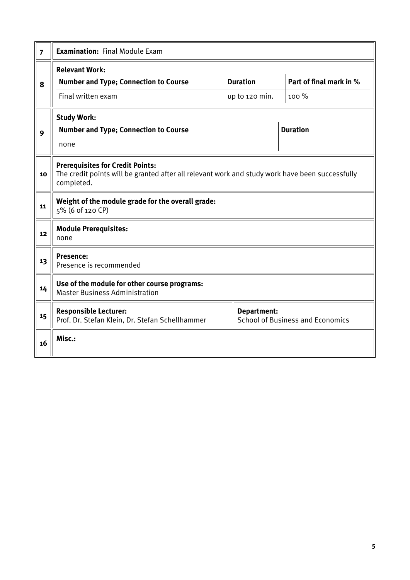| $\overline{7}$ | <b>Examination: Final Module Exam</b>                                                                                                                    |                                   |                                         |
|----------------|----------------------------------------------------------------------------------------------------------------------------------------------------------|-----------------------------------|-----------------------------------------|
| 8              | <b>Relevant Work:</b><br><b>Number and Type; Connection to Course</b><br>Final written exam                                                              | <b>Duration</b><br>up to 120 min. | Part of final mark in %<br>100 %        |
| 9              | <b>Study Work:</b><br><b>Number and Type; Connection to Course</b>                                                                                       |                                   | <b>Duration</b>                         |
|                | none                                                                                                                                                     |                                   |                                         |
| 10             | <b>Prerequisites for Credit Points:</b><br>The credit points will be granted after all relevant work and study work have been successfully<br>completed. |                                   |                                         |
| 11             | Weight of the module grade for the overall grade:<br>5% (6 of 120 CP)                                                                                    |                                   |                                         |
| 12             | <b>Module Prerequisites:</b><br>none                                                                                                                     |                                   |                                         |
| 13             | <b>Presence:</b><br>Presence is recommended                                                                                                              |                                   |                                         |
| 14             | Use of the module for other course programs:<br><b>Master Business Administration</b>                                                                    |                                   |                                         |
| 15             | <b>Responsible Lecturer:</b><br>Prof. Dr. Stefan Klein, Dr. Stefan Schellhammer                                                                          | <b>Department:</b>                | <b>School of Business and Economics</b> |
| 16             | Misc.:                                                                                                                                                   |                                   |                                         |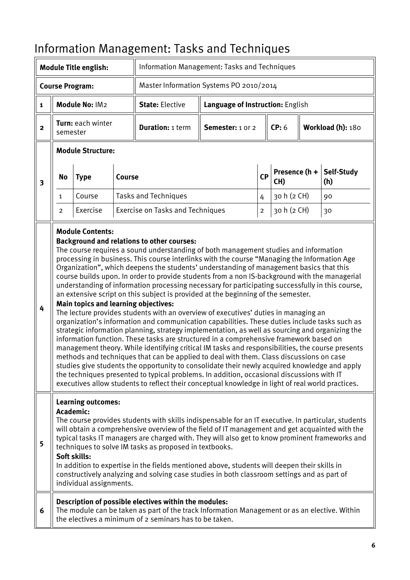|                         |                | <b>Module Title english:</b>                                           |               | Information Management: Tasks and Techniques                                                                                                                                                                                                                                                                                                                                                                                                                                                                                                                                                                                                                                                                                                                                                                                                                                                                                                                                                                                                                                                                                                                                                                                                                                                                                                                                                                                                                                                                          |                                  |             |                      |                   |
|-------------------------|----------------|------------------------------------------------------------------------|---------------|-----------------------------------------------------------------------------------------------------------------------------------------------------------------------------------------------------------------------------------------------------------------------------------------------------------------------------------------------------------------------------------------------------------------------------------------------------------------------------------------------------------------------------------------------------------------------------------------------------------------------------------------------------------------------------------------------------------------------------------------------------------------------------------------------------------------------------------------------------------------------------------------------------------------------------------------------------------------------------------------------------------------------------------------------------------------------------------------------------------------------------------------------------------------------------------------------------------------------------------------------------------------------------------------------------------------------------------------------------------------------------------------------------------------------------------------------------------------------------------------------------------------------|----------------------------------|-------------|----------------------|-------------------|
|                         |                | <b>Course Program:</b>                                                 |               | Master Information Systems PO 2010/2014                                                                                                                                                                                                                                                                                                                                                                                                                                                                                                                                                                                                                                                                                                                                                                                                                                                                                                                                                                                                                                                                                                                                                                                                                                                                                                                                                                                                                                                                               |                                  |             |                      |                   |
| $\mathbf{1}$            |                | Module No: IM2                                                         |               | <b>State: Elective</b>                                                                                                                                                                                                                                                                                                                                                                                                                                                                                                                                                                                                                                                                                                                                                                                                                                                                                                                                                                                                                                                                                                                                                                                                                                                                                                                                                                                                                                                                                                | Language of Instruction: English |             |                      |                   |
| $\mathbf{2}$            | semester       | Turn: each winter                                                      |               | <b>Duration: 1 term</b>                                                                                                                                                                                                                                                                                                                                                                                                                                                                                                                                                                                                                                                                                                                                                                                                                                                                                                                                                                                                                                                                                                                                                                                                                                                                                                                                                                                                                                                                                               | Semester: 1 or 2                 |             | CP: 6                | Workload (h): 180 |
|                         |                | <b>Module Structure:</b>                                               |               |                                                                                                                                                                                                                                                                                                                                                                                                                                                                                                                                                                                                                                                                                                                                                                                                                                                                                                                                                                                                                                                                                                                                                                                                                                                                                                                                                                                                                                                                                                                       |                                  |             |                      |                   |
| $\overline{\mathbf{3}}$ | <b>No</b>      | <b>Type</b>                                                            | <b>Course</b> |                                                                                                                                                                                                                                                                                                                                                                                                                                                                                                                                                                                                                                                                                                                                                                                                                                                                                                                                                                                                                                                                                                                                                                                                                                                                                                                                                                                                                                                                                                                       |                                  | CP          | Presence (h +<br>CH) | Self-Study<br>(h) |
|                         | 1              | Course                                                                 |               | <b>Tasks and Techniques</b>                                                                                                                                                                                                                                                                                                                                                                                                                                                                                                                                                                                                                                                                                                                                                                                                                                                                                                                                                                                                                                                                                                                                                                                                                                                                                                                                                                                                                                                                                           |                                  | 4           | 30 h (2 CH)          | 90                |
|                         | $\overline{2}$ | Exercise                                                               |               | <b>Exercise on Tasks and Techniques</b>                                                                                                                                                                                                                                                                                                                                                                                                                                                                                                                                                                                                                                                                                                                                                                                                                                                                                                                                                                                                                                                                                                                                                                                                                                                                                                                                                                                                                                                                               |                                  | $\mathbf 2$ | 30 h (2 CH)          | 30                |
| 4                       |                | <b>Module Contents:</b><br><b>Main topics and learning objectives:</b> |               | <b>Background and relations to other courses:</b><br>The course requires a sound understanding of both management studies and information<br>processing in business. This course interlinks with the course "Managing the Information Age<br>Organization", which deepens the students' understanding of management basics that this<br>course builds upon. In order to provide students from a non IS-background with the managerial<br>understanding of information processing necessary for participating successfully in this course,<br>an extensive script on this subject is provided at the beginning of the semester.<br>The lecture provides students with an overview of executives' duties in managing an<br>organization's information and communication capabilities. These duties include tasks such as<br>strategic information planning, strategy implementation, as well as sourcing and organizing the<br>information function. These tasks are structured in a comprehensive framework based on<br>management theory. While identifying critical IM tasks and responsibilities, the course presents<br>methods and techniques that can be applied to deal with them. Class discussions on case<br>studies give students the opportunity to consolidate their newly acquired knowledge and apply<br>the techniques presented to typical problems. In addition, occasional discussions with IT<br>executives allow students to reflect their conceptual knowledge in light of real world practices. |                                  |             |                      |                   |
| 5                       | Academic:      | <b>Learning outcomes:</b><br>Soft skills:<br>individual assignments.   |               | The course provides students with skills indispensable for an IT executive. In particular, students<br>will obtain a comprehensive overview of the field of IT management and get acquainted with the<br>typical tasks IT managers are charged with. They will also get to know prominent frameworks and<br>techniques to solve IM tasks as proposed in textbooks.<br>In addition to expertise in the fields mentioned above, students will deepen their skills in<br>constructively analyzing and solving case studies in both classroom settings and as part of                                                                                                                                                                                                                                                                                                                                                                                                                                                                                                                                                                                                                                                                                                                                                                                                                                                                                                                                                     |                                  |             |                      |                   |
| 6                       |                |                                                                        |               | Description of possible electives within the modules:<br>The module can be taken as part of the track Information Management or as an elective. Within<br>the electives a minimum of 2 seminars has to be taken.                                                                                                                                                                                                                                                                                                                                                                                                                                                                                                                                                                                                                                                                                                                                                                                                                                                                                                                                                                                                                                                                                                                                                                                                                                                                                                      |                                  |             |                      |                   |

# <span id="page-5-0"></span>Information Management: Tasks and Techniques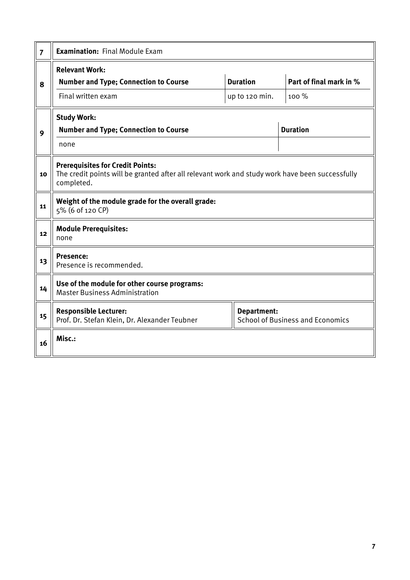| $\overline{7}$ | <b>Examination: Final Module Exam</b>                                                                                                                    |                                   |                                         |
|----------------|----------------------------------------------------------------------------------------------------------------------------------------------------------|-----------------------------------|-----------------------------------------|
| 8              | <b>Relevant Work:</b><br><b>Number and Type; Connection to Course</b><br>Final written exam                                                              | <b>Duration</b><br>up to 120 min. | Part of final mark in %<br>100 %        |
| 9              | <b>Study Work:</b><br><b>Number and Type; Connection to Course</b><br>none                                                                               |                                   | <b>Duration</b>                         |
| 10             | <b>Prerequisites for Credit Points:</b><br>The credit points will be granted after all relevant work and study work have been successfully<br>completed. |                                   |                                         |
| 11             | Weight of the module grade for the overall grade:<br>5% (6 of 120 CP)                                                                                    |                                   |                                         |
| 12             | <b>Module Prerequisites:</b><br>none                                                                                                                     |                                   |                                         |
| 13             | <b>Presence:</b><br>Presence is recommended.                                                                                                             |                                   |                                         |
| 14             | Use of the module for other course programs:<br><b>Master Business Administration</b>                                                                    |                                   |                                         |
| 15             | <b>Responsible Lecturer:</b><br>Prof. Dr. Stefan Klein, Dr. Alexander Teubner                                                                            | <b>Department:</b>                | <b>School of Business and Economics</b> |
| 16             | Misc.:                                                                                                                                                   |                                   |                                         |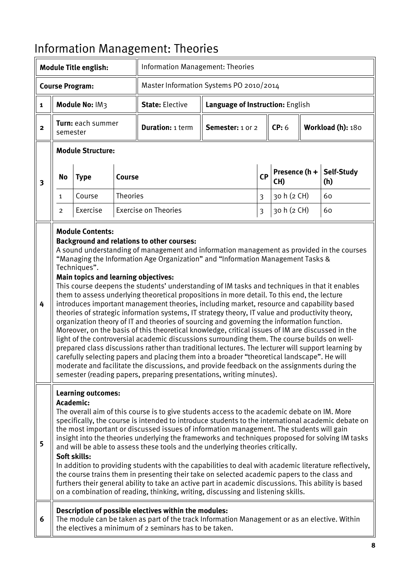|                         |              | <b>Module Title english:</b>                                                           |                 | <b>Information Management: Theories</b>                                                                                                                                                                                                                                                                                                                                                                                                                                                                                                                                                                                                                                                                                                                                                                                                                                                                                                                                                                                                                                                                                                                                                                                                                                                                          |                                  |                         |                      |                   |
|-------------------------|--------------|----------------------------------------------------------------------------------------|-----------------|------------------------------------------------------------------------------------------------------------------------------------------------------------------------------------------------------------------------------------------------------------------------------------------------------------------------------------------------------------------------------------------------------------------------------------------------------------------------------------------------------------------------------------------------------------------------------------------------------------------------------------------------------------------------------------------------------------------------------------------------------------------------------------------------------------------------------------------------------------------------------------------------------------------------------------------------------------------------------------------------------------------------------------------------------------------------------------------------------------------------------------------------------------------------------------------------------------------------------------------------------------------------------------------------------------------|----------------------------------|-------------------------|----------------------|-------------------|
|                         |              | <b>Course Program:</b>                                                                 |                 | Master Information Systems PO 2010/2014                                                                                                                                                                                                                                                                                                                                                                                                                                                                                                                                                                                                                                                                                                                                                                                                                                                                                                                                                                                                                                                                                                                                                                                                                                                                          |                                  |                         |                      |                   |
| $\mathbf 1$             |              | Module No: IM3                                                                         |                 | <b>State: Elective</b>                                                                                                                                                                                                                                                                                                                                                                                                                                                                                                                                                                                                                                                                                                                                                                                                                                                                                                                                                                                                                                                                                                                                                                                                                                                                                           | Language of Instruction: English |                         |                      |                   |
| $\mathbf{2}$            | semester     | Turn: each summer                                                                      |                 | <b>Duration: 1 term</b>                                                                                                                                                                                                                                                                                                                                                                                                                                                                                                                                                                                                                                                                                                                                                                                                                                                                                                                                                                                                                                                                                                                                                                                                                                                                                          | Semester: 1 or 2                 |                         | CP: 6                | Workload (h): 180 |
|                         |              | <b>Module Structure:</b>                                                               |                 |                                                                                                                                                                                                                                                                                                                                                                                                                                                                                                                                                                                                                                                                                                                                                                                                                                                                                                                                                                                                                                                                                                                                                                                                                                                                                                                  |                                  |                         |                      |                   |
| $\overline{\mathbf{3}}$ | <b>No</b>    | <b>Type</b>                                                                            | <b>Course</b>   |                                                                                                                                                                                                                                                                                                                                                                                                                                                                                                                                                                                                                                                                                                                                                                                                                                                                                                                                                                                                                                                                                                                                                                                                                                                                                                                  |                                  | CP                      | Presence (h +<br>CH) | Self-Study<br>(h) |
|                         | $\mathbf{1}$ | Course                                                                                 | <b>Theories</b> |                                                                                                                                                                                                                                                                                                                                                                                                                                                                                                                                                                                                                                                                                                                                                                                                                                                                                                                                                                                                                                                                                                                                                                                                                                                                                                                  |                                  | $\overline{3}$          | 30 h (2 CH)          | 60                |
|                         | 2            | Exercise                                                                               |                 | <b>Exercise on Theories</b>                                                                                                                                                                                                                                                                                                                                                                                                                                                                                                                                                                                                                                                                                                                                                                                                                                                                                                                                                                                                                                                                                                                                                                                                                                                                                      |                                  | $\overline{\mathbf{3}}$ | 30 h (2 CH)          | 60                |
| 4                       |              | <b>Module Contents:</b><br>Techniques".<br><b>Main topics and learning objectives:</b> |                 | <b>Background and relations to other courses:</b><br>A sound understanding of management and information management as provided in the courses<br>"Managing the Information Age Organization" and "Information Management Tasks &<br>This course deepens the students' understanding of IM tasks and techniques in that it enables<br>them to assess underlying theoretical propositions in more detail. To this end, the lecture<br>introduces important management theories, including market, resource and capability based<br>theories of strategic information systems, IT strategy theory, IT value and productivity theory,<br>organization theory of IT and theories of sourcing and governing the information function.<br>Moreover, on the basis of this theoretical knowledge, critical issues of IM are discussed in the<br>light of the controversial academic discussions surrounding them. The course builds on well-<br>prepared class discussions rather than traditional lectures. The lecturer will support learning by<br>carefully selecting papers and placing them into a broader "theoretical landscape". He will<br>moderate and facilitate the discussions, and provide feedback on the assignments during the<br>semester (reading papers, preparing presentations, writing minutes). |                                  |                         |                      |                   |
| 5                       | Academic:    | <b>Learning outcomes:</b><br>Soft skills:                                              |                 | The overall aim of this course is to give students access to the academic debate on IM. More<br>specifically, the course is intended to introduce students to the international academic debate on<br>the most important or discussed issues of information management. The students will gain<br>insight into the theories underlying the frameworks and techniques proposed for solving IM tasks<br>and will be able to assess these tools and the underlying theories critically.<br>In addition to providing students with the capabilities to deal with academic literature reflectively,<br>the course trains them in presenting their take on selected academic papers to the class and<br>furthers their general ability to take an active part in academic discussions. This ability is based<br>on a combination of reading, thinking, writing, discussing and listening skills.                                                                                                                                                                                                                                                                                                                                                                                                                       |                                  |                         |                      |                   |
| 6                       |              |                                                                                        |                 | Description of possible electives within the modules:<br>The module can be taken as part of the track Information Management or as an elective. Within<br>the electives a minimum of 2 seminars has to be taken.                                                                                                                                                                                                                                                                                                                                                                                                                                                                                                                                                                                                                                                                                                                                                                                                                                                                                                                                                                                                                                                                                                 |                                  |                         |                      |                   |

# <span id="page-7-0"></span>Information Management: Theories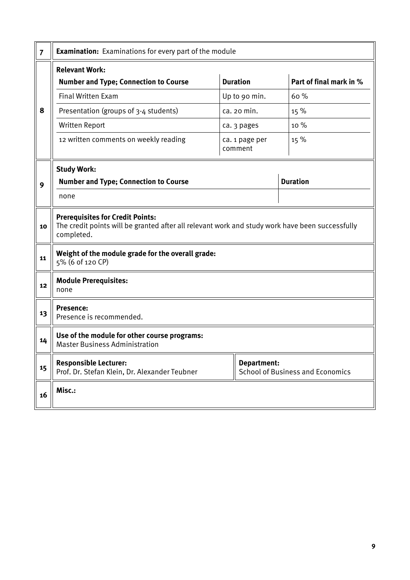| $\overline{7}$ | <b>Examination:</b> Examinations for every part of the module                                                                                            |                           |                                         |
|----------------|----------------------------------------------------------------------------------------------------------------------------------------------------------|---------------------------|-----------------------------------------|
|                | <b>Relevant Work:</b>                                                                                                                                    |                           |                                         |
|                | <b>Number and Type; Connection to Course</b>                                                                                                             | <b>Duration</b>           | Part of final mark in %                 |
|                | Final Written Exam                                                                                                                                       | Up to 90 min.             | 60%                                     |
| 8              | Presentation (groups of 3-4 students)                                                                                                                    | ca. 20 min.               | 15 %                                    |
|                | Written Report                                                                                                                                           | ca. 3 pages               | 10 %                                    |
|                | 12 written comments on weekly reading                                                                                                                    | ca. 1 page per<br>comment | 15 %                                    |
|                | <b>Study Work:</b>                                                                                                                                       |                           |                                         |
| 9              | <b>Number and Type; Connection to Course</b>                                                                                                             |                           | <b>Duration</b>                         |
|                | none                                                                                                                                                     |                           |                                         |
| 10             | <b>Prerequisites for Credit Points:</b><br>The credit points will be granted after all relevant work and study work have been successfully<br>completed. |                           |                                         |
| 11             | Weight of the module grade for the overall grade:<br>5% (6 of 120 CP)                                                                                    |                           |                                         |
| 12             | <b>Module Prerequisites:</b><br>none                                                                                                                     |                           |                                         |
| 13             | <b>Presence:</b><br>Presence is recommended.                                                                                                             |                           |                                         |
| 14             | Use of the module for other course programs:<br><b>Master Business Administration</b>                                                                    |                           |                                         |
| 15             | <b>Responsible Lecturer:</b><br>Prof. Dr. Stefan Klein, Dr. Alexander Teubner                                                                            | <b>Department:</b>        | <b>School of Business and Economics</b> |
| 16             | Misc.:                                                                                                                                                   |                           |                                         |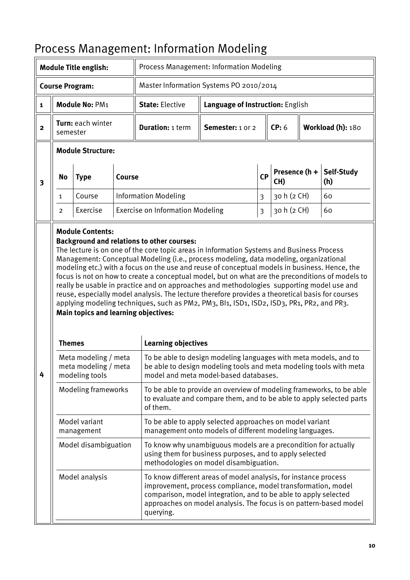|                         |                | <b>Module Title english:</b>                                   |        | Process Management: Information Modeling                                                                                                                                                                                                                                                                                                                                                                                                                                                                                                                                                                                                                                               |                                                                                                                                                                                                                                                                         |                         |                      |  |                          |
|-------------------------|----------------|----------------------------------------------------------------|--------|----------------------------------------------------------------------------------------------------------------------------------------------------------------------------------------------------------------------------------------------------------------------------------------------------------------------------------------------------------------------------------------------------------------------------------------------------------------------------------------------------------------------------------------------------------------------------------------------------------------------------------------------------------------------------------------|-------------------------------------------------------------------------------------------------------------------------------------------------------------------------------------------------------------------------------------------------------------------------|-------------------------|----------------------|--|--------------------------|
|                         |                | <b>Course Program:</b>                                         |        | Master Information Systems PO 2010/2014                                                                                                                                                                                                                                                                                                                                                                                                                                                                                                                                                                                                                                                |                                                                                                                                                                                                                                                                         |                         |                      |  |                          |
| $\mathbf{1}$            |                | Module No: PM1                                                 |        | <b>State: Elective</b>                                                                                                                                                                                                                                                                                                                                                                                                                                                                                                                                                                                                                                                                 | Language of Instruction: English                                                                                                                                                                                                                                        |                         |                      |  |                          |
| $\mathbf{2}$            | semester       | Turn: each winter                                              |        | <b>Duration: 1 term</b>                                                                                                                                                                                                                                                                                                                                                                                                                                                                                                                                                                                                                                                                | Semester: 1 or 2                                                                                                                                                                                                                                                        |                         | CP: 6                |  | Workload (h): 180        |
|                         |                | <b>Module Structure:</b>                                       |        |                                                                                                                                                                                                                                                                                                                                                                                                                                                                                                                                                                                                                                                                                        |                                                                                                                                                                                                                                                                         |                         |                      |  |                          |
| $\overline{\mathbf{3}}$ | <b>No</b>      | <b>Type</b>                                                    | Course |                                                                                                                                                                                                                                                                                                                                                                                                                                                                                                                                                                                                                                                                                        |                                                                                                                                                                                                                                                                         | <b>CP</b>               | Presence (h +<br>CH) |  | <b>Self-Study</b><br>(h) |
|                         | $\mathbf{1}$   | Course                                                         |        | <b>Information Modeling</b>                                                                                                                                                                                                                                                                                                                                                                                                                                                                                                                                                                                                                                                            |                                                                                                                                                                                                                                                                         | $\overline{\mathbf{3}}$ | 30 h (2 CH)          |  | 60                       |
|                         | $\overline{2}$ | Exercise                                                       |        | <b>Exercise on Information Modeling</b>                                                                                                                                                                                                                                                                                                                                                                                                                                                                                                                                                                                                                                                |                                                                                                                                                                                                                                                                         | $\overline{\mathbf{3}}$ | 30 h (2 CH)          |  | 60                       |
|                         |                | <b>Main topics and learning objectives:</b>                    |        | The lecture is on one of the core topic areas in Information Systems and Business Process<br>Management: Conceptual Modeling (i.e., process modeling, data modeling, organizational<br>modeling etc.) with a focus on the use and reuse of conceptual models in business. Hence, the<br>focus is not on how to create a conceptual model, but on what are the preconditions of models to<br>really be usable in practice and on approaches and methodologies supporting model use and<br>reuse, especially model analysis. The lecture therefore provides a theoretical basis for courses<br>applying modeling techniques, such as PM2, PM3, Bl1, ISD1, ISD2, ISD3, PR1, PR2, and PR3. |                                                                                                                                                                                                                                                                         |                         |                      |  |                          |
|                         | <b>Themes</b>  |                                                                |        | <b>Learning objectives</b>                                                                                                                                                                                                                                                                                                                                                                                                                                                                                                                                                                                                                                                             |                                                                                                                                                                                                                                                                         |                         |                      |  |                          |
| 4                       |                | Meta modeling / meta<br>meta modeling / meta<br>modeling tools |        | To be able to design modeling languages with meta models, and to<br>be able to design modeling tools and meta modeling tools with meta<br>model and meta model-based databases.                                                                                                                                                                                                                                                                                                                                                                                                                                                                                                        |                                                                                                                                                                                                                                                                         |                         |                      |  |                          |
|                         |                | Modeling frameworks                                            |        | To be able to provide an overview of modeling frameworks, to be able<br>to evaluate and compare them, and to be able to apply selected parts<br>of them.                                                                                                                                                                                                                                                                                                                                                                                                                                                                                                                               |                                                                                                                                                                                                                                                                         |                         |                      |  |                          |
|                         |                | Model variant<br>management                                    |        |                                                                                                                                                                                                                                                                                                                                                                                                                                                                                                                                                                                                                                                                                        | To be able to apply selected approaches on model variant<br>management onto models of different modeling languages.                                                                                                                                                     |                         |                      |  |                          |
|                         |                | Model disambiguation                                           |        |                                                                                                                                                                                                                                                                                                                                                                                                                                                                                                                                                                                                                                                                                        | To know why unambiguous models are a precondition for actually<br>using them for business purposes, and to apply selected<br>methodologies on model disambiguation.                                                                                                     |                         |                      |  |                          |
|                         |                | Model analysis                                                 |        | querying.                                                                                                                                                                                                                                                                                                                                                                                                                                                                                                                                                                                                                                                                              | To know different areas of model analysis, for instance process<br>improvement, process compliance, model transformation, model<br>comparison, model integration, and to be able to apply selected<br>approaches on model analysis. The focus is on pattern-based model |                         |                      |  |                          |

# <span id="page-9-0"></span>Process Management: Information Modeling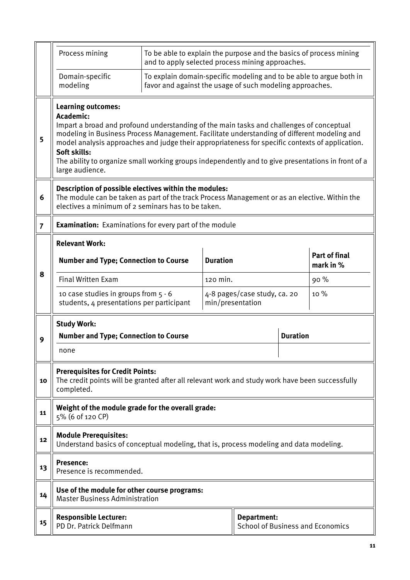|                | Process mining                                                                                                                                                                                                                                                                                                                                                                                                                                                                | To be able to explain the purpose and the basics of process mining<br>and to apply selected process mining approaches.          |                  |                                                        |                 |                                   |
|----------------|-------------------------------------------------------------------------------------------------------------------------------------------------------------------------------------------------------------------------------------------------------------------------------------------------------------------------------------------------------------------------------------------------------------------------------------------------------------------------------|---------------------------------------------------------------------------------------------------------------------------------|------------------|--------------------------------------------------------|-----------------|-----------------------------------|
|                | Domain-specific<br>modeling                                                                                                                                                                                                                                                                                                                                                                                                                                                   | To explain domain-specific modeling and to be able to argue both in<br>favor and against the usage of such modeling approaches. |                  |                                                        |                 |                                   |
| 5              | <b>Learning outcomes:</b><br>Academic:<br>Impart a broad and profound understanding of the main tasks and challenges of conceptual<br>modeling in Business Process Management. Facilitate understanding of different modeling and<br>model analysis approaches and judge their appropriateness for specific contexts of application.<br>Soft skills:<br>The ability to organize small working groups independently and to give presentations in front of a<br>large audience. |                                                                                                                                 |                  |                                                        |                 |                                   |
| 6              | Description of possible electives within the modules:<br>The module can be taken as part of the track Process Management or as an elective. Within the<br>electives a minimum of 2 seminars has to be taken.                                                                                                                                                                                                                                                                  |                                                                                                                                 |                  |                                                        |                 |                                   |
| $\overline{7}$ | <b>Examination:</b> Examinations for every part of the module                                                                                                                                                                                                                                                                                                                                                                                                                 |                                                                                                                                 |                  |                                                        |                 |                                   |
|                | <b>Relevant Work:</b>                                                                                                                                                                                                                                                                                                                                                                                                                                                         |                                                                                                                                 |                  |                                                        |                 |                                   |
|                | <b>Number and Type; Connection to Course</b>                                                                                                                                                                                                                                                                                                                                                                                                                                  |                                                                                                                                 | <b>Duration</b>  |                                                        |                 | <b>Part of final</b><br>mark in % |
| 8              | <b>Final Written Exam</b>                                                                                                                                                                                                                                                                                                                                                                                                                                                     |                                                                                                                                 | 120 min.         |                                                        |                 | 90%                               |
|                | 10 case studies in groups from 5 - 6<br>students, 4 presentations per participant                                                                                                                                                                                                                                                                                                                                                                                             |                                                                                                                                 | min/presentation | 4-8 pages/case study, ca. 20                           |                 | 10 %                              |
|                | <b>Study Work:</b>                                                                                                                                                                                                                                                                                                                                                                                                                                                            |                                                                                                                                 |                  |                                                        |                 |                                   |
| 9              | <b>Number and Type; Connection to Course</b>                                                                                                                                                                                                                                                                                                                                                                                                                                  |                                                                                                                                 |                  |                                                        | <b>Duration</b> |                                   |
|                | none                                                                                                                                                                                                                                                                                                                                                                                                                                                                          |                                                                                                                                 |                  |                                                        |                 |                                   |
| 10             | <b>Prerequisites for Credit Points:</b><br>The credit points will be granted after all relevant work and study work have been successfully<br>completed.                                                                                                                                                                                                                                                                                                                      |                                                                                                                                 |                  |                                                        |                 |                                   |
| 11             | Weight of the module grade for the overall grade:<br>5% (6 of 120 CP)                                                                                                                                                                                                                                                                                                                                                                                                         |                                                                                                                                 |                  |                                                        |                 |                                   |
| 12             | <b>Module Prerequisites:</b><br>Understand basics of conceptual modeling, that is, process modeling and data modeling.                                                                                                                                                                                                                                                                                                                                                        |                                                                                                                                 |                  |                                                        |                 |                                   |
| 13             | <b>Presence:</b><br>Presence is recommended.                                                                                                                                                                                                                                                                                                                                                                                                                                  |                                                                                                                                 |                  |                                                        |                 |                                   |
| 14             | Use of the module for other course programs:<br><b>Master Business Administration</b>                                                                                                                                                                                                                                                                                                                                                                                         |                                                                                                                                 |                  |                                                        |                 |                                   |
| 15             | <b>Responsible Lecturer:</b><br>PD Dr. Patrick Delfmann                                                                                                                                                                                                                                                                                                                                                                                                                       |                                                                                                                                 |                  | Department:<br><b>School of Business and Economics</b> |                 |                                   |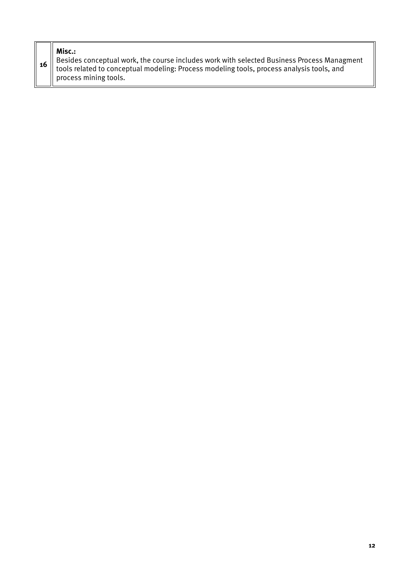### **Misc.:**

| 16 Besides conceptual work, the course includes work with selected Business Process Managment<br>tools related to conceptual modeling: Process modeling tools, process analysis tools, and |
|--------------------------------------------------------------------------------------------------------------------------------------------------------------------------------------------|
| $\parallel$ process mining tools.                                                                                                                                                          |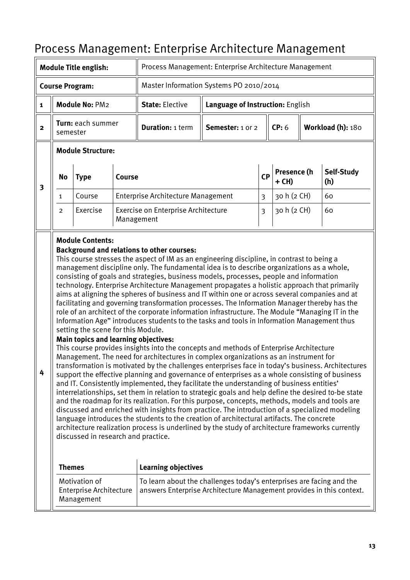|                |                |                              |        | Process Management: Enterprise Architecture Management |                                                        |           |                      |                   |                   |
|----------------|----------------|------------------------------|--------|--------------------------------------------------------|--------------------------------------------------------|-----------|----------------------|-------------------|-------------------|
|                |                | <b>Module Title english:</b> |        |                                                        | Process Management: Enterprise Architecture Management |           |                      |                   |                   |
|                |                | <b>Course Program:</b>       |        | Master Information Systems PO 2010/2014                |                                                        |           |                      |                   |                   |
| $\mathbf{1}$   |                | Module No: PM2               |        | <b>State: Elective</b>                                 | Language of Instruction: English                       |           |                      |                   |                   |
| $\overline{2}$ | semester       | <b>Turn:</b> each summer     |        | <b>Duration: 1 term</b>                                | Semester: 1 or 2<br>CP: 6                              |           |                      | Workload (h): 180 |                   |
|                |                | <b>Module Structure:</b>     |        |                                                        |                                                        |           |                      |                   |                   |
|                |                |                              |        |                                                        |                                                        |           |                      |                   |                   |
|                | No             | <b>Type</b>                  | Course |                                                        |                                                        | <b>CP</b> | Presence (h<br>+ CH) |                   | Self-Study<br>(h) |
| 3              | 1              | Course                       |        | <b>Enterprise Architecture Management</b>              |                                                        | 3         | 30 h (2 CH)          |                   | 60                |
|                | $\overline{2}$ | Exercise                     |        | Exercise on Enterprise Architecture<br>Management      |                                                        | 3         | 30 h (2 CH)          |                   | 60                |

## <span id="page-12-0"></span>Process Management: Enterprise Architecture Management

technology. Enterprise Architecture Management propagates a holistic approach that primarily aims at aligning the spheres of business and IT within one or across several companies and at facilitating and governing transformation processes. The Information Manager thereby has the role of an architect of the corporate information infrastructure. The Module "Managing IT in the Information Age" introduces students to the tasks and tools in Information Management thus setting the scene for this Module.

#### **Main topics and learning objectives:**

**4** This course provides insights into the concepts and methods of Enterprise Architecture Management. The need for architectures in complex organizations as an instrument for transformation is motivated by the challenges enterprises face in today's business. Architectures support the effective planning and governance of enterprises as a whole consisting of business and IT. Consistently implemented, they facilitate the understanding of business entities' interrelationships, set them in relation to strategic goals and help define the desired to-be state and the roadmap for its realization. For this purpose, concepts, methods, models and tools are discussed and enriched with insights from practice. The introduction of a specialized modeling language introduces the students to the creation of architectural artifacts. The concrete architecture realization process is underlined by the study of architecture frameworks currently discussed in research and practice.

| Themes                                                        | <b>Learning objectives</b>                                                                                                                   |
|---------------------------------------------------------------|----------------------------------------------------------------------------------------------------------------------------------------------|
| Motivation of<br><b>Enterprise Architecture</b><br>Management | To learn about the challenges today's enterprises are facing and the<br>answers Enterprise Architecture Management provides in this context. |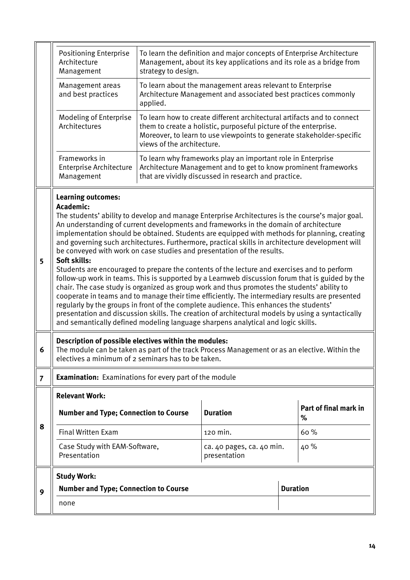|                | <b>Positioning Enterprise</b><br>Architecture<br>Management                                                                                                                                                                                                                                                                                                                                                                                                                                                                                                                                                                                                                                                                                                                                                                                                                                                                                                                                                                                                                                                                          | strategy to design. | To learn the definition and major concepts of Enterprise Architecture<br>Management, about its key applications and its role as a bridge from |                 |                            |  |  |  |
|----------------|--------------------------------------------------------------------------------------------------------------------------------------------------------------------------------------------------------------------------------------------------------------------------------------------------------------------------------------------------------------------------------------------------------------------------------------------------------------------------------------------------------------------------------------------------------------------------------------------------------------------------------------------------------------------------------------------------------------------------------------------------------------------------------------------------------------------------------------------------------------------------------------------------------------------------------------------------------------------------------------------------------------------------------------------------------------------------------------------------------------------------------------|---------------------|-----------------------------------------------------------------------------------------------------------------------------------------------|-----------------|----------------------------|--|--|--|
|                | To learn about the management areas relevant to Enterprise<br>Management areas<br>and best practices<br>Architecture Management and associated best practices commonly<br>applied.                                                                                                                                                                                                                                                                                                                                                                                                                                                                                                                                                                                                                                                                                                                                                                                                                                                                                                                                                   |                     |                                                                                                                                               |                 |                            |  |  |  |
|                | Modeling of Enterprise<br>To learn how to create different architectural artifacts and to connect<br>Architectures<br>them to create a holistic, purposeful picture of the enterprise.<br>Moreover, to learn to use viewpoints to generate stakeholder-specific<br>views of the architecture.                                                                                                                                                                                                                                                                                                                                                                                                                                                                                                                                                                                                                                                                                                                                                                                                                                        |                     |                                                                                                                                               |                 |                            |  |  |  |
|                | Frameworks in<br>To learn why frameworks play an important role in Enterprise<br>Architecture Management and to get to know prominent frameworks<br>Enterprise Architecture<br>that are vividly discussed in research and practice.<br>Management                                                                                                                                                                                                                                                                                                                                                                                                                                                                                                                                                                                                                                                                                                                                                                                                                                                                                    |                     |                                                                                                                                               |                 |                            |  |  |  |
| 5              | <b>Learning outcomes:</b><br>Academic:<br>The students' ability to develop and manage Enterprise Architectures is the course's major goal.<br>An understanding of current developments and frameworks in the domain of architecture<br>implementation should be obtained. Students are equipped with methods for planning, creating<br>and governing such architectures. Furthermore, practical skills in architecture development will<br>be conveyed with work on case studies and presentation of the results.<br>Soft skills:<br>Students are encouraged to prepare the contents of the lecture and exercises and to perform<br>follow-up work in teams. This is supported by a Learnweb discussion forum that is guided by the<br>chair. The case study is organized as group work and thus promotes the students' ability to<br>cooperate in teams and to manage their time efficiently. The intermediary results are presented<br>regularly by the groups in front of the complete audience. This enhances the students'<br>presentation and discussion skills. The creation of architectural models by using a syntactically |                     |                                                                                                                                               |                 |                            |  |  |  |
|                | Description of possible electives within the modules:<br>The module can be taken as part of the track Process Management or as an elective. Within the<br>electives a minimum of 2 seminars has to be taken.                                                                                                                                                                                                                                                                                                                                                                                                                                                                                                                                                                                                                                                                                                                                                                                                                                                                                                                         |                     |                                                                                                                                               |                 |                            |  |  |  |
| $\overline{7}$ | <b>Examination:</b> Examinations for every part of the module                                                                                                                                                                                                                                                                                                                                                                                                                                                                                                                                                                                                                                                                                                                                                                                                                                                                                                                                                                                                                                                                        |                     |                                                                                                                                               |                 |                            |  |  |  |
|                | <b>Relevant Work:</b>                                                                                                                                                                                                                                                                                                                                                                                                                                                                                                                                                                                                                                                                                                                                                                                                                                                                                                                                                                                                                                                                                                                |                     |                                                                                                                                               |                 |                            |  |  |  |
|                | <b>Number and Type; Connection to Course</b>                                                                                                                                                                                                                                                                                                                                                                                                                                                                                                                                                                                                                                                                                                                                                                                                                                                                                                                                                                                                                                                                                         |                     | <b>Duration</b>                                                                                                                               |                 | Part of final mark in<br>% |  |  |  |
| 8              | <b>Final Written Exam</b>                                                                                                                                                                                                                                                                                                                                                                                                                                                                                                                                                                                                                                                                                                                                                                                                                                                                                                                                                                                                                                                                                                            |                     | 120 min.                                                                                                                                      |                 | 60%                        |  |  |  |
|                | Case Study with EAM-Software,<br>40%<br>ca. 40 pages, ca. 40 min.<br>Presentation<br>presentation                                                                                                                                                                                                                                                                                                                                                                                                                                                                                                                                                                                                                                                                                                                                                                                                                                                                                                                                                                                                                                    |                     |                                                                                                                                               |                 |                            |  |  |  |
|                | <b>Study Work:</b>                                                                                                                                                                                                                                                                                                                                                                                                                                                                                                                                                                                                                                                                                                                                                                                                                                                                                                                                                                                                                                                                                                                   |                     |                                                                                                                                               |                 |                            |  |  |  |
| 9              | <b>Number and Type; Connection to Course</b>                                                                                                                                                                                                                                                                                                                                                                                                                                                                                                                                                                                                                                                                                                                                                                                                                                                                                                                                                                                                                                                                                         |                     |                                                                                                                                               | <b>Duration</b> |                            |  |  |  |
|                | none                                                                                                                                                                                                                                                                                                                                                                                                                                                                                                                                                                                                                                                                                                                                                                                                                                                                                                                                                                                                                                                                                                                                 |                     |                                                                                                                                               |                 |                            |  |  |  |
|                |                                                                                                                                                                                                                                                                                                                                                                                                                                                                                                                                                                                                                                                                                                                                                                                                                                                                                                                                                                                                                                                                                                                                      |                     |                                                                                                                                               |                 |                            |  |  |  |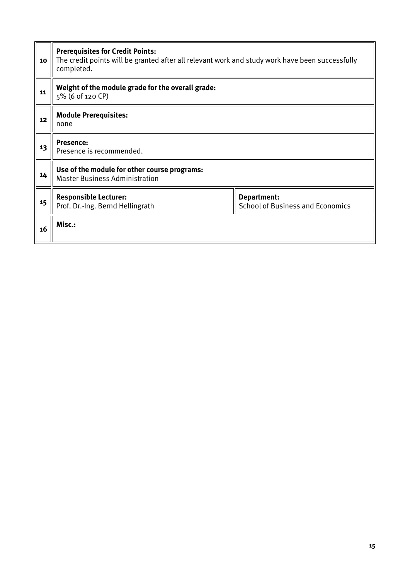| 10 | <b>Prerequisites for Credit Points:</b><br>The credit points will be granted after all relevant work and study work have been successfully<br>completed. |  |  |  |  |  |
|----|----------------------------------------------------------------------------------------------------------------------------------------------------------|--|--|--|--|--|
| 11 | Weight of the module grade for the overall grade:<br>5% (6 of 120 CP)                                                                                    |  |  |  |  |  |
| 12 | <b>Module Prerequisites:</b><br>none                                                                                                                     |  |  |  |  |  |
| 13 | <b>Presence:</b><br>Presence is recommended.                                                                                                             |  |  |  |  |  |
| 14 | Use of the module for other course programs:<br><b>Master Business Administration</b>                                                                    |  |  |  |  |  |
| 15 | <b>Responsible Lecturer:</b><br>Department:<br>Prof. Dr.-Ing. Bernd Hellingrath<br><b>School of Business and Economics</b>                               |  |  |  |  |  |
| 16 | Misc.:                                                                                                                                                   |  |  |  |  |  |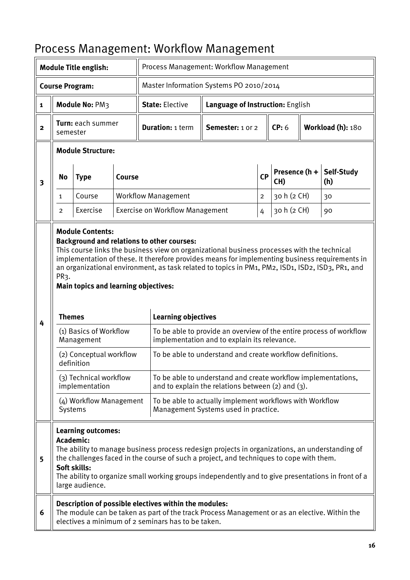| <b>Module Title english:</b> |                                                                                                                                                                                                                                                                                                                                                                              |                                             | TTUCC33 MANAGULENT. WUINTUW MANAGULENT | Process Management: Workflow Management                                                                                                                                                                                                                                                                                                                                              |                                                                                                                         |                |                      |                   |                          |
|------------------------------|------------------------------------------------------------------------------------------------------------------------------------------------------------------------------------------------------------------------------------------------------------------------------------------------------------------------------------------------------------------------------|---------------------------------------------|----------------------------------------|--------------------------------------------------------------------------------------------------------------------------------------------------------------------------------------------------------------------------------------------------------------------------------------------------------------------------------------------------------------------------------------|-------------------------------------------------------------------------------------------------------------------------|----------------|----------------------|-------------------|--------------------------|
|                              |                                                                                                                                                                                                                                                                                                                                                                              | <b>Course Program:</b>                      |                                        | Master Information Systems PO 2010/2014                                                                                                                                                                                                                                                                                                                                              |                                                                                                                         |                |                      |                   |                          |
| $\mathbf{1}$                 | Module No: PM3                                                                                                                                                                                                                                                                                                                                                               |                                             |                                        | <b>State: Elective</b>                                                                                                                                                                                                                                                                                                                                                               | Language of Instruction: English                                                                                        |                |                      |                   |                          |
| $\overline{2}$               | Turn: each summer<br>semester                                                                                                                                                                                                                                                                                                                                                |                                             |                                        | <b>Duration: 1 term</b>                                                                                                                                                                                                                                                                                                                                                              | Semester: 1 or 2                                                                                                        |                | CP: 6                | Workload (h): 180 |                          |
|                              |                                                                                                                                                                                                                                                                                                                                                                              | <b>Module Structure:</b>                    |                                        |                                                                                                                                                                                                                                                                                                                                                                                      |                                                                                                                         |                |                      |                   |                          |
| $\overline{\mathbf{3}}$      | <b>No</b>                                                                                                                                                                                                                                                                                                                                                                    | <b>Type</b>                                 | Course                                 |                                                                                                                                                                                                                                                                                                                                                                                      |                                                                                                                         | <b>CP</b>      | Presence (h +<br>CH) |                   | <b>Self-Study</b><br>(h) |
|                              | $\mathbf{1}$                                                                                                                                                                                                                                                                                                                                                                 | Course                                      |                                        | <b>Workflow Management</b>                                                                                                                                                                                                                                                                                                                                                           |                                                                                                                         | $\overline{c}$ | 30 h (2 CH)          |                   | 30                       |
|                              | $\overline{2}$                                                                                                                                                                                                                                                                                                                                                               | Exercise                                    |                                        | <b>Exercise on Workflow Management</b>                                                                                                                                                                                                                                                                                                                                               |                                                                                                                         | $\overline{4}$ | 30 h (2 CH)          |                   | 90                       |
| 4                            | PR3.<br><b>Themes</b>                                                                                                                                                                                                                                                                                                                                                        | <b>Main topics and learning objectives:</b> |                                        | <b>Background and relations to other courses:</b><br>This course links the business view on organizational business processes with the technical<br>implementation of these. It therefore provides means for implementing business requirements in<br>an organizational environment, as task related to topics in PM1, PM2, ISD1, ISD2, ISD3, PR1, and<br><b>Learning objectives</b> |                                                                                                                         |                |                      |                   |                          |
|                              |                                                                                                                                                                                                                                                                                                                                                                              | (1) Basics of Workflow<br>Management        |                                        | To be able to provide an overview of the entire process of workflow<br>implementation and to explain its relevance.                                                                                                                                                                                                                                                                  |                                                                                                                         |                |                      |                   |                          |
|                              |                                                                                                                                                                                                                                                                                                                                                                              | (2) Conceptual workflow<br>definition       |                                        |                                                                                                                                                                                                                                                                                                                                                                                      | To be able to understand and create workflow definitions.                                                               |                |                      |                   |                          |
|                              |                                                                                                                                                                                                                                                                                                                                                                              | (3) Technical workflow<br>implementation    |                                        |                                                                                                                                                                                                                                                                                                                                                                                      | To be able to understand and create workflow implementations,<br>and to explain the relations between $(2)$ and $(3)$ . |                |                      |                   |                          |
|                              | Systems                                                                                                                                                                                                                                                                                                                                                                      | (4) Workflow Management                     |                                        |                                                                                                                                                                                                                                                                                                                                                                                      | To be able to actually implement workflows with Workflow<br>Management Systems used in practice.                        |                |                      |                   |                          |
| 5                            | <b>Learning outcomes:</b><br>Academic:<br>The ability to manage business process redesign projects in organizations, an understanding of<br>the challenges faced in the course of such a project, and techniques to cope with them.<br>Soft skills:<br>The ability to organize small working groups independently and to give presentations in front of a<br>large audience. |                                             |                                        |                                                                                                                                                                                                                                                                                                                                                                                      |                                                                                                                         |                |                      |                   |                          |
| 6                            |                                                                                                                                                                                                                                                                                                                                                                              |                                             |                                        | Description of possible electives within the modules:<br>The module can be taken as part of the track Process Management or as an elective. Within the<br>electives a minimum of 2 seminars has to be taken.                                                                                                                                                                         |                                                                                                                         |                |                      |                   |                          |

### <span id="page-15-0"></span>Process Management: Workflow Management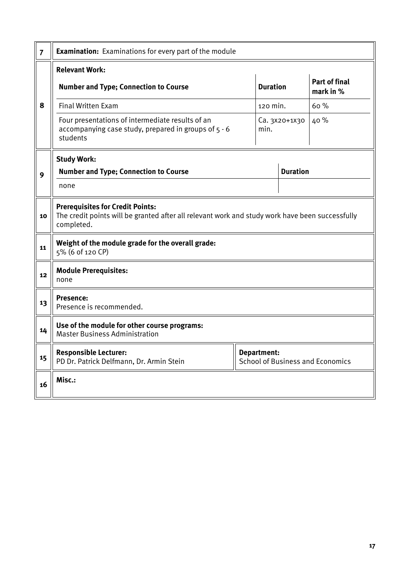| $\overline{7}$ | <b>Examination:</b> Examinations for every part of the module                                                                                            |                 |                 |                                   |  |  |  |  |
|----------------|----------------------------------------------------------------------------------------------------------------------------------------------------------|-----------------|-----------------|-----------------------------------|--|--|--|--|
|                | <b>Relevant Work:</b>                                                                                                                                    |                 |                 |                                   |  |  |  |  |
|                | <b>Number and Type; Connection to Course</b>                                                                                                             | <b>Duration</b> |                 | <b>Part of final</b><br>mark in % |  |  |  |  |
| 8              | <b>Final Written Exam</b>                                                                                                                                | 120 min.        |                 | 60%                               |  |  |  |  |
|                | Four presentations of intermediate results of an<br>accompanying case study, prepared in groups of 5 - 6<br>students                                     | min.            | Ca. 3x20+1x30   | 40 %                              |  |  |  |  |
|                | <b>Study Work:</b>                                                                                                                                       |                 |                 |                                   |  |  |  |  |
| 9              | <b>Number and Type; Connection to Course</b>                                                                                                             |                 | <b>Duration</b> |                                   |  |  |  |  |
|                | none                                                                                                                                                     |                 |                 |                                   |  |  |  |  |
| 10             | <b>Prerequisites for Credit Points:</b><br>The credit points will be granted after all relevant work and study work have been successfully<br>completed. |                 |                 |                                   |  |  |  |  |
| 11             | Weight of the module grade for the overall grade:<br>5% (6 of 120 CP)                                                                                    |                 |                 |                                   |  |  |  |  |
| 12             | <b>Module Prerequisites:</b><br>none                                                                                                                     |                 |                 |                                   |  |  |  |  |
| 13             | Presence:<br>Presence is recommended.                                                                                                                    |                 |                 |                                   |  |  |  |  |
| 14             | Use of the module for other course programs:<br><b>Master Business Administration</b>                                                                    |                 |                 |                                   |  |  |  |  |
| 15             | <b>Responsible Lecturer:</b><br>Department:<br>PD Dr. Patrick Delfmann, Dr. Armin Stein<br><b>School of Business and Economics</b>                       |                 |                 |                                   |  |  |  |  |
| 16             | Misc.:                                                                                                                                                   |                 |                 |                                   |  |  |  |  |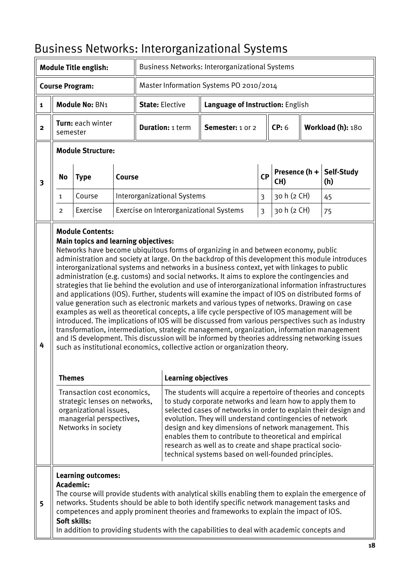|                        |                                                                                                                                                                                                                                                                                                                                                                                                                                                                                                                                                                                                                                                  |                                                                        |        | DUSIIICSS NCUVUINS. IIILCIUIKAIIILALIUIIAI JYSLCIIIS  |                                    |                                                                                                                                                                                                                                                                                                                                                                                                                                                                                                                                                                                                                                                                                                                                                                                                                                                                                                                                                                                                                                                                                                                                                                               |                |                        |                   |                   |
|------------------------|--------------------------------------------------------------------------------------------------------------------------------------------------------------------------------------------------------------------------------------------------------------------------------------------------------------------------------------------------------------------------------------------------------------------------------------------------------------------------------------------------------------------------------------------------------------------------------------------------------------------------------------------------|------------------------------------------------------------------------|--------|-------------------------------------------------------|------------------------------------|-------------------------------------------------------------------------------------------------------------------------------------------------------------------------------------------------------------------------------------------------------------------------------------------------------------------------------------------------------------------------------------------------------------------------------------------------------------------------------------------------------------------------------------------------------------------------------------------------------------------------------------------------------------------------------------------------------------------------------------------------------------------------------------------------------------------------------------------------------------------------------------------------------------------------------------------------------------------------------------------------------------------------------------------------------------------------------------------------------------------------------------------------------------------------------|----------------|------------------------|-------------------|-------------------|
|                        |                                                                                                                                                                                                                                                                                                                                                                                                                                                                                                                                                                                                                                                  | <b>Module Title english:</b>                                           |        | <b>Business Networks: Interorganizational Systems</b> |                                    |                                                                                                                                                                                                                                                                                                                                                                                                                                                                                                                                                                                                                                                                                                                                                                                                                                                                                                                                                                                                                                                                                                                                                                               |                |                        |                   |                   |
| <b>Course Program:</b> |                                                                                                                                                                                                                                                                                                                                                                                                                                                                                                                                                                                                                                                  |                                                                        |        | Master Information Systems PO 2010/2014               |                                    |                                                                                                                                                                                                                                                                                                                                                                                                                                                                                                                                                                                                                                                                                                                                                                                                                                                                                                                                                                                                                                                                                                                                                                               |                |                        |                   |                   |
| 1                      |                                                                                                                                                                                                                                                                                                                                                                                                                                                                                                                                                                                                                                                  | Module No: BN1                                                         |        |                                                       | <b>State: Elective</b>             | Language of Instruction: English                                                                                                                                                                                                                                                                                                                                                                                                                                                                                                                                                                                                                                                                                                                                                                                                                                                                                                                                                                                                                                                                                                                                              |                |                        |                   |                   |
| $\mathbf{2}$           | Turn: each winter<br>semester                                                                                                                                                                                                                                                                                                                                                                                                                                                                                                                                                                                                                    |                                                                        |        |                                                       | <b>Duration: 1 term</b>            | Semester: 1 or 2                                                                                                                                                                                                                                                                                                                                                                                                                                                                                                                                                                                                                                                                                                                                                                                                                                                                                                                                                                                                                                                                                                                                                              |                | CP: 6                  | Workload (h): 180 |                   |
|                        |                                                                                                                                                                                                                                                                                                                                                                                                                                                                                                                                                                                                                                                  | <b>Module Structure:</b>                                               |        |                                                       |                                    |                                                                                                                                                                                                                                                                                                                                                                                                                                                                                                                                                                                                                                                                                                                                                                                                                                                                                                                                                                                                                                                                                                                                                                               |                |                        |                   |                   |
| 3                      | <b>No</b>                                                                                                                                                                                                                                                                                                                                                                                                                                                                                                                                                                                                                                        | <b>Type</b>                                                            | Course |                                                       |                                    |                                                                                                                                                                                                                                                                                                                                                                                                                                                                                                                                                                                                                                                                                                                                                                                                                                                                                                                                                                                                                                                                                                                                                                               | CP             | Presence $(h +$<br>CH) |                   | Self-Study<br>(h) |
|                        | 1                                                                                                                                                                                                                                                                                                                                                                                                                                                                                                                                                                                                                                                | Course                                                                 |        |                                                       | <b>Interorganizational Systems</b> |                                                                                                                                                                                                                                                                                                                                                                                                                                                                                                                                                                                                                                                                                                                                                                                                                                                                                                                                                                                                                                                                                                                                                                               | 3              | 30 h (2 CH)            |                   | 45                |
|                        | $\overline{2}$                                                                                                                                                                                                                                                                                                                                                                                                                                                                                                                                                                                                                                   | Exercise                                                               |        |                                                       |                                    | Exercise on Interorganizational Systems                                                                                                                                                                                                                                                                                                                                                                                                                                                                                                                                                                                                                                                                                                                                                                                                                                                                                                                                                                                                                                                                                                                                       | $\mathfrak{Z}$ | 30 h (2 CH)            |                   | 75                |
| 4                      | <b>Themes</b>                                                                                                                                                                                                                                                                                                                                                                                                                                                                                                                                                                                                                                    | <b>Module Contents:</b><br><b>Main topics and learning objectives:</b> |        |                                                       | <b>Learning objectives</b>         | Networks have become ubiquitous forms of organizing in and between economy, public<br>administration and society at large. On the backdrop of this development this module introduces<br>interorganizational systems and networks in a business context, yet with linkages to public<br>administration (e.g. customs) and social networks. It aims to explore the contingencies and<br>strategies that lie behind the evolution and use of interorganizational information infrastructures<br>and applications (IOS). Further, students will examine the impact of IOS on distributed forms of<br>value generation such as electronic markets and various types of networks. Drawing on case<br>examples as well as theoretical concepts, a life cycle perspective of IOS management will be<br>introduced. The implications of IOS will be discussed from various perspectives such as industry<br>transformation, intermediation, strategic management, organization, information management<br>and IS development. This discussion will be informed by theories addressing networking issues<br>such as institutional economics, collective action or organization theory. |                |                        |                   |                   |
|                        | Transaction cost economics,<br>The students will acquire a repertoire of theories and concepts<br>strategic lenses on networks,<br>to study corporate networks and learn how to apply them to<br>organizational issues,<br>selected cases of networks in order to explain their design and<br>managerial perspectives,<br>evolution. They will understand contingencies of network<br>Networks in society<br>design and key dimensions of network management. This<br>enables them to contribute to theoretical and empirical<br>research as well as to create and shape practical socio-<br>technical systems based on well-founded principles. |                                                                        |        |                                                       |                                    |                                                                                                                                                                                                                                                                                                                                                                                                                                                                                                                                                                                                                                                                                                                                                                                                                                                                                                                                                                                                                                                                                                                                                                               |                |                        |                   |                   |
| 5                      | Academic:                                                                                                                                                                                                                                                                                                                                                                                                                                                                                                                                                                                                                                        | <b>Learning outcomes:</b><br>Soft skills:                              |        |                                                       |                                    | The course will provide students with analytical skills enabling them to explain the emergence of<br>networks. Students should be able to both identify specific network management tasks and<br>competences and apply prominent theories and frameworks to explain the impact of IOS.<br>In addition to providing students with the capabilities to deal with academic concepts and                                                                                                                                                                                                                                                                                                                                                                                                                                                                                                                                                                                                                                                                                                                                                                                          |                |                        |                   |                   |

# <span id="page-17-0"></span>Business Networks: Interorganizational Systems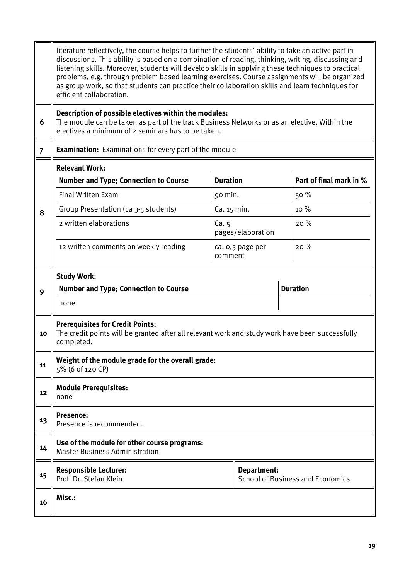|                | literature reflectively, the course helps to further the students' ability to take an active part in<br>discussions. This ability is based on a combination of reading, thinking, writing, discussing and<br>listening skills. Moreover, students will develop skills in applying these techniques to practical<br>problems, e.g. through problem based learning exercises. Course assignments will be organized<br>as group work, so that students can practice their collaboration skills and learn techniques for<br>efficient collaboration. |             |                   |  |                                         |  |  |
|----------------|--------------------------------------------------------------------------------------------------------------------------------------------------------------------------------------------------------------------------------------------------------------------------------------------------------------------------------------------------------------------------------------------------------------------------------------------------------------------------------------------------------------------------------------------------|-------------|-------------------|--|-----------------------------------------|--|--|
| 6              | Description of possible electives within the modules:<br>The module can be taken as part of the track Business Networks or as an elective. Within the<br>electives a minimum of 2 seminars has to be taken.                                                                                                                                                                                                                                                                                                                                      |             |                   |  |                                         |  |  |
| $\overline{7}$ | <b>Examination:</b> Examinations for every part of the module                                                                                                                                                                                                                                                                                                                                                                                                                                                                                    |             |                   |  |                                         |  |  |
|                | <b>Relevant Work:</b><br><b>Duration</b><br>Part of final mark in %<br><b>Number and Type; Connection to Course</b>                                                                                                                                                                                                                                                                                                                                                                                                                              |             |                   |  |                                         |  |  |
|                | <b>Final Written Exam</b>                                                                                                                                                                                                                                                                                                                                                                                                                                                                                                                        | 90 min.     |                   |  | 50 %                                    |  |  |
| 8              | Group Presentation (ca 3-5 students)                                                                                                                                                                                                                                                                                                                                                                                                                                                                                                             | Ca. 15 min. |                   |  | 10 %                                    |  |  |
|                | 2 written elaborations                                                                                                                                                                                                                                                                                                                                                                                                                                                                                                                           | Ca.5        | pages/elaboration |  | 20%                                     |  |  |
|                | 12 written comments on weekly reading<br>20%<br>ca. 0,5 page per<br>comment                                                                                                                                                                                                                                                                                                                                                                                                                                                                      |             |                   |  |                                         |  |  |
| 9              | <b>Study Work:</b><br><b>Duration</b><br><b>Number and Type; Connection to Course</b><br>none                                                                                                                                                                                                                                                                                                                                                                                                                                                    |             |                   |  |                                         |  |  |
| 10             | <b>Prerequisites for Credit Points:</b><br>The credit points will be granted after all relevant work and study work have been successfully<br>completed.                                                                                                                                                                                                                                                                                                                                                                                         |             |                   |  |                                         |  |  |
| 11             | Weight of the module grade for the overall grade:<br>5% (6 of 120 CP)                                                                                                                                                                                                                                                                                                                                                                                                                                                                            |             |                   |  |                                         |  |  |
| 12             | <b>Module Prerequisites:</b><br>none                                                                                                                                                                                                                                                                                                                                                                                                                                                                                                             |             |                   |  |                                         |  |  |
| 13             | Presence:<br>Presence is recommended.                                                                                                                                                                                                                                                                                                                                                                                                                                                                                                            |             |                   |  |                                         |  |  |
| 14             | Use of the module for other course programs:<br><b>Master Business Administration</b>                                                                                                                                                                                                                                                                                                                                                                                                                                                            |             |                   |  |                                         |  |  |
| 15             | <b>Responsible Lecturer:</b><br>Prof. Dr. Stefan Klein                                                                                                                                                                                                                                                                                                                                                                                                                                                                                           |             | Department:       |  | <b>School of Business and Economics</b> |  |  |
| 16             | Misc.:                                                                                                                                                                                                                                                                                                                                                                                                                                                                                                                                           |             |                   |  |                                         |  |  |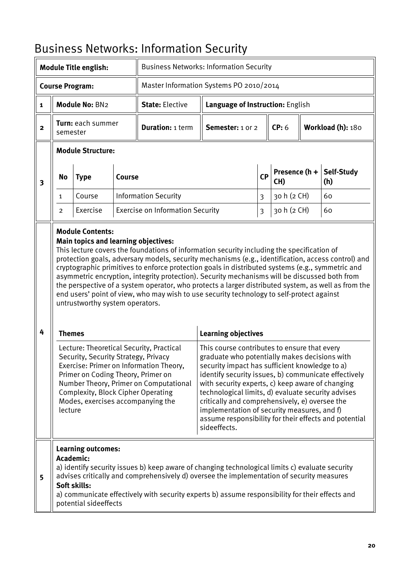|                         | <b>Module Title english:</b>                                                                                                                                                                                                                                                                                                                                                                                                                                                                                                                                                                                                                                                                                                                                                                                                                           |                                                                                |        | <b>Business Networks: Information Security</b>                                                                                                                                                                                                                                                                                                                                                                                                                                                                                                                                                            |                                         |                         |                      |                   |                   |
|-------------------------|--------------------------------------------------------------------------------------------------------------------------------------------------------------------------------------------------------------------------------------------------------------------------------------------------------------------------------------------------------------------------------------------------------------------------------------------------------------------------------------------------------------------------------------------------------------------------------------------------------------------------------------------------------------------------------------------------------------------------------------------------------------------------------------------------------------------------------------------------------|--------------------------------------------------------------------------------|--------|-----------------------------------------------------------------------------------------------------------------------------------------------------------------------------------------------------------------------------------------------------------------------------------------------------------------------------------------------------------------------------------------------------------------------------------------------------------------------------------------------------------------------------------------------------------------------------------------------------------|-----------------------------------------|-------------------------|----------------------|-------------------|-------------------|
|                         | <b>Course Program:</b>                                                                                                                                                                                                                                                                                                                                                                                                                                                                                                                                                                                                                                                                                                                                                                                                                                 |                                                                                |        |                                                                                                                                                                                                                                                                                                                                                                                                                                                                                                                                                                                                           | Master Information Systems PO 2010/2014 |                         |                      |                   |                   |
| $\mathbf{1}$            |                                                                                                                                                                                                                                                                                                                                                                                                                                                                                                                                                                                                                                                                                                                                                                                                                                                        | Module No: BN2                                                                 |        | <b>State: Elective</b>                                                                                                                                                                                                                                                                                                                                                                                                                                                                                                                                                                                    | Language of Instruction: English        |                         |                      |                   |                   |
| $\mathbf{2}$            | semester                                                                                                                                                                                                                                                                                                                                                                                                                                                                                                                                                                                                                                                                                                                                                                                                                                               | Turn: each summer                                                              |        | <b>Duration: 1 term</b>                                                                                                                                                                                                                                                                                                                                                                                                                                                                                                                                                                                   | Semester: 1 or 2                        |                         | CP: 6                | Workload (h): 180 |                   |
|                         |                                                                                                                                                                                                                                                                                                                                                                                                                                                                                                                                                                                                                                                                                                                                                                                                                                                        | <b>Module Structure:</b>                                                       |        |                                                                                                                                                                                                                                                                                                                                                                                                                                                                                                                                                                                                           |                                         |                         |                      |                   |                   |
| $\overline{\mathbf{3}}$ | <b>No</b>                                                                                                                                                                                                                                                                                                                                                                                                                                                                                                                                                                                                                                                                                                                                                                                                                                              | <b>Type</b>                                                                    | Course |                                                                                                                                                                                                                                                                                                                                                                                                                                                                                                                                                                                                           |                                         | <b>CP</b>               | Presence (h +<br>CH) |                   | Self-Study<br>(h) |
|                         | 1                                                                                                                                                                                                                                                                                                                                                                                                                                                                                                                                                                                                                                                                                                                                                                                                                                                      | Course                                                                         |        | <b>Information Security</b>                                                                                                                                                                                                                                                                                                                                                                                                                                                                                                                                                                               |                                         | $\overline{3}$          | 30 h (2 CH)          |                   | 60                |
|                         | 2                                                                                                                                                                                                                                                                                                                                                                                                                                                                                                                                                                                                                                                                                                                                                                                                                                                      | Exercise                                                                       |        | <b>Exercise on Information Security</b>                                                                                                                                                                                                                                                                                                                                                                                                                                                                                                                                                                   |                                         | $\overline{\mathbf{3}}$ | 30 h (2 CH)          |                   | 60                |
| 4                       |                                                                                                                                                                                                                                                                                                                                                                                                                                                                                                                                                                                                                                                                                                                                                                                                                                                        | <b>Main topics and learning objectives:</b><br>untrustworthy system operators. |        | This lecture covers the foundations of information security including the specification of<br>protection goals, adversary models, security mechanisms (e.g., identification, access control) and<br>cryptographic primitives to enforce protection goals in distributed systems (e.g., symmetric and<br>asymmetric encryption, integrity protection). Security mechanisms will be discussed both from<br>the perspective of a system operator, who protects a larger distributed system, as well as from the<br>end users' point of view, who may wish to use security technology to self-protect against |                                         |                         |                      |                   |                   |
|                         | <b>Learning objectives</b><br><b>Themes</b><br>Lecture: Theoretical Security, Practical<br>This course contributes to ensure that every<br>Security, Security Strategy, Privacy<br>graduate who potentially makes decisions with<br>Exercise: Primer on Information Theory,<br>security impact has sufficient knowledge to a)<br>identify security issues, b) communicate effectively<br>Primer on Coding Theory, Primer on<br>Number Theory, Primer on Computational<br>with security experts, c) keep aware of changing<br><b>Complexity, Block Cipher Operating</b><br>technological limits, d) evaluate security advises<br>Modes, exercises accompanying the<br>critically and comprehensively, e) oversee the<br>implementation of security measures, and f)<br>lecture<br>assume responsibility for their effects and potential<br>sideeffects. |                                                                                |        |                                                                                                                                                                                                                                                                                                                                                                                                                                                                                                                                                                                                           |                                         |                         |                      |                   |                   |
| 5                       | <b>Learning outcomes:</b><br>Academic:<br>a) identify security issues b) keep aware of changing technological limits c) evaluate security<br>advises critically and comprehensively d) oversee the implementation of security measures<br>Soft skills:<br>a) communicate effectively with security experts b) assume responsibility for their effects and<br>potential sideeffects                                                                                                                                                                                                                                                                                                                                                                                                                                                                     |                                                                                |        |                                                                                                                                                                                                                                                                                                                                                                                                                                                                                                                                                                                                           |                                         |                         |                      |                   |                   |

# <span id="page-19-0"></span>Business Networks: Information Security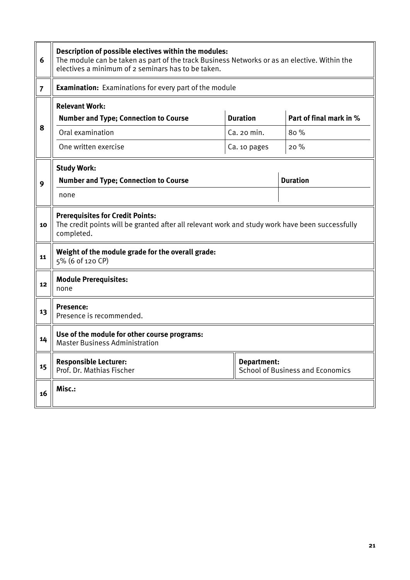| 6              | Description of possible electives within the modules:<br>The module can be taken as part of the track Business Networks or as an elective. Within the<br>electives a minimum of 2 seminars has to be taken.   |             |                                         |  |  |  |  |
|----------------|---------------------------------------------------------------------------------------------------------------------------------------------------------------------------------------------------------------|-------------|-----------------------------------------|--|--|--|--|
| $\overline{7}$ | <b>Examination:</b> Examinations for every part of the module                                                                                                                                                 |             |                                         |  |  |  |  |
| 8              | <b>Relevant Work:</b><br><b>Duration</b><br>Part of final mark in %<br><b>Number and Type; Connection to Course</b><br>Oral examination<br>80 %<br>Ca. 20 min.<br>One written exercise<br>20%<br>Ca. 10 pages |             |                                         |  |  |  |  |
| 9              | <b>Study Work:</b><br><b>Duration</b><br><b>Number and Type; Connection to Course</b><br>none                                                                                                                 |             |                                         |  |  |  |  |
| 10             | <b>Prerequisites for Credit Points:</b><br>The credit points will be granted after all relevant work and study work have been successfully<br>completed.                                                      |             |                                         |  |  |  |  |
| 11             | Weight of the module grade for the overall grade:<br>5% (6 of 120 CP)                                                                                                                                         |             |                                         |  |  |  |  |
| 12             | <b>Module Prerequisites:</b><br>none                                                                                                                                                                          |             |                                         |  |  |  |  |
| 13             | <b>Presence:</b><br>Presence is recommended.                                                                                                                                                                  |             |                                         |  |  |  |  |
| 14             | Use of the module for other course programs:<br><b>Master Business Administration</b>                                                                                                                         |             |                                         |  |  |  |  |
| 15             | <b>Responsible Lecturer:</b><br>Prof. Dr. Mathias Fischer                                                                                                                                                     | Department: | <b>School of Business and Economics</b> |  |  |  |  |
| 16             | Misc.:                                                                                                                                                                                                        |             |                                         |  |  |  |  |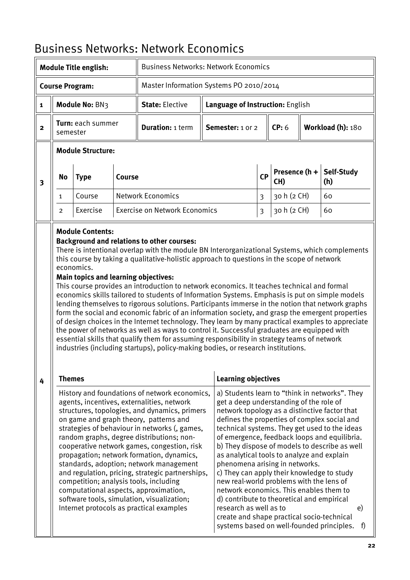| <b>Module Title english:</b> |                               | <b>Business Networks: Network Economics</b>               |        |                                                                                                                                                                                                                                                                                                                                                                                                                                                                                                                                                                                                                                                                                                                                                                                                                                                                                                                                                                                                                                                  |                                                                                                                                                                                                                                                                                                                                                                                                                                                                                  |    |                        |  |                                                                                                                                                                                                                                                              |  |
|------------------------------|-------------------------------|-----------------------------------------------------------|--------|--------------------------------------------------------------------------------------------------------------------------------------------------------------------------------------------------------------------------------------------------------------------------------------------------------------------------------------------------------------------------------------------------------------------------------------------------------------------------------------------------------------------------------------------------------------------------------------------------------------------------------------------------------------------------------------------------------------------------------------------------------------------------------------------------------------------------------------------------------------------------------------------------------------------------------------------------------------------------------------------------------------------------------------------------|----------------------------------------------------------------------------------------------------------------------------------------------------------------------------------------------------------------------------------------------------------------------------------------------------------------------------------------------------------------------------------------------------------------------------------------------------------------------------------|----|------------------------|--|--------------------------------------------------------------------------------------------------------------------------------------------------------------------------------------------------------------------------------------------------------------|--|
| <b>Course Program:</b>       |                               |                                                           |        | Master Information Systems PO 2010/2014                                                                                                                                                                                                                                                                                                                                                                                                                                                                                                                                                                                                                                                                                                                                                                                                                                                                                                                                                                                                          |                                                                                                                                                                                                                                                                                                                                                                                                                                                                                  |    |                        |  |                                                                                                                                                                                                                                                              |  |
| $\mathbf{1}$                 |                               | Module No: BN3                                            |        | <b>State: Elective</b>                                                                                                                                                                                                                                                                                                                                                                                                                                                                                                                                                                                                                                                                                                                                                                                                                                                                                                                                                                                                                           | Language of Instruction: English                                                                                                                                                                                                                                                                                                                                                                                                                                                 |    |                        |  |                                                                                                                                                                                                                                                              |  |
| $\mathbf{2}$                 | Turn: each summer<br>semester |                                                           |        | <b>Duration: 1 term</b>                                                                                                                                                                                                                                                                                                                                                                                                                                                                                                                                                                                                                                                                                                                                                                                                                                                                                                                                                                                                                          | Semester: 1 or 2                                                                                                                                                                                                                                                                                                                                                                                                                                                                 |    | CP: 6                  |  | Workload (h): 180                                                                                                                                                                                                                                            |  |
|                              |                               | <b>Module Structure:</b>                                  |        |                                                                                                                                                                                                                                                                                                                                                                                                                                                                                                                                                                                                                                                                                                                                                                                                                                                                                                                                                                                                                                                  |                                                                                                                                                                                                                                                                                                                                                                                                                                                                                  |    |                        |  |                                                                                                                                                                                                                                                              |  |
| 3                            | No                            | <b>Type</b>                                               | Course |                                                                                                                                                                                                                                                                                                                                                                                                                                                                                                                                                                                                                                                                                                                                                                                                                                                                                                                                                                                                                                                  |                                                                                                                                                                                                                                                                                                                                                                                                                                                                                  | CP | Presence $(h +$<br>CH) |  | Self-Study<br>(h)                                                                                                                                                                                                                                            |  |
|                              | 1                             | Course                                                    |        | <b>Network Economics</b>                                                                                                                                                                                                                                                                                                                                                                                                                                                                                                                                                                                                                                                                                                                                                                                                                                                                                                                                                                                                                         |                                                                                                                                                                                                                                                                                                                                                                                                                                                                                  | 3  | 30 h (2 CH)            |  | 60                                                                                                                                                                                                                                                           |  |
|                              | 2                             | Exercise                                                  |        | <b>Exercise on Network Economics</b>                                                                                                                                                                                                                                                                                                                                                                                                                                                                                                                                                                                                                                                                                                                                                                                                                                                                                                                                                                                                             |                                                                                                                                                                                                                                                                                                                                                                                                                                                                                  | 3  | 30 h (2 CH)            |  | 60                                                                                                                                                                                                                                                           |  |
|                              |                               | economics.<br><b>Main topics and learning objectives:</b> |        | <b>Background and relations to other courses:</b><br>There is intentional overlap with the module BN Interorganizational Systems, which complements<br>this course by taking a qualitative-holistic approach to questions in the scope of network<br>This course provides an introduction to network economics. It teaches technical and formal<br>economics skills tailored to students of Information Systems. Emphasis is put on simple models<br>lending themselves to rigorous solutions. Participants immerse in the notion that network graphs<br>form the social and economic fabric of an information society, and grasp the emergent properties<br>of design choices in the Internet technology. They learn by many practical examples to appreciate<br>the power of networks as well as ways to control it. Successful graduates are equipped with<br>essential skills that qualify them for assuming responsibility in strategy teams of network<br>industries (including startups), policy-making bodies, or research institutions. |                                                                                                                                                                                                                                                                                                                                                                                                                                                                                  |    |                        |  |                                                                                                                                                                                                                                                              |  |
| 4                            | <b>Themes</b>                 |                                                           |        |                                                                                                                                                                                                                                                                                                                                                                                                                                                                                                                                                                                                                                                                                                                                                                                                                                                                                                                                                                                                                                                  | <b>Learning objectives</b>                                                                                                                                                                                                                                                                                                                                                                                                                                                       |    |                        |  |                                                                                                                                                                                                                                                              |  |
|                              |                               |                                                           |        | History and foundations of network economics,<br>agents, incentives, externalities, network<br>structures, topologies, and dynamics, primers<br>on game and graph theory, patterns and<br>strategies of behaviour in networks (, games,<br>random graphs, degree distributions; non-<br>cooperative network games, congestion, risk<br>propagation; network formation, dynamics,<br>standards, adoption; network management<br>and regulation, pricing, strategic partnerships,<br>competition; analysis tools, including<br>computational aspects, approximation,<br>software tools, simulation, visualization;<br>Internet protocols as practical examples                                                                                                                                                                                                                                                                                                                                                                                     | get a deep understanding of the role of<br>network topology as a distinctive factor that<br>as analytical tools to analyze and explain<br>phenomena arising in networks.<br>c) They can apply their knowledge to study<br>new real-world problems with the lens of<br>network economics. This enables them to<br>d) contribute to theoretical and empirical<br>research as well as to<br>create and shape practical socio-technical<br>systems based on well-founded principles. |    |                        |  | a) Students learn to "think in networks". They<br>defines the properties of complex social and<br>technical systems. They get used to the ideas<br>of emergence, feedback loops and equilibria.<br>b) They dispose of models to describe as well<br>e)<br>f) |  |

# <span id="page-21-0"></span>Business Networks: Network Economics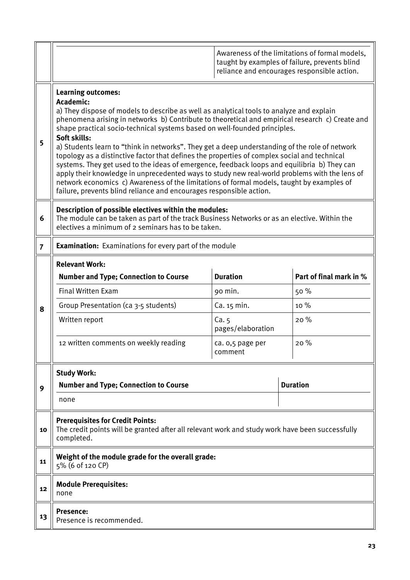|                |                                                                                                                                                                                                                                                                                                                                                                                                                                                                                                                                                                                                                                                                                                                                                                                                                                                                                                          |                             |      | Awareness of the limitations of formal models,<br>taught by examples of failure, prevents blind<br>reliance and encourages responsible action. |  |  |  |
|----------------|----------------------------------------------------------------------------------------------------------------------------------------------------------------------------------------------------------------------------------------------------------------------------------------------------------------------------------------------------------------------------------------------------------------------------------------------------------------------------------------------------------------------------------------------------------------------------------------------------------------------------------------------------------------------------------------------------------------------------------------------------------------------------------------------------------------------------------------------------------------------------------------------------------|-----------------------------|------|------------------------------------------------------------------------------------------------------------------------------------------------|--|--|--|
| 5              | <b>Learning outcomes:</b><br>Academic:<br>a) They dispose of models to describe as well as analytical tools to analyze and explain<br>phenomena arising in networks b) Contribute to theoretical and empirical research c) Create and<br>shape practical socio-technical systems based on well-founded principles.<br>Soft skills:<br>a) Students learn to "think in networks". They get a deep understanding of the role of network<br>topology as a distinctive factor that defines the properties of complex social and technical<br>systems. They get used to the ideas of emergence, feedback loops and equilibria b) They can<br>apply their knowledge in unprecedented ways to study new real-world problems with the lens of<br>network economics c) Awareness of the limitations of formal models, taught by examples of<br>failure, prevents blind reliance and encourages responsible action. |                             |      |                                                                                                                                                |  |  |  |
| 6              | Description of possible electives within the modules:<br>The module can be taken as part of the track Business Networks or as an elective. Within the<br>electives a minimum of 2 seminars has to be taken.                                                                                                                                                                                                                                                                                                                                                                                                                                                                                                                                                                                                                                                                                              |                             |      |                                                                                                                                                |  |  |  |
| $\overline{7}$ | <b>Examination:</b> Examinations for every part of the module                                                                                                                                                                                                                                                                                                                                                                                                                                                                                                                                                                                                                                                                                                                                                                                                                                            |                             |      |                                                                                                                                                |  |  |  |
|                | <b>Relevant Work:</b><br><b>Duration</b><br>Part of final mark in %<br><b>Number and Type; Connection to Course</b>                                                                                                                                                                                                                                                                                                                                                                                                                                                                                                                                                                                                                                                                                                                                                                                      |                             |      |                                                                                                                                                |  |  |  |
|                | <b>Final Written Exam</b>                                                                                                                                                                                                                                                                                                                                                                                                                                                                                                                                                                                                                                                                                                                                                                                                                                                                                | 90 min.                     |      | 50 %                                                                                                                                           |  |  |  |
| 8              | Group Presentation (ca 3-5 students)                                                                                                                                                                                                                                                                                                                                                                                                                                                                                                                                                                                                                                                                                                                                                                                                                                                                     | Ca. 15 min.                 | 10 % |                                                                                                                                                |  |  |  |
|                | Written report                                                                                                                                                                                                                                                                                                                                                                                                                                                                                                                                                                                                                                                                                                                                                                                                                                                                                           | Ca.5<br>pages/elaboration   |      | 20%                                                                                                                                            |  |  |  |
|                | 12 written comments on weekly reading                                                                                                                                                                                                                                                                                                                                                                                                                                                                                                                                                                                                                                                                                                                                                                                                                                                                    | ca. 0,5 page per<br>comment |      | 20%                                                                                                                                            |  |  |  |
|                | <b>Study Work:</b>                                                                                                                                                                                                                                                                                                                                                                                                                                                                                                                                                                                                                                                                                                                                                                                                                                                                                       |                             |      |                                                                                                                                                |  |  |  |
| 9              | <b>Number and Type; Connection to Course</b>                                                                                                                                                                                                                                                                                                                                                                                                                                                                                                                                                                                                                                                                                                                                                                                                                                                             |                             |      | <b>Duration</b>                                                                                                                                |  |  |  |
|                | none                                                                                                                                                                                                                                                                                                                                                                                                                                                                                                                                                                                                                                                                                                                                                                                                                                                                                                     |                             |      |                                                                                                                                                |  |  |  |
| 10             | <b>Prerequisites for Credit Points:</b><br>The credit points will be granted after all relevant work and study work have been successfully<br>completed.                                                                                                                                                                                                                                                                                                                                                                                                                                                                                                                                                                                                                                                                                                                                                 |                             |      |                                                                                                                                                |  |  |  |
| 11             | Weight of the module grade for the overall grade:<br>5% (6 of 120 CP)                                                                                                                                                                                                                                                                                                                                                                                                                                                                                                                                                                                                                                                                                                                                                                                                                                    |                             |      |                                                                                                                                                |  |  |  |
| 12             | <b>Module Prerequisites:</b><br>none                                                                                                                                                                                                                                                                                                                                                                                                                                                                                                                                                                                                                                                                                                                                                                                                                                                                     |                             |      |                                                                                                                                                |  |  |  |
| 13             | <b>Presence:</b><br>Presence is recommended.                                                                                                                                                                                                                                                                                                                                                                                                                                                                                                                                                                                                                                                                                                                                                                                                                                                             |                             |      |                                                                                                                                                |  |  |  |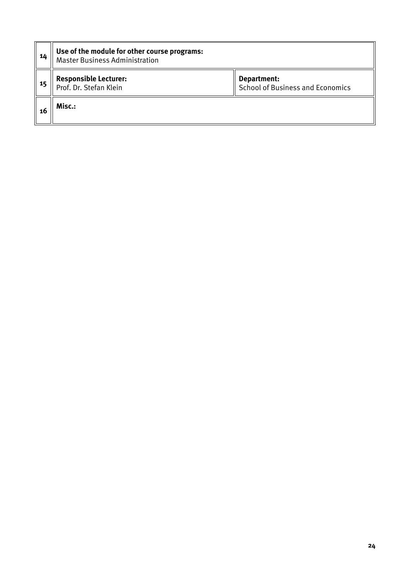| -14 | Use of the module for other course programs:<br><b>Master Business Administration</b>                            |  |  |  |  |  |  |  |
|-----|------------------------------------------------------------------------------------------------------------------|--|--|--|--|--|--|--|
| 15  | <b>Responsible Lecturer:</b><br>Department:<br><b>School of Business and Economics</b><br>Prof. Dr. Stefan Klein |  |  |  |  |  |  |  |
| -16 | Misc.:                                                                                                           |  |  |  |  |  |  |  |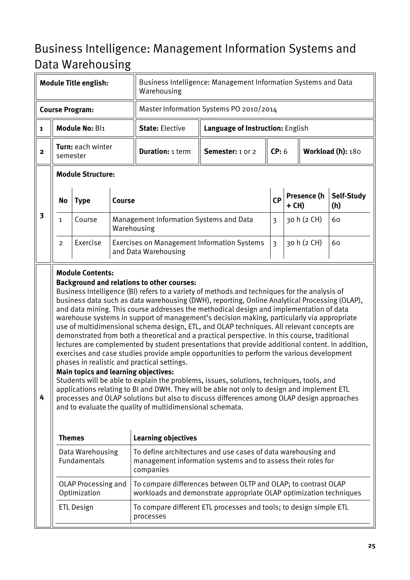# <span id="page-24-0"></span>Business Intelligence: Management Information Systems and Data Warehousing

| <b>Module Title english:</b> |                                                                                                                                                                                                                                                                                                                                                                                                                                                                                                                                                                                                                                                                                                                                                                                                                                                                                                                                                                                                                                                                                                                                                                                                                                                                                                                                                                                                                                                                                                                                                            | Business Intelligence: Management Information Systems and Data<br>Warehousing |               |                                                                            |                                                                                                                                          |                |         |             |                                                                |  |
|------------------------------|------------------------------------------------------------------------------------------------------------------------------------------------------------------------------------------------------------------------------------------------------------------------------------------------------------------------------------------------------------------------------------------------------------------------------------------------------------------------------------------------------------------------------------------------------------------------------------------------------------------------------------------------------------------------------------------------------------------------------------------------------------------------------------------------------------------------------------------------------------------------------------------------------------------------------------------------------------------------------------------------------------------------------------------------------------------------------------------------------------------------------------------------------------------------------------------------------------------------------------------------------------------------------------------------------------------------------------------------------------------------------------------------------------------------------------------------------------------------------------------------------------------------------------------------------------|-------------------------------------------------------------------------------|---------------|----------------------------------------------------------------------------|------------------------------------------------------------------------------------------------------------------------------------------|----------------|---------|-------------|----------------------------------------------------------------|--|
|                              |                                                                                                                                                                                                                                                                                                                                                                                                                                                                                                                                                                                                                                                                                                                                                                                                                                                                                                                                                                                                                                                                                                                                                                                                                                                                                                                                                                                                                                                                                                                                                            | <b>Course Program:</b>                                                        |               | Master Information Systems PO 2010/2014                                    |                                                                                                                                          |                |         |             |                                                                |  |
| $\mathbf{1}$                 |                                                                                                                                                                                                                                                                                                                                                                                                                                                                                                                                                                                                                                                                                                                                                                                                                                                                                                                                                                                                                                                                                                                                                                                                                                                                                                                                                                                                                                                                                                                                                            | Module No: Bl1                                                                |               | <b>State: Elective</b>                                                     | Language of Instruction: English                                                                                                         |                |         |             |                                                                |  |
| $\overline{\mathbf{2}}$      | semester                                                                                                                                                                                                                                                                                                                                                                                                                                                                                                                                                                                                                                                                                                                                                                                                                                                                                                                                                                                                                                                                                                                                                                                                                                                                                                                                                                                                                                                                                                                                                   | <b>Turn:</b> each winter                                                      |               | <b>Duration: 1 term</b>                                                    | Semester: 1 or 2                                                                                                                         | CP: 6          |         |             | Workload (h): 180                                              |  |
|                              | <b>Module Structure:</b>                                                                                                                                                                                                                                                                                                                                                                                                                                                                                                                                                                                                                                                                                                                                                                                                                                                                                                                                                                                                                                                                                                                                                                                                                                                                                                                                                                                                                                                                                                                                   |                                                                               |               |                                                                            |                                                                                                                                          |                |         |             |                                                                |  |
|                              | No                                                                                                                                                                                                                                                                                                                                                                                                                                                                                                                                                                                                                                                                                                                                                                                                                                                                                                                                                                                                                                                                                                                                                                                                                                                                                                                                                                                                                                                                                                                                                         | <b>Type</b>                                                                   | <b>Course</b> |                                                                            |                                                                                                                                          |                | $+$ CH) | Presence (h | Self-Study<br>(h)                                              |  |
| $\overline{\mathbf{3}}$      | $\mathbf{1}$                                                                                                                                                                                                                                                                                                                                                                                                                                                                                                                                                                                                                                                                                                                                                                                                                                                                                                                                                                                                                                                                                                                                                                                                                                                                                                                                                                                                                                                                                                                                               | Course                                                                        | Warehousing   | Management Information Systems and Data                                    |                                                                                                                                          | $\overline{3}$ |         | 30 h (2 CH) | 60                                                             |  |
|                              | $\overline{2}$                                                                                                                                                                                                                                                                                                                                                                                                                                                                                                                                                                                                                                                                                                                                                                                                                                                                                                                                                                                                                                                                                                                                                                                                                                                                                                                                                                                                                                                                                                                                             | Exercise                                                                      |               | <b>Exercises on Management Information Systems</b><br>and Data Warehousing |                                                                                                                                          | 3              |         | 30 h (2 CH) | 60                                                             |  |
| 4                            | <b>Module Contents:</b><br><b>Background and relations to other courses:</b><br>Business Intelligence (BI) refers to a variety of methods and techniques for the analysis of<br>business data such as data warehousing (DWH), reporting, Online Analytical Processing (OLAP),<br>and data mining. This course addresses the methodical design and implementation of data<br>warehouse systems in support of management's decision making, particularly via appropriate<br>use of multidimensional schema design, ETL, and OLAP techniques. All relevant concepts are<br>demonstrated from both a theoretical and a practical perspective. In this course, traditional<br>lectures are complemented by student presentations that provide additional content. In addition,<br>exercises and case studies provide ample opportunities to perform the various development<br>phases in realistic and practical settings.<br><b>Main topics and learning objectives:</b><br>Students will be able to explain the problems, issues, solutions, techniques, tools, and<br>applications relating to BI and DWH. They will be able not only to design and implement ETL<br>processes and OLAP solutions but also to discuss differences among OLAP design approaches<br>and to evaluate the quality of multidimensional schemata.<br><b>Learning objectives</b><br><b>Themes</b><br>To define architectures and use cases of data warehousing and<br>Data Warehousing<br>Fundamentals<br>management information systems and to assess their roles for<br>companies |                                                                               |               |                                                                            |                                                                                                                                          |                |         |             | To compare differences between OLTP and OLAP; to contrast OLAP |  |
|                              |                                                                                                                                                                                                                                                                                                                                                                                                                                                                                                                                                                                                                                                                                                                                                                                                                                                                                                                                                                                                                                                                                                                                                                                                                                                                                                                                                                                                                                                                                                                                                            | Optimization<br><b>ETL Design</b>                                             |               | processes                                                                  | workloads and demonstrate appropriate OLAP optimization techniques<br>To compare different ETL processes and tools; to design simple ETL |                |         |             |                                                                |  |
|                              |                                                                                                                                                                                                                                                                                                                                                                                                                                                                                                                                                                                                                                                                                                                                                                                                                                                                                                                                                                                                                                                                                                                                                                                                                                                                                                                                                                                                                                                                                                                                                            |                                                                               |               |                                                                            |                                                                                                                                          |                |         |             |                                                                |  |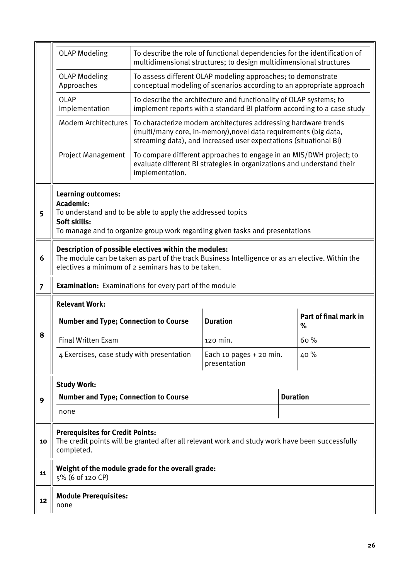|                | <b>OLAP Modeling</b>                                                                                                                                                                                            |                 | To describe the role of functional dependencies for the identification of<br>multidimensional structures; to design multidimensional structures                                                          |                 |                            |  |  |  |  |
|----------------|-----------------------------------------------------------------------------------------------------------------------------------------------------------------------------------------------------------------|-----------------|----------------------------------------------------------------------------------------------------------------------------------------------------------------------------------------------------------|-----------------|----------------------------|--|--|--|--|
|                | <b>OLAP Modeling</b><br>Approaches                                                                                                                                                                              |                 | To assess different OLAP modeling approaches; to demonstrate<br>conceptual modeling of scenarios according to an appropriate approach                                                                    |                 |                            |  |  |  |  |
|                | <b>OLAP</b><br>Implementation                                                                                                                                                                                   |                 | To describe the architecture and functionality of OLAP systems; to<br>implement reports with a standard BI platform according to a case study                                                            |                 |                            |  |  |  |  |
|                | <b>Modern Architectures</b>                                                                                                                                                                                     |                 | To characterize modern architectures addressing hardware trends<br>(multi/many core, in-memory), novel data requirements (big data,<br>streaming data), and increased user expectations (situational BI) |                 |                            |  |  |  |  |
|                | <b>Project Management</b>                                                                                                                                                                                       | implementation. | To compare different approaches to engage in an MIS/DWH project; to<br>evaluate different BI strategies in organizations and understand their                                                            |                 |                            |  |  |  |  |
| 5              | <b>Learning outcomes:</b><br>Academic:<br>To understand and to be able to apply the addressed topics<br>Soft skills:<br>To manage and to organize group work regarding given tasks and presentations            |                 |                                                                                                                                                                                                          |                 |                            |  |  |  |  |
| 6              | Description of possible electives within the modules:<br>The module can be taken as part of the track Business Intelligence or as an elective. Within the<br>electives a minimum of 2 seminars has to be taken. |                 |                                                                                                                                                                                                          |                 |                            |  |  |  |  |
| $\overline{7}$ | <b>Examination:</b> Examinations for every part of the module                                                                                                                                                   |                 |                                                                                                                                                                                                          |                 |                            |  |  |  |  |
|                | <b>Relevant Work:</b>                                                                                                                                                                                           |                 |                                                                                                                                                                                                          |                 |                            |  |  |  |  |
|                | <b>Number and Type; Connection to Course</b>                                                                                                                                                                    |                 | <b>Duration</b>                                                                                                                                                                                          |                 | Part of final mark in<br>% |  |  |  |  |
| 8              | <b>Final Written Exam</b>                                                                                                                                                                                       |                 | 120 min.                                                                                                                                                                                                 |                 | 60%                        |  |  |  |  |
|                | 4 Exercises, case study with presentation                                                                                                                                                                       |                 | Each 10 pages + 20 min.<br>presentation                                                                                                                                                                  | 40%             |                            |  |  |  |  |
|                | <b>Study Work:</b>                                                                                                                                                                                              |                 |                                                                                                                                                                                                          |                 |                            |  |  |  |  |
| 9              | <b>Number and Type; Connection to Course</b>                                                                                                                                                                    |                 |                                                                                                                                                                                                          | <b>Duration</b> |                            |  |  |  |  |
|                | none                                                                                                                                                                                                            |                 |                                                                                                                                                                                                          |                 |                            |  |  |  |  |
| 10             | <b>Prerequisites for Credit Points:</b><br>completed.                                                                                                                                                           |                 | The credit points will be granted after all relevant work and study work have been successfully                                                                                                          |                 |                            |  |  |  |  |
|                | Weight of the module grade for the overall grade:<br>5% (6 of 120 CP)                                                                                                                                           |                 |                                                                                                                                                                                                          |                 |                            |  |  |  |  |
| 11             |                                                                                                                                                                                                                 |                 |                                                                                                                                                                                                          |                 |                            |  |  |  |  |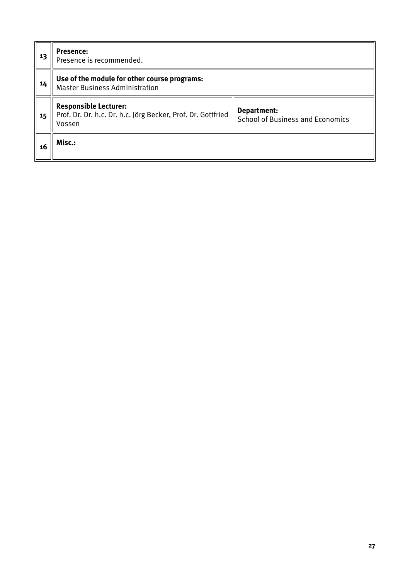| 13 | <b>Presence:</b><br>Presence is recommended.                                                           |                                                        |  |  |  |  |  |
|----|--------------------------------------------------------------------------------------------------------|--------------------------------------------------------|--|--|--|--|--|
| 14 | Use of the module for other course programs:<br><b>Master Business Administration</b>                  |                                                        |  |  |  |  |  |
| 15 | <b>Responsible Lecturer:</b><br>Prof. Dr. Dr. h.c. Dr. h.c. Jörg Becker, Prof. Dr. Gottfried<br>Vossen | Department:<br><b>School of Business and Economics</b> |  |  |  |  |  |
| 16 | Misc.:                                                                                                 |                                                        |  |  |  |  |  |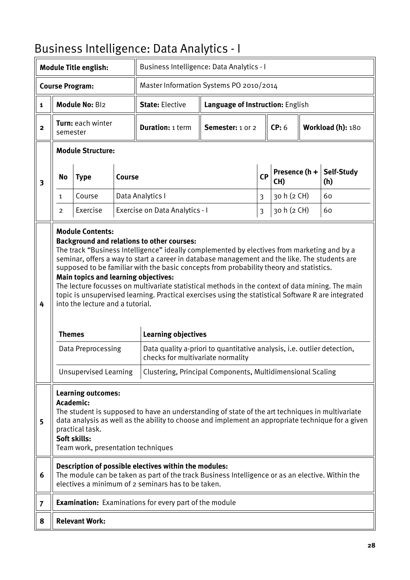# <span id="page-27-0"></span>Business Intelligence: Data Analytics - I

|                | <b>Module Title english:</b>                                                                                                                                                                                                                                                                                                                                                                 |                                                                                                                                                           |               | Business Intelligence: Data Analytics - I                                                                                                                                                                                                                                                                                                                                                                                                                                                                                                                                                                                  |                                                                         |                         |                      |  |                   |
|----------------|----------------------------------------------------------------------------------------------------------------------------------------------------------------------------------------------------------------------------------------------------------------------------------------------------------------------------------------------------------------------------------------------|-----------------------------------------------------------------------------------------------------------------------------------------------------------|---------------|----------------------------------------------------------------------------------------------------------------------------------------------------------------------------------------------------------------------------------------------------------------------------------------------------------------------------------------------------------------------------------------------------------------------------------------------------------------------------------------------------------------------------------------------------------------------------------------------------------------------------|-------------------------------------------------------------------------|-------------------------|----------------------|--|-------------------|
|                |                                                                                                                                                                                                                                                                                                                                                                                              | <b>Course Program:</b>                                                                                                                                    |               | Master Information Systems PO 2010/2014                                                                                                                                                                                                                                                                                                                                                                                                                                                                                                                                                                                    |                                                                         |                         |                      |  |                   |
| 1              |                                                                                                                                                                                                                                                                                                                                                                                              | Module No: Bl2                                                                                                                                            |               | <b>State: Elective</b>                                                                                                                                                                                                                                                                                                                                                                                                                                                                                                                                                                                                     | Language of Instruction: English                                        |                         |                      |  |                   |
| $\mathbf{2}$   | Turn: each winter<br>semester                                                                                                                                                                                                                                                                                                                                                                |                                                                                                                                                           |               | <b>Duration: 1 term</b>                                                                                                                                                                                                                                                                                                                                                                                                                                                                                                                                                                                                    | Semester: 1 or 2                                                        |                         | CP: 6                |  | Workload (h): 180 |
|                |                                                                                                                                                                                                                                                                                                                                                                                              | <b>Module Structure:</b>                                                                                                                                  |               |                                                                                                                                                                                                                                                                                                                                                                                                                                                                                                                                                                                                                            |                                                                         |                         |                      |  |                   |
| 3              | <b>No</b>                                                                                                                                                                                                                                                                                                                                                                                    | <b>Type</b>                                                                                                                                               | <b>Course</b> |                                                                                                                                                                                                                                                                                                                                                                                                                                                                                                                                                                                                                            |                                                                         | CP                      | Presence (h +<br>CH) |  | Self-Study<br>(h) |
|                | 1                                                                                                                                                                                                                                                                                                                                                                                            | Course                                                                                                                                                    |               | Data Analytics I                                                                                                                                                                                                                                                                                                                                                                                                                                                                                                                                                                                                           |                                                                         | $\overline{3}$          | 30 h (2 CH)          |  | 60                |
|                | $\overline{2}$                                                                                                                                                                                                                                                                                                                                                                               | Exercise                                                                                                                                                  |               | Exercise on Data Analytics - I                                                                                                                                                                                                                                                                                                                                                                                                                                                                                                                                                                                             |                                                                         | $\overline{\mathbf{3}}$ | 30 h (2 CH)          |  | 60                |
| 4              | <b>Themes</b>                                                                                                                                                                                                                                                                                                                                                                                | <b>Module Contents:</b><br>Main topics and learning objectives:<br>into the lecture and a tutorial.<br>Data Preprocessing<br><b>Unsupervised Learning</b> |               | <b>Background and relations to other courses:</b><br>The track "Business Intelligence" ideally complemented by electives from marketing and by a<br>seminar, offers a way to start a career in database management and the like. The students are<br>supposed to be familiar with the basic concepts from probability theory and statistics.<br>The lecture focusses on multivariate statistical methods in the context of data mining. The main<br>topic is unsupervised learning. Practical exercises using the statistical Software R are integrated<br><b>Learning objectives</b><br>checks for multivariate normality | Data quality a-priori to quantitative analysis, i.e. outlier detection, |                         |                      |  |                   |
| 5              | Clustering, Principal Components, Multidimensional Scaling<br><b>Learning outcomes:</b><br><b>Academic:</b><br>The student is supposed to have an understanding of state of the art techniques in multivariate<br>data analysis as well as the ability to choose and implement an appropriate technique for a given<br>practical task.<br>Soft skills:<br>Team work, presentation techniques |                                                                                                                                                           |               |                                                                                                                                                                                                                                                                                                                                                                                                                                                                                                                                                                                                                            |                                                                         |                         |                      |  |                   |
| 6              |                                                                                                                                                                                                                                                                                                                                                                                              |                                                                                                                                                           |               | Description of possible electives within the modules:<br>The module can be taken as part of the track Business Intelligence or as an elective. Within the<br>electives a minimum of 2 seminars has to be taken.                                                                                                                                                                                                                                                                                                                                                                                                            |                                                                         |                         |                      |  |                   |
| $\overline{7}$ |                                                                                                                                                                                                                                                                                                                                                                                              |                                                                                                                                                           |               | <b>Examination:</b> Examinations for every part of the module                                                                                                                                                                                                                                                                                                                                                                                                                                                                                                                                                              |                                                                         |                         |                      |  |                   |
| 8              |                                                                                                                                                                                                                                                                                                                                                                                              | <b>Relevant Work:</b>                                                                                                                                     |               |                                                                                                                                                                                                                                                                                                                                                                                                                                                                                                                                                                                                                            |                                                                         |                         |                      |  |                   |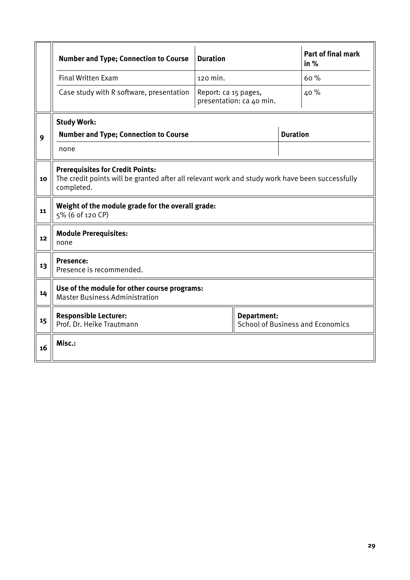|    | <b>Number and Type; Connection to Course</b>                                                                                                             | <b>Duration</b>      |                          |  | <b>Part of final mark</b><br>in $%$ |  |  |  |
|----|----------------------------------------------------------------------------------------------------------------------------------------------------------|----------------------|--------------------------|--|-------------------------------------|--|--|--|
|    | <b>Final Written Exam</b>                                                                                                                                | 120 min.             |                          |  | 60%                                 |  |  |  |
|    | Case study with R software, presentation                                                                                                                 | Report: ca 15 pages, | presentation: ca 40 min. |  | 40 %                                |  |  |  |
|    | <b>Study Work:</b>                                                                                                                                       |                      |                          |  |                                     |  |  |  |
| 9  | <b>Number and Type; Connection to Course</b>                                                                                                             |                      | <b>Duration</b>          |  |                                     |  |  |  |
|    | none                                                                                                                                                     |                      |                          |  |                                     |  |  |  |
| 10 | <b>Prerequisites for Credit Points:</b><br>The credit points will be granted after all relevant work and study work have been successfully<br>completed. |                      |                          |  |                                     |  |  |  |
| 11 | Weight of the module grade for the overall grade:<br>5% (6 of 120 CP)                                                                                    |                      |                          |  |                                     |  |  |  |
| 12 | <b>Module Prerequisites:</b><br>none                                                                                                                     |                      |                          |  |                                     |  |  |  |
| 13 | <b>Presence:</b><br>Presence is recommended.                                                                                                             |                      |                          |  |                                     |  |  |  |
| 14 | Use of the module for other course programs:<br><b>Master Business Administration</b>                                                                    |                      |                          |  |                                     |  |  |  |
| 15 | <b>Responsible Lecturer:</b><br><b>Department:</b><br>Prof. Dr. Heike Trautmann<br><b>School of Business and Economics</b>                               |                      |                          |  |                                     |  |  |  |
| 16 | Misc.:                                                                                                                                                   |                      |                          |  |                                     |  |  |  |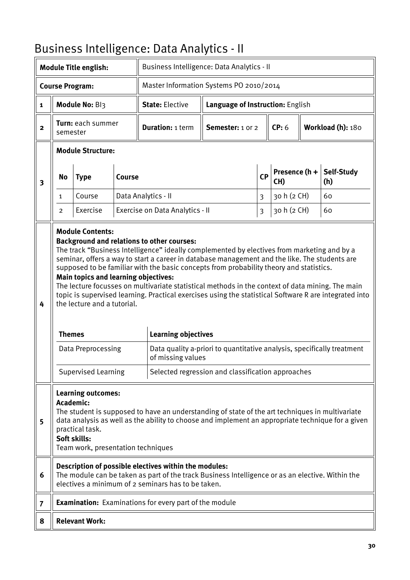# <span id="page-29-0"></span>Business Intelligence: Data Analytics - II

| <b>Module Title english:</b> |                                                                                                                                                                                                                                                                                                                         |                                                                                                                                                           | Business Intelligence: Data Analytics - II |                                                                                                                                                                                                                                                                                                                                                                                                                                                                                                                                                                                                               |                                                                                                                             |                                  |                      |  |                   |  |
|------------------------------|-------------------------------------------------------------------------------------------------------------------------------------------------------------------------------------------------------------------------------------------------------------------------------------------------------------------------|-----------------------------------------------------------------------------------------------------------------------------------------------------------|--------------------------------------------|---------------------------------------------------------------------------------------------------------------------------------------------------------------------------------------------------------------------------------------------------------------------------------------------------------------------------------------------------------------------------------------------------------------------------------------------------------------------------------------------------------------------------------------------------------------------------------------------------------------|-----------------------------------------------------------------------------------------------------------------------------|----------------------------------|----------------------|--|-------------------|--|
|                              |                                                                                                                                                                                                                                                                                                                         | <b>Course Program:</b>                                                                                                                                    |                                            | Master Information Systems PO 2010/2014                                                                                                                                                                                                                                                                                                                                                                                                                                                                                                                                                                       |                                                                                                                             |                                  |                      |  |                   |  |
| 1                            |                                                                                                                                                                                                                                                                                                                         | Module No: BI3                                                                                                                                            |                                            | <b>State: Elective</b>                                                                                                                                                                                                                                                                                                                                                                                                                                                                                                                                                                                        |                                                                                                                             | Language of Instruction: English |                      |  |                   |  |
| $\mathbf{2}$                 | <b>Turn:</b> each summer<br>semester                                                                                                                                                                                                                                                                                    |                                                                                                                                                           |                                            | <b>Duration: 1 term</b>                                                                                                                                                                                                                                                                                                                                                                                                                                                                                                                                                                                       | Semester: 1 or 2                                                                                                            |                                  | CP: 6                |  | Workload (h): 180 |  |
|                              |                                                                                                                                                                                                                                                                                                                         | <b>Module Structure:</b>                                                                                                                                  |                                            |                                                                                                                                                                                                                                                                                                                                                                                                                                                                                                                                                                                                               |                                                                                                                             |                                  |                      |  |                   |  |
| $\overline{\mathbf{3}}$      | <b>No</b>                                                                                                                                                                                                                                                                                                               | <b>Type</b>                                                                                                                                               | <b>Course</b>                              |                                                                                                                                                                                                                                                                                                                                                                                                                                                                                                                                                                                                               |                                                                                                                             | CP                               | Presence (h +<br>CH) |  | Self-Study<br>(h) |  |
|                              | $\mathbf{1}$                                                                                                                                                                                                                                                                                                            | Course                                                                                                                                                    |                                            | Data Analytics - II                                                                                                                                                                                                                                                                                                                                                                                                                                                                                                                                                                                           |                                                                                                                             | $\overline{3}$                   | 30 h (2 CH)          |  | 60                |  |
|                              | $\overline{2}$                                                                                                                                                                                                                                                                                                          | Exercise                                                                                                                                                  |                                            | Exercise on Data Analytics - II                                                                                                                                                                                                                                                                                                                                                                                                                                                                                                                                                                               |                                                                                                                             | $\overline{\mathbf{3}}$          | 30 h (2 CH)          |  | 60                |  |
| 4                            | <b>Themes</b>                                                                                                                                                                                                                                                                                                           | <b>Module Contents:</b><br>Main topics and learning objectives:<br>the lecture and a tutorial.<br><b>Data Preprocessing</b><br><b>Supervised Learning</b> |                                            | <b>Background and relations to other courses:</b><br>The track "Business Intelligence" ideally complemented by electives from marketing and by a<br>seminar, offers a way to start a career in database management and the like. The students are<br>supposed to be familiar with the basic concepts from probability theory and statistics.<br>The lecture focusses on multivariate statistical methods in the context of data mining. The main<br>topic is supervised learning. Practical exercises using the statistical Software R are integrated into<br><b>Learning objectives</b><br>of missing values | Data quality a-priori to quantitative analysis, specifically treatment<br>Selected regression and classification approaches |                                  |                      |  |                   |  |
| 5                            | <b>Learning outcomes:</b><br>Academic:<br>The student is supposed to have an understanding of state of the art techniques in multivariate<br>data analysis as well as the ability to choose and implement an appropriate technique for a given<br>practical task.<br>Soft skills:<br>Team work, presentation techniques |                                                                                                                                                           |                                            |                                                                                                                                                                                                                                                                                                                                                                                                                                                                                                                                                                                                               |                                                                                                                             |                                  |                      |  |                   |  |
| 6                            | Description of possible electives within the modules:<br>The module can be taken as part of the track Business Intelligence or as an elective. Within the<br>electives a minimum of 2 seminars has to be taken.                                                                                                         |                                                                                                                                                           |                                            |                                                                                                                                                                                                                                                                                                                                                                                                                                                                                                                                                                                                               |                                                                                                                             |                                  |                      |  |                   |  |
| $\overline{7}$               |                                                                                                                                                                                                                                                                                                                         |                                                                                                                                                           |                                            | <b>Examination:</b> Examinations for every part of the module                                                                                                                                                                                                                                                                                                                                                                                                                                                                                                                                                 |                                                                                                                             |                                  |                      |  |                   |  |
| 8                            |                                                                                                                                                                                                                                                                                                                         | <b>Relevant Work:</b>                                                                                                                                     |                                            |                                                                                                                                                                                                                                                                                                                                                                                                                                                                                                                                                                                                               |                                                                                                                             |                                  |                      |  |                   |  |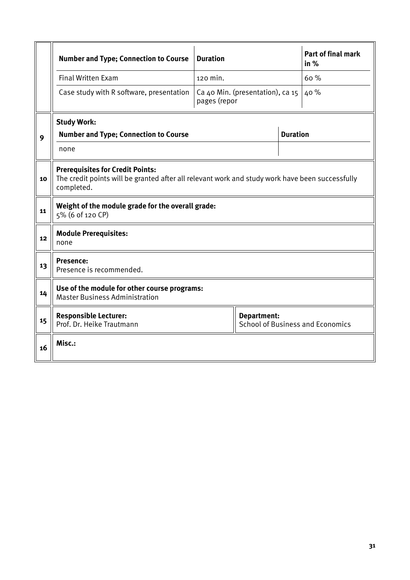|    | <b>Number and Type; Connection to Course</b>                                                                                                             | <b>Duration</b> |  | <b>Part of final mark</b><br>in % |  |  |  |
|----|----------------------------------------------------------------------------------------------------------------------------------------------------------|-----------------|--|-----------------------------------|--|--|--|
|    | <b>Final Written Exam</b>                                                                                                                                | 120 min.        |  | 60%                               |  |  |  |
|    | Case study with R software, presentation                                                                                                                 | 40 %            |  |                                   |  |  |  |
|    | <b>Study Work:</b>                                                                                                                                       |                 |  |                                   |  |  |  |
| 9  | <b>Number and Type; Connection to Course</b>                                                                                                             | <b>Duration</b> |  |                                   |  |  |  |
|    | none                                                                                                                                                     |                 |  |                                   |  |  |  |
| 10 | <b>Prerequisites for Credit Points:</b><br>The credit points will be granted after all relevant work and study work have been successfully<br>completed. |                 |  |                                   |  |  |  |
| 11 | Weight of the module grade for the overall grade:<br>5% (6 of 120 CP)                                                                                    |                 |  |                                   |  |  |  |
| 12 | <b>Module Prerequisites:</b><br>none                                                                                                                     |                 |  |                                   |  |  |  |
| 13 | <b>Presence:</b><br>Presence is recommended.                                                                                                             |                 |  |                                   |  |  |  |
| 14 | Use of the module for other course programs:<br><b>Master Business Administration</b>                                                                    |                 |  |                                   |  |  |  |
| 15 | <b>Responsible Lecturer:</b><br><b>Department:</b><br>Prof. Dr. Heike Trautmann<br><b>School of Business and Economics</b>                               |                 |  |                                   |  |  |  |
| 16 | Misc.:                                                                                                                                                   |                 |  |                                   |  |  |  |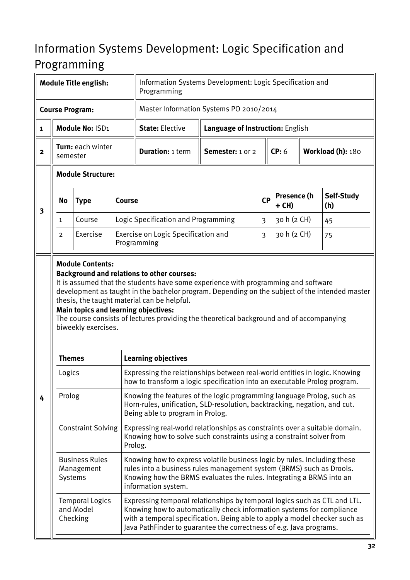## <span id="page-31-0"></span>Information Systems Development: Logic Specification and Programming

|                         | <b>Module Title english:</b>  |                                                                    | Information Systems Development: Logic Specification and<br>Programming |                                                                                                                                                                                                                                                                                                         |                                  |                         |                      |  |                   |  |  |
|-------------------------|-------------------------------|--------------------------------------------------------------------|-------------------------------------------------------------------------|---------------------------------------------------------------------------------------------------------------------------------------------------------------------------------------------------------------------------------------------------------------------------------------------------------|----------------------------------|-------------------------|----------------------|--|-------------------|--|--|
|                         |                               | <b>Course Program:</b>                                             |                                                                         | Master Information Systems PO 2010/2014                                                                                                                                                                                                                                                                 |                                  |                         |                      |  |                   |  |  |
| $\mathbf{1}$            |                               | Module No: ISD1                                                    |                                                                         | <b>State: Elective</b>                                                                                                                                                                                                                                                                                  | Language of Instruction: English |                         |                      |  |                   |  |  |
| $\mathbf{2}$            | Turn: each winter<br>semester |                                                                    |                                                                         | <b>Duration: 1 term</b>                                                                                                                                                                                                                                                                                 | Semester: 1 or 2                 |                         | CP: 6                |  | Workload (h): 180 |  |  |
|                         |                               | <b>Module Structure:</b>                                           |                                                                         |                                                                                                                                                                                                                                                                                                         |                                  |                         |                      |  |                   |  |  |
| $\overline{\mathbf{3}}$ | <b>No</b>                     | <b>Type</b>                                                        | <b>Course</b>                                                           |                                                                                                                                                                                                                                                                                                         |                                  | <b>CP</b>               | Presence (h<br>+ CH) |  | Self-Study<br>(h) |  |  |
|                         | 1                             | Course                                                             |                                                                         | Logic Specification and Programming                                                                                                                                                                                                                                                                     |                                  | 3                       | 30 h (2 CH)          |  | 45                |  |  |
|                         | $\overline{2}$                | Exercise                                                           |                                                                         | Exercise on Logic Specification and<br>Programming                                                                                                                                                                                                                                                      |                                  | $\overline{\mathbf{3}}$ | 30 h (2 CH)          |  | 75                |  |  |
|                         | <b>Themes</b>                 | <b>Main topics and learning objectives:</b><br>biweekly exercises. |                                                                         | development as taught in the bachelor program. Depending on the subject of the intended master<br>thesis, the taught material can be helpful.<br>The course consists of lectures providing the theoretical background and of accompanying<br><b>Learning objectives</b>                                 |                                  |                         |                      |  |                   |  |  |
|                         | Logics                        |                                                                    |                                                                         | Expressing the relationships between real-world entities in logic. Knowing<br>how to transform a logic specification into an executable Prolog program.                                                                                                                                                 |                                  |                         |                      |  |                   |  |  |
| 4                       | Prolog                        |                                                                    |                                                                         | Knowing the features of the logic programming language Prolog, such as<br>Horn-rules, unification, SLD-resolution, backtracking, negation, and cut.<br>Being able to program in Prolog.                                                                                                                 |                                  |                         |                      |  |                   |  |  |
|                         |                               | <b>Constraint Solving</b>                                          |                                                                         | Expressing real-world relationships as constraints over a suitable domain.<br>Knowing how to solve such constraints using a constraint solver from<br>Prolog.                                                                                                                                           |                                  |                         |                      |  |                   |  |  |
|                         |                               | <b>Business Rules</b><br>Management<br>Systems                     |                                                                         | Knowing how to express volatile business logic by rules. Including these<br>rules into a business rules management system (BRMS) such as Drools.<br>Knowing how the BRMS evaluates the rules. Integrating a BRMS into an<br>information system.                                                         |                                  |                         |                      |  |                   |  |  |
|                         |                               | <b>Temporal Logics</b><br>and Model<br>Checking                    |                                                                         | Expressing temporal relationships by temporal logics such as CTL and LTL.<br>Knowing how to automatically check information systems for compliance<br>with a temporal specification. Being able to apply a model checker such as<br>Java PathFinder to guarantee the correctness of e.g. Java programs. |                                  |                         |                      |  |                   |  |  |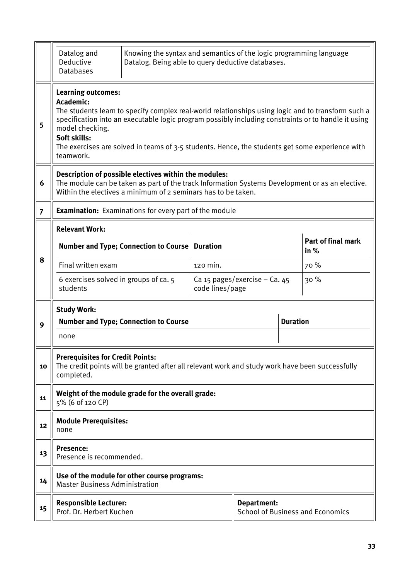|                | Datalog and<br>Knowing the syntax and semantics of the logic programming language<br>Deductive<br>Datalog. Being able to query deductive databases.<br><b>Databases</b>                                                                                                                                                                                                                                |                                                                                                 |                 |                               |                                   |                                         |  |  |  |  |
|----------------|--------------------------------------------------------------------------------------------------------------------------------------------------------------------------------------------------------------------------------------------------------------------------------------------------------------------------------------------------------------------------------------------------------|-------------------------------------------------------------------------------------------------|-----------------|-------------------------------|-----------------------------------|-----------------------------------------|--|--|--|--|
| 5              | <b>Learning outcomes:</b><br>Academic:<br>The students learn to specify complex real-world relationships using logic and to transform such a<br>specification into an executable logic program possibly including constraints or to handle it using<br>model checking.<br>Soft skills:<br>The exercises are solved in teams of 3-5 students. Hence, the students get some experience with<br>teamwork. |                                                                                                 |                 |                               |                                   |                                         |  |  |  |  |
| 6              | Description of possible electives within the modules:<br>The module can be taken as part of the track Information Systems Development or as an elective.<br>Within the electives a minimum of 2 seminars has to be taken.                                                                                                                                                                              |                                                                                                 |                 |                               |                                   |                                         |  |  |  |  |
| $\overline{7}$ | <b>Examination:</b> Examinations for every part of the module                                                                                                                                                                                                                                                                                                                                          |                                                                                                 |                 |                               |                                   |                                         |  |  |  |  |
|                | <b>Relevant Work:</b><br>Number and Type; Connection to Course   Duration                                                                                                                                                                                                                                                                                                                              |                                                                                                 |                 |                               | <b>Part of final mark</b><br>in % |                                         |  |  |  |  |
| 8              | Final written exam                                                                                                                                                                                                                                                                                                                                                                                     |                                                                                                 | 120 min.        |                               |                                   | 70 %                                    |  |  |  |  |
|                | 6 exercises solved in groups of ca. 5<br>students                                                                                                                                                                                                                                                                                                                                                      |                                                                                                 | code lines/page | Ca 15 pages/exercise - Ca. 45 |                                   | 30%                                     |  |  |  |  |
| 9              | <b>Study Work:</b><br>none                                                                                                                                                                                                                                                                                                                                                                             | <b>Number and Type; Connection to Course</b>                                                    |                 |                               | <b>Duration</b>                   |                                         |  |  |  |  |
| 10             | <b>Prerequisites for Credit Points:</b><br>completed.                                                                                                                                                                                                                                                                                                                                                  | The credit points will be granted after all relevant work and study work have been successfully |                 |                               |                                   |                                         |  |  |  |  |
| 11             | 5% (6 of 120 CP)                                                                                                                                                                                                                                                                                                                                                                                       | Weight of the module grade for the overall grade:                                               |                 |                               |                                   |                                         |  |  |  |  |
| 12             | <b>Module Prerequisites:</b><br>none                                                                                                                                                                                                                                                                                                                                                                   |                                                                                                 |                 |                               |                                   |                                         |  |  |  |  |
| 13             | <b>Presence:</b><br>Presence is recommended.                                                                                                                                                                                                                                                                                                                                                           |                                                                                                 |                 |                               |                                   |                                         |  |  |  |  |
| 14             | <b>Master Business Administration</b>                                                                                                                                                                                                                                                                                                                                                                  | Use of the module for other course programs:                                                    |                 |                               |                                   |                                         |  |  |  |  |
| 15             | <b>Responsible Lecturer:</b><br>Prof. Dr. Herbert Kuchen                                                                                                                                                                                                                                                                                                                                               |                                                                                                 |                 | Department:                   |                                   | <b>School of Business and Economics</b> |  |  |  |  |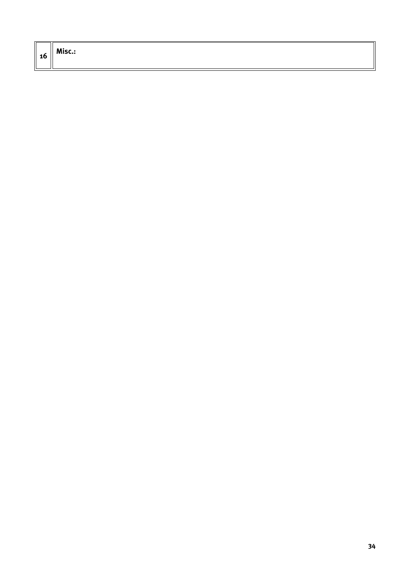| - 1<br>10 | Misc.: |
|-----------|--------|
|           |        |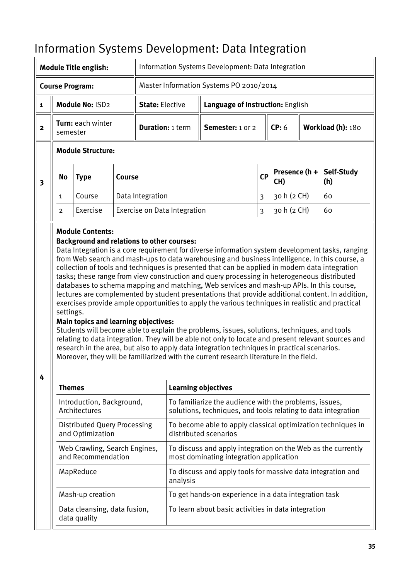# <span id="page-34-0"></span>Information Systems Development: Data Integration

|                         | <b>Module Title english:</b> |                                                                                                  |               |                         |                                                                                                                         | Information Systems Development: Data Integration                                                                                                                                                                                                                                                                                                                                                                                                                                                                                                                                                                                                                                                                                                                                                                                                                                                                                                                                                                                                                                                     |           |                      |  |                   |
|-------------------------|------------------------------|--------------------------------------------------------------------------------------------------|---------------|-------------------------|-------------------------------------------------------------------------------------------------------------------------|-------------------------------------------------------------------------------------------------------------------------------------------------------------------------------------------------------------------------------------------------------------------------------------------------------------------------------------------------------------------------------------------------------------------------------------------------------------------------------------------------------------------------------------------------------------------------------------------------------------------------------------------------------------------------------------------------------------------------------------------------------------------------------------------------------------------------------------------------------------------------------------------------------------------------------------------------------------------------------------------------------------------------------------------------------------------------------------------------------|-----------|----------------------|--|-------------------|
|                         |                              | <b>Course Program:</b>                                                                           |               |                         |                                                                                                                         | Master Information Systems PO 2010/2014                                                                                                                                                                                                                                                                                                                                                                                                                                                                                                                                                                                                                                                                                                                                                                                                                                                                                                                                                                                                                                                               |           |                      |  |                   |
| $\mathbf{1}$            |                              | Module No: ISD2                                                                                  |               | <b>State: Elective</b>  |                                                                                                                         | Language of Instruction: English                                                                                                                                                                                                                                                                                                                                                                                                                                                                                                                                                                                                                                                                                                                                                                                                                                                                                                                                                                                                                                                                      |           |                      |  |                   |
| $\overline{2}$          | semester                     | Turn: each winter                                                                                |               | <b>Duration: 1 term</b> |                                                                                                                         | Semester: 1 or 2                                                                                                                                                                                                                                                                                                                                                                                                                                                                                                                                                                                                                                                                                                                                                                                                                                                                                                                                                                                                                                                                                      |           | CP: 6                |  | Workload (h): 180 |
|                         |                              | <b>Module Structure:</b>                                                                         |               |                         |                                                                                                                         |                                                                                                                                                                                                                                                                                                                                                                                                                                                                                                                                                                                                                                                                                                                                                                                                                                                                                                                                                                                                                                                                                                       |           |                      |  |                   |
| $\overline{\mathbf{3}}$ | <b>No</b>                    | <b>Type</b>                                                                                      | <b>Course</b> |                         |                                                                                                                         |                                                                                                                                                                                                                                                                                                                                                                                                                                                                                                                                                                                                                                                                                                                                                                                                                                                                                                                                                                                                                                                                                                       | <b>CP</b> | Presence (h +<br>CH) |  | Self-Study<br>(h) |
|                         | 1                            | Course                                                                                           |               | Data Integration        |                                                                                                                         |                                                                                                                                                                                                                                                                                                                                                                                                                                                                                                                                                                                                                                                                                                                                                                                                                                                                                                                                                                                                                                                                                                       | 3         | 30 h (2 CH)          |  | 60                |
|                         | $\overline{2}$               | Exercise                                                                                         |               |                         | Exercise on Data Integration                                                                                            |                                                                                                                                                                                                                                                                                                                                                                                                                                                                                                                                                                                                                                                                                                                                                                                                                                                                                                                                                                                                                                                                                                       | 3         | 30 h (2 CH)          |  | 60                |
| 4                       | settings.                    | <b>Background and relations to other courses:</b><br><b>Main topics and learning objectives:</b> |               |                         |                                                                                                                         | Data Integration is a core requirement for diverse information system development tasks, ranging<br>from Web search and mash-ups to data warehousing and business intelligence. In this course, a<br>collection of tools and techniques is presented that can be applied in modern data integration<br>tasks; these range from view construction and query processing in heterogeneous distributed<br>databases to schema mapping and matching, Web services and mash-up APIs. In this course,<br>lectures are complemented by student presentations that provide additional content. In addition,<br>exercises provide ample opportunities to apply the various techniques in realistic and practical<br>Students will become able to explain the problems, issues, solutions, techniques, and tools<br>relating to data integration. They will be able not only to locate and present relevant sources and<br>research in the area, but also to apply data integration techniques in practical scenarios.<br>Moreover, they will be familiarized with the current research literature in the field. |           |                      |  |                   |
|                         | <b>Themes</b>                |                                                                                                  |               |                         |                                                                                                                         | <b>Learning objectives</b>                                                                                                                                                                                                                                                                                                                                                                                                                                                                                                                                                                                                                                                                                                                                                                                                                                                                                                                                                                                                                                                                            |           |                      |  |                   |
|                         |                              | Introduction, Background,<br>Architectures                                                       |               |                         | To familiarize the audience with the problems, issues,<br>solutions, techniques, and tools relating to data integration |                                                                                                                                                                                                                                                                                                                                                                                                                                                                                                                                                                                                                                                                                                                                                                                                                                                                                                                                                                                                                                                                                                       |           |                      |  |                   |
|                         |                              | <b>Distributed Query Processing</b><br>and Optimization                                          |               |                         |                                                                                                                         | To become able to apply classical optimization techniques in<br>distributed scenarios                                                                                                                                                                                                                                                                                                                                                                                                                                                                                                                                                                                                                                                                                                                                                                                                                                                                                                                                                                                                                 |           |                      |  |                   |
|                         |                              | Web Crawling, Search Engines,<br>and Recommendation                                              |               |                         |                                                                                                                         | To discuss and apply integration on the Web as the currently<br>most dominating integration application                                                                                                                                                                                                                                                                                                                                                                                                                                                                                                                                                                                                                                                                                                                                                                                                                                                                                                                                                                                               |           |                      |  |                   |
|                         |                              | MapReduce                                                                                        |               |                         | To discuss and apply tools for massive data integration and<br>analysis                                                 |                                                                                                                                                                                                                                                                                                                                                                                                                                                                                                                                                                                                                                                                                                                                                                                                                                                                                                                                                                                                                                                                                                       |           |                      |  |                   |
|                         |                              | Mash-up creation                                                                                 |               |                         |                                                                                                                         | To get hands-on experience in a data integration task                                                                                                                                                                                                                                                                                                                                                                                                                                                                                                                                                                                                                                                                                                                                                                                                                                                                                                                                                                                                                                                 |           |                      |  |                   |
|                         |                              | Data cleansing, data fusion,<br>data quality                                                     |               |                         |                                                                                                                         | To learn about basic activities in data integration                                                                                                                                                                                                                                                                                                                                                                                                                                                                                                                                                                                                                                                                                                                                                                                                                                                                                                                                                                                                                                                   |           |                      |  |                   |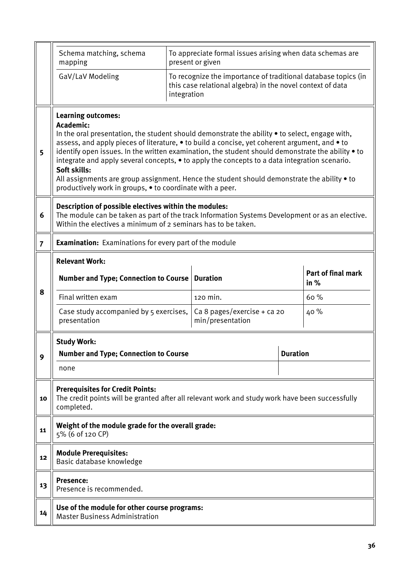|                       | Schema matching, schema<br>mapping                                                                                                                                                                                                                                                                                                                                                                                                                                                                                                                                                                                                          |             | To appreciate formal issues arising when data schemas are<br>present or given                                                |                                   |  |  |  |  |
|-----------------------|---------------------------------------------------------------------------------------------------------------------------------------------------------------------------------------------------------------------------------------------------------------------------------------------------------------------------------------------------------------------------------------------------------------------------------------------------------------------------------------------------------------------------------------------------------------------------------------------------------------------------------------------|-------------|------------------------------------------------------------------------------------------------------------------------------|-----------------------------------|--|--|--|--|
|                       | GaV/LaV Modeling                                                                                                                                                                                                                                                                                                                                                                                                                                                                                                                                                                                                                            | integration | To recognize the importance of traditional database topics (in<br>this case relational algebra) in the novel context of data |                                   |  |  |  |  |
| 5                     | <b>Learning outcomes:</b><br>Academic:<br>In the oral presentation, the student should demonstrate the ability • to select, engage with,<br>assess, and apply pieces of literature, $\bullet$ to build a concise, yet coherent argument, and $\bullet$ to<br>identify open issues. In the written examination, the student should demonstrate the ability • to<br>integrate and apply several concepts, • to apply the concepts to a data integration scenario.<br>Soft skills:<br>All assignments are group assignment. Hence the student should demonstrate the ability • to<br>productively work in groups, • to coordinate with a peer. |             |                                                                                                                              |                                   |  |  |  |  |
| 6                     | Description of possible electives within the modules:<br>The module can be taken as part of the track Information Systems Development or as an elective.<br>Within the electives a minimum of 2 seminars has to be taken.                                                                                                                                                                                                                                                                                                                                                                                                                   |             |                                                                                                                              |                                   |  |  |  |  |
| $\overline{7}$        | <b>Examination:</b> Examinations for every part of the module                                                                                                                                                                                                                                                                                                                                                                                                                                                                                                                                                                               |             |                                                                                                                              |                                   |  |  |  |  |
| <b>Relevant Work:</b> |                                                                                                                                                                                                                                                                                                                                                                                                                                                                                                                                                                                                                                             |             |                                                                                                                              |                                   |  |  |  |  |
|                       | Number and Type; Connection to Course   Duration                                                                                                                                                                                                                                                                                                                                                                                                                                                                                                                                                                                            |             |                                                                                                                              | <b>Part of final mark</b><br>in % |  |  |  |  |
| 8                     | Final written exam                                                                                                                                                                                                                                                                                                                                                                                                                                                                                                                                                                                                                          |             | 120 min.                                                                                                                     | 60%                               |  |  |  |  |
|                       | Case study accompanied by 5 exercises,<br>presentation                                                                                                                                                                                                                                                                                                                                                                                                                                                                                                                                                                                      |             | Ca 8 pages/exercise + ca 20<br>min/presentation                                                                              | 40 %                              |  |  |  |  |
| 9                     | <b>Study Work:</b><br><b>Number and Type; Connection to Course</b><br>none                                                                                                                                                                                                                                                                                                                                                                                                                                                                                                                                                                  |             |                                                                                                                              | <b>Duration</b>                   |  |  |  |  |
| 10                    | <b>Prerequisites for Credit Points:</b><br>The credit points will be granted after all relevant work and study work have been successfully<br>completed.                                                                                                                                                                                                                                                                                                                                                                                                                                                                                    |             |                                                                                                                              |                                   |  |  |  |  |
| 11                    | Weight of the module grade for the overall grade:<br>5% (6 of 120 CP)                                                                                                                                                                                                                                                                                                                                                                                                                                                                                                                                                                       |             |                                                                                                                              |                                   |  |  |  |  |
| 12                    | <b>Module Prerequisites:</b><br>Basic database knowledge                                                                                                                                                                                                                                                                                                                                                                                                                                                                                                                                                                                    |             |                                                                                                                              |                                   |  |  |  |  |
| 13                    | <b>Presence:</b><br>Presence is recommended.                                                                                                                                                                                                                                                                                                                                                                                                                                                                                                                                                                                                |             |                                                                                                                              |                                   |  |  |  |  |
| 14                    | Use of the module for other course programs:<br><b>Master Business Administration</b>                                                                                                                                                                                                                                                                                                                                                                                                                                                                                                                                                       |             |                                                                                                                              |                                   |  |  |  |  |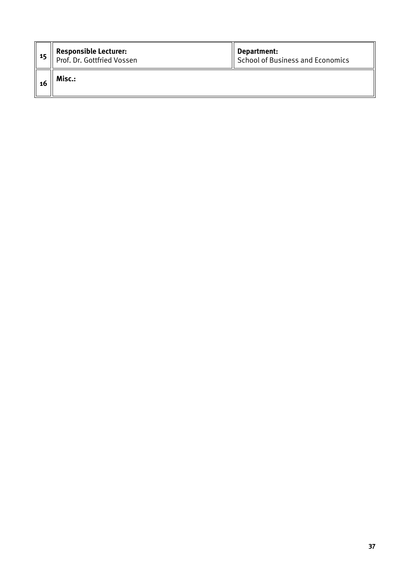| -15 | <b>Responsible Lecturer:</b><br>Prof. Dr. Gottfried Vossen | Department:<br>School of Business and Economics |
|-----|------------------------------------------------------------|-------------------------------------------------|
| 16  | Misc.:                                                     |                                                 |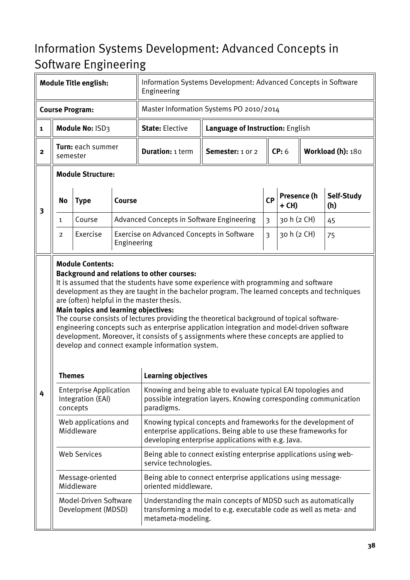## <span id="page-37-0"></span>Information Systems Development: Advanced Concepts in Software Engineering

|                |                               | <b>Module Title english:</b>                                   |             | Information Systems Development: Advanced Concepts in Software<br>Engineering                                                                                                                                                                                                                                                                                                                                                                                                                                                                                          |                                                                   |                                                                                                                                    |                      |  |                   |  |
|----------------|-------------------------------|----------------------------------------------------------------|-------------|------------------------------------------------------------------------------------------------------------------------------------------------------------------------------------------------------------------------------------------------------------------------------------------------------------------------------------------------------------------------------------------------------------------------------------------------------------------------------------------------------------------------------------------------------------------------|-------------------------------------------------------------------|------------------------------------------------------------------------------------------------------------------------------------|----------------------|--|-------------------|--|
|                |                               | <b>Course Program:</b>                                         |             | Master Information Systems PO 2010/2014                                                                                                                                                                                                                                                                                                                                                                                                                                                                                                                                |                                                                   |                                                                                                                                    |                      |  |                   |  |
| $\mathbf{1}$   |                               | Module No: ISD3                                                |             | <b>State: Elective</b>                                                                                                                                                                                                                                                                                                                                                                                                                                                                                                                                                 | Language of Instruction: English                                  |                                                                                                                                    |                      |  |                   |  |
| $\overline{2}$ | Turn: each summer<br>semester |                                                                |             | <b>Duration: 1 term</b>                                                                                                                                                                                                                                                                                                                                                                                                                                                                                                                                                | <b>Semester:</b> 1 or 2                                           |                                                                                                                                    | CP: 6                |  | Workload (h): 180 |  |
|                | <b>Module Structure:</b>      |                                                                |             |                                                                                                                                                                                                                                                                                                                                                                                                                                                                                                                                                                        |                                                                   |                                                                                                                                    |                      |  |                   |  |
| 3              | No                            | <b>Type</b>                                                    | Course      |                                                                                                                                                                                                                                                                                                                                                                                                                                                                                                                                                                        |                                                                   | <b>CP</b>                                                                                                                          | Presence (h<br>+ CH) |  | Self-Study<br>(h) |  |
|                | 1                             | Course                                                         |             | Advanced Concepts in Software Engineering                                                                                                                                                                                                                                                                                                                                                                                                                                                                                                                              |                                                                   | 3                                                                                                                                  | 30 h (2 CH)          |  | 45                |  |
|                | 2                             | Exercise                                                       | Engineering | Exercise on Advanced Concepts in Software                                                                                                                                                                                                                                                                                                                                                                                                                                                                                                                              |                                                                   | 3                                                                                                                                  | 30 h (2 CH)          |  | 75                |  |
|                |                               | Main topics and learning objectives:                           |             | It is assumed that the students have some experience with programming and software<br>development as they are taught in the bachelor program. The learned concepts and techniques<br>are (often) helpful in the master thesis.<br>The course consists of lectures providing the theoretical background of topical software-<br>engineering concepts such as enterprise application integration and model-driven software<br>development. Moreover, it consists of 5 assignments where these concepts are applied to<br>develop and connect example information system. |                                                                   |                                                                                                                                    |                      |  |                   |  |
|                | <b>Themes</b>                 |                                                                |             | <b>Learning objectives</b>                                                                                                                                                                                                                                                                                                                                                                                                                                                                                                                                             |                                                                   |                                                                                                                                    |                      |  |                   |  |
| 4              |                               | <b>Enterprise Application</b><br>Integration (EAI)<br>concepts |             | Knowing and being able to evaluate typical EAI topologies and<br>possible integration layers. Knowing corresponding communication<br>paradigms.                                                                                                                                                                                                                                                                                                                                                                                                                        |                                                                   |                                                                                                                                    |                      |  |                   |  |
|                |                               | Web applications and<br>Middleware                             |             | Knowing typical concepts and frameworks for the development of<br>enterprise applications. Being able to use these frameworks for<br>developing enterprise applications with e.g. Java.                                                                                                                                                                                                                                                                                                                                                                                |                                                                   |                                                                                                                                    |                      |  |                   |  |
|                |                               | <b>Web Services</b>                                            |             | service technologies.                                                                                                                                                                                                                                                                                                                                                                                                                                                                                                                                                  | Being able to connect existing enterprise applications using web- |                                                                                                                                    |                      |  |                   |  |
|                |                               | Message-oriented<br>Middleware                                 |             | Being able to connect enterprise applications using message-<br>oriented middleware.                                                                                                                                                                                                                                                                                                                                                                                                                                                                                   |                                                                   |                                                                                                                                    |                      |  |                   |  |
|                |                               | Model-Driven Software<br>Development (MDSD)                    |             | metameta-modeling.                                                                                                                                                                                                                                                                                                                                                                                                                                                                                                                                                     |                                                                   | Understanding the main concepts of MDSD such as automatically<br>transforming a model to e.g. executable code as well as meta- and |                      |  |                   |  |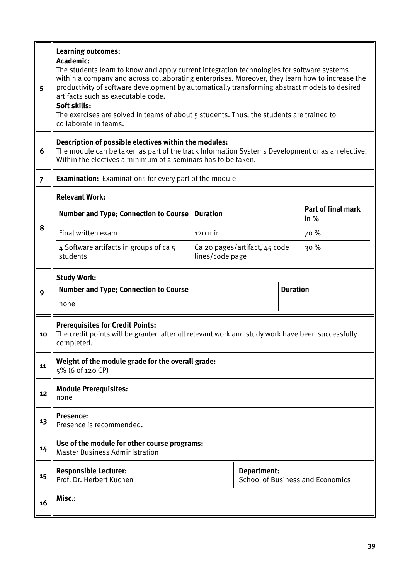| 5              | <b>Learning outcomes:</b><br>Academic:<br>The students learn to know and apply current integration technologies for software systems<br>within a company and across collaborating enterprises. Moreover, they learn how to increase the<br>productivity of software development by automatically transforming abstract models to desired<br>artifacts such as executable code.<br>Soft skills:<br>The exercises are solved in teams of about 5 students. Thus, the students are trained to<br>collaborate in teams. |                               |             |  |                                         |  |  |
|----------------|---------------------------------------------------------------------------------------------------------------------------------------------------------------------------------------------------------------------------------------------------------------------------------------------------------------------------------------------------------------------------------------------------------------------------------------------------------------------------------------------------------------------|-------------------------------|-------------|--|-----------------------------------------|--|--|
| 6              | Description of possible electives within the modules:<br>The module can be taken as part of the track Information Systems Development or as an elective.<br>Within the electives a minimum of 2 seminars has to be taken.                                                                                                                                                                                                                                                                                           |                               |             |  |                                         |  |  |
| $\overline{7}$ | <b>Examination:</b> Examinations for every part of the module                                                                                                                                                                                                                                                                                                                                                                                                                                                       |                               |             |  |                                         |  |  |
|                | <b>Relevant Work:</b><br><b>Number and Type; Connection to Course</b>                                                                                                                                                                                                                                                                                                                                                                                                                                               | <b>Duration</b>               |             |  | Part of final mark<br>in $%$            |  |  |
| 8              | Final written exam<br>120 min.                                                                                                                                                                                                                                                                                                                                                                                                                                                                                      |                               |             |  | 70 %                                    |  |  |
|                | 4 Software artifacts in groups of ca 5<br>students                                                                                                                                                                                                                                                                                                                                                                                                                                                                  | Ca 20 pages/artifact, 45 code | 30%         |  |                                         |  |  |
|                | <b>Study Work:</b>                                                                                                                                                                                                                                                                                                                                                                                                                                                                                                  |                               |             |  |                                         |  |  |
| 9              | <b>Number and Type; Connection to Course</b>                                                                                                                                                                                                                                                                                                                                                                                                                                                                        | <b>Duration</b>               |             |  |                                         |  |  |
|                | none                                                                                                                                                                                                                                                                                                                                                                                                                                                                                                                |                               |             |  |                                         |  |  |
| 10             | <b>Prerequisites for Credit Points:</b><br>The credit points will be granted after all relevant work and study work have been successfully<br>completed.                                                                                                                                                                                                                                                                                                                                                            |                               |             |  |                                         |  |  |
| 11             | Weight of the module grade for the overall grade:<br>5% (6 of 120 CP)                                                                                                                                                                                                                                                                                                                                                                                                                                               |                               |             |  |                                         |  |  |
| 12             | <b>Module Prerequisites:</b><br>none                                                                                                                                                                                                                                                                                                                                                                                                                                                                                |                               |             |  |                                         |  |  |
| 13             | <b>Presence:</b><br>Presence is recommended.                                                                                                                                                                                                                                                                                                                                                                                                                                                                        |                               |             |  |                                         |  |  |
| 14             | Use of the module for other course programs:<br><b>Master Business Administration</b>                                                                                                                                                                                                                                                                                                                                                                                                                               |                               |             |  |                                         |  |  |
| 15             | <b>Responsible Lecturer:</b><br>Prof. Dr. Herbert Kuchen                                                                                                                                                                                                                                                                                                                                                                                                                                                            |                               | Department: |  | <b>School of Business and Economics</b> |  |  |
| 16             | Misc.:                                                                                                                                                                                                                                                                                                                                                                                                                                                                                                              |                               |             |  |                                         |  |  |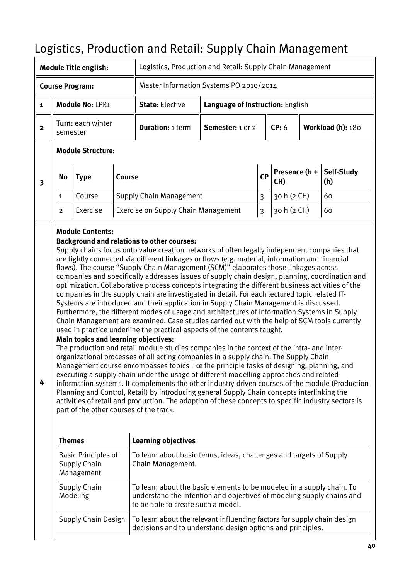# <span id="page-39-0"></span>Logistics, Production and Retail: Supply Chain Management

| <b>Module Title english:</b> |                                                                                                                                                                                                                                                                                                                                                                                                                                                                                                                                                                                                                                                                                                                                                                                                                                                                                                                                                                                                                                                                                                                                                                                                                                                                                                                                                                                                                                                                                                                                                                                                                                                                                                                                                                                                                                     |                                                          |        | Logistics, Production and Retail: Supply Chain Management                                                                                                                            |                                  |                         |                      |  |                   |  |
|------------------------------|-------------------------------------------------------------------------------------------------------------------------------------------------------------------------------------------------------------------------------------------------------------------------------------------------------------------------------------------------------------------------------------------------------------------------------------------------------------------------------------------------------------------------------------------------------------------------------------------------------------------------------------------------------------------------------------------------------------------------------------------------------------------------------------------------------------------------------------------------------------------------------------------------------------------------------------------------------------------------------------------------------------------------------------------------------------------------------------------------------------------------------------------------------------------------------------------------------------------------------------------------------------------------------------------------------------------------------------------------------------------------------------------------------------------------------------------------------------------------------------------------------------------------------------------------------------------------------------------------------------------------------------------------------------------------------------------------------------------------------------------------------------------------------------------------------------------------------------|----------------------------------------------------------|--------|--------------------------------------------------------------------------------------------------------------------------------------------------------------------------------------|----------------------------------|-------------------------|----------------------|--|-------------------|--|
|                              |                                                                                                                                                                                                                                                                                                                                                                                                                                                                                                                                                                                                                                                                                                                                                                                                                                                                                                                                                                                                                                                                                                                                                                                                                                                                                                                                                                                                                                                                                                                                                                                                                                                                                                                                                                                                                                     | <b>Course Program:</b>                                   |        | Master Information Systems PO 2010/2014                                                                                                                                              |                                  |                         |                      |  |                   |  |
| $\mathbf{1}$                 |                                                                                                                                                                                                                                                                                                                                                                                                                                                                                                                                                                                                                                                                                                                                                                                                                                                                                                                                                                                                                                                                                                                                                                                                                                                                                                                                                                                                                                                                                                                                                                                                                                                                                                                                                                                                                                     | Module No: LPR1                                          |        | <b>State: Elective</b>                                                                                                                                                               | Language of Instruction: English |                         |                      |  |                   |  |
| $\mathbf{2}$                 | semester                                                                                                                                                                                                                                                                                                                                                                                                                                                                                                                                                                                                                                                                                                                                                                                                                                                                                                                                                                                                                                                                                                                                                                                                                                                                                                                                                                                                                                                                                                                                                                                                                                                                                                                                                                                                                            | Turn: each winter                                        |        | <b>Duration: 1 term</b>                                                                                                                                                              | Semester: 1 or 2                 |                         | CP: 6                |  | Workload (h): 180 |  |
|                              |                                                                                                                                                                                                                                                                                                                                                                                                                                                                                                                                                                                                                                                                                                                                                                                                                                                                                                                                                                                                                                                                                                                                                                                                                                                                                                                                                                                                                                                                                                                                                                                                                                                                                                                                                                                                                                     | <b>Module Structure:</b>                                 |        |                                                                                                                                                                                      |                                  |                         |                      |  |                   |  |
| $\overline{\mathbf{3}}$      | No                                                                                                                                                                                                                                                                                                                                                                                                                                                                                                                                                                                                                                                                                                                                                                                                                                                                                                                                                                                                                                                                                                                                                                                                                                                                                                                                                                                                                                                                                                                                                                                                                                                                                                                                                                                                                                  | <b>Type</b>                                              | Course |                                                                                                                                                                                      |                                  | <b>CP</b>               | Presence (h +<br>CH) |  | Self-Study<br>(h) |  |
|                              | $\mathbf{1}$                                                                                                                                                                                                                                                                                                                                                                                                                                                                                                                                                                                                                                                                                                                                                                                                                                                                                                                                                                                                                                                                                                                                                                                                                                                                                                                                                                                                                                                                                                                                                                                                                                                                                                                                                                                                                        | Course                                                   |        | <b>Supply Chain Management</b>                                                                                                                                                       |                                  | $\overline{3}$          | 30 h (2 CH)          |  | 60                |  |
|                              | $\overline{2}$                                                                                                                                                                                                                                                                                                                                                                                                                                                                                                                                                                                                                                                                                                                                                                                                                                                                                                                                                                                                                                                                                                                                                                                                                                                                                                                                                                                                                                                                                                                                                                                                                                                                                                                                                                                                                      | Exercise                                                 |        | <b>Exercise on Supply Chain Management</b>                                                                                                                                           |                                  | $\overline{\mathbf{3}}$ | 30 h (2 CH)          |  | 60                |  |
| 4                            | <b>Module Contents:</b><br><b>Background and relations to other courses:</b><br>Supply chains focus onto value creation networks of often legally independent companies that<br>are tightly connected via different linkages or flows (e.g. material, information and financial<br>flows). The course "Supply Chain Management (SCM)" elaborates those linkages across<br>companies and specifically addresses issues of supply chain design, planning, coordination and<br>optimization. Collaborative process concepts integrating the different business activities of the<br>companies in the supply chain are investigated in detail. For each lectured topic related IT-<br>Systems are introduced and their application in Supply Chain Management is discussed.<br>Furthermore, the different modes of usage and architectures of Information Systems in Supply<br>Chain Management are examined. Case studies carried out with the help of SCM tools currently<br>used in practice underline the practical aspects of the contents taught.<br><b>Main topics and learning objectives:</b><br>The production and retail module studies companies in the context of the intra- and inter-<br>organizational processes of all acting companies in a supply chain. The Supply Chain<br>Management course encompasses topics like the principle tasks of designing, planning, and<br>executing a supply chain under the usage of different modelling approaches and related<br>information systems. It complements the other industry-driven courses of the module (Production<br>Planning and Control, Retail) by introducing general Supply Chain concepts interlinking the<br>activities of retail and production. The adaption of these concepts to specific industry sectors is<br>part of the other courses of the track. |                                                          |        |                                                                                                                                                                                      |                                  |                         |                      |  |                   |  |
|                              | <b>Themes</b>                                                                                                                                                                                                                                                                                                                                                                                                                                                                                                                                                                                                                                                                                                                                                                                                                                                                                                                                                                                                                                                                                                                                                                                                                                                                                                                                                                                                                                                                                                                                                                                                                                                                                                                                                                                                                       |                                                          |        | <b>Learning objectives</b>                                                                                                                                                           |                                  |                         |                      |  |                   |  |
|                              |                                                                                                                                                                                                                                                                                                                                                                                                                                                                                                                                                                                                                                                                                                                                                                                                                                                                                                                                                                                                                                                                                                                                                                                                                                                                                                                                                                                                                                                                                                                                                                                                                                                                                                                                                                                                                                     | <b>Basic Principles of</b><br>Supply Chain<br>Management |        | To learn about basic terms, ideas, challenges and targets of Supply<br>Chain Management.                                                                                             |                                  |                         |                      |  |                   |  |
|                              |                                                                                                                                                                                                                                                                                                                                                                                                                                                                                                                                                                                                                                                                                                                                                                                                                                                                                                                                                                                                                                                                                                                                                                                                                                                                                                                                                                                                                                                                                                                                                                                                                                                                                                                                                                                                                                     | <b>Supply Chain</b><br>Modeling                          |        | To learn about the basic elements to be modeled in a supply chain. To<br>understand the intention and objectives of modeling supply chains and<br>to be able to create such a model. |                                  |                         |                      |  |                   |  |
|                              |                                                                                                                                                                                                                                                                                                                                                                                                                                                                                                                                                                                                                                                                                                                                                                                                                                                                                                                                                                                                                                                                                                                                                                                                                                                                                                                                                                                                                                                                                                                                                                                                                                                                                                                                                                                                                                     | <b>Supply Chain Design</b>                               |        | To learn about the relevant influencing factors for supply chain design<br>decisions and to understand design options and principles.                                                |                                  |                         |                      |  |                   |  |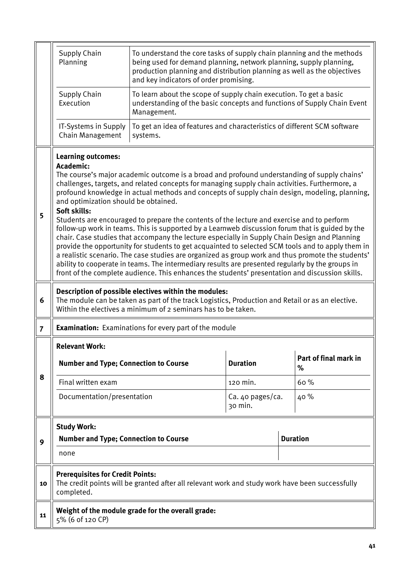|                | Supply Chain<br>Planning                                                                                                                                                                                                                                                                                                                                                                                                                                                                                                                                                                                                                                                                                                                                                                                                                                                                                                                                                                                                                                                                                            |                                                                                                                                                              | To understand the core tasks of supply chain planning and the methods<br>being used for demand planning, network planning, supply planning,<br>production planning and distribution planning as well as the objectives<br>and key indicators of order promising. |  |                            |  |  |  |  |  |
|----------------|---------------------------------------------------------------------------------------------------------------------------------------------------------------------------------------------------------------------------------------------------------------------------------------------------------------------------------------------------------------------------------------------------------------------------------------------------------------------------------------------------------------------------------------------------------------------------------------------------------------------------------------------------------------------------------------------------------------------------------------------------------------------------------------------------------------------------------------------------------------------------------------------------------------------------------------------------------------------------------------------------------------------------------------------------------------------------------------------------------------------|--------------------------------------------------------------------------------------------------------------------------------------------------------------|------------------------------------------------------------------------------------------------------------------------------------------------------------------------------------------------------------------------------------------------------------------|--|----------------------------|--|--|--|--|--|
|                | Supply Chain<br>Execution                                                                                                                                                                                                                                                                                                                                                                                                                                                                                                                                                                                                                                                                                                                                                                                                                                                                                                                                                                                                                                                                                           | To learn about the scope of supply chain execution. To get a basic<br>understanding of the basic concepts and functions of Supply Chain Event<br>Management. |                                                                                                                                                                                                                                                                  |  |                            |  |  |  |  |  |
|                | IT-Systems in Supply<br>Chain Management                                                                                                                                                                                                                                                                                                                                                                                                                                                                                                                                                                                                                                                                                                                                                                                                                                                                                                                                                                                                                                                                            | To get an idea of features and characteristics of different SCM software<br>systems.                                                                         |                                                                                                                                                                                                                                                                  |  |                            |  |  |  |  |  |
| 5              | <b>Learning outcomes:</b><br>Academic:<br>The course's major academic outcome is a broad and profound understanding of supply chains'<br>challenges, targets, and related concepts for managing supply chain activities. Furthermore, a<br>profound knowledge in actual methods and concepts of supply chain design, modeling, planning,<br>and optimization should be obtained.<br>Soft skills:<br>Students are encouraged to prepare the contents of the lecture and exercise and to perform<br>follow-up work in teams. This is supported by a Learnweb discussion forum that is guided by the<br>chair. Case studies that accompany the lecture especially in Supply Chain Design and Planning<br>provide the opportunity for students to get acquainted to selected SCM tools and to apply them in<br>a realistic scenario. The case studies are organized as group work and thus promote the students'<br>ability to cooperate in teams. The intermediary results are presented regularly by the groups in<br>front of the complete audience. This enhances the students' presentation and discussion skills. |                                                                                                                                                              |                                                                                                                                                                                                                                                                  |  |                            |  |  |  |  |  |
| 6              | Description of possible electives within the modules:<br>The module can be taken as part of the track Logistics, Production and Retail or as an elective.<br>Within the electives a minimum of 2 seminars has to be taken.                                                                                                                                                                                                                                                                                                                                                                                                                                                                                                                                                                                                                                                                                                                                                                                                                                                                                          |                                                                                                                                                              |                                                                                                                                                                                                                                                                  |  |                            |  |  |  |  |  |
| $\overline{7}$ |                                                                                                                                                                                                                                                                                                                                                                                                                                                                                                                                                                                                                                                                                                                                                                                                                                                                                                                                                                                                                                                                                                                     | <b>Examination:</b> Examinations for every part of the module                                                                                                |                                                                                                                                                                                                                                                                  |  |                            |  |  |  |  |  |
|                | <b>Relevant Work:</b>                                                                                                                                                                                                                                                                                                                                                                                                                                                                                                                                                                                                                                                                                                                                                                                                                                                                                                                                                                                                                                                                                               |                                                                                                                                                              |                                                                                                                                                                                                                                                                  |  |                            |  |  |  |  |  |
|                | <b>Number and Type; Connection to Course</b>                                                                                                                                                                                                                                                                                                                                                                                                                                                                                                                                                                                                                                                                                                                                                                                                                                                                                                                                                                                                                                                                        |                                                                                                                                                              | <b>Duration</b>                                                                                                                                                                                                                                                  |  | Part of final mark in<br>% |  |  |  |  |  |
| 8              | Final written exam                                                                                                                                                                                                                                                                                                                                                                                                                                                                                                                                                                                                                                                                                                                                                                                                                                                                                                                                                                                                                                                                                                  |                                                                                                                                                              | 120 min.                                                                                                                                                                                                                                                         |  | 60%                        |  |  |  |  |  |
|                | Documentation/presentation                                                                                                                                                                                                                                                                                                                                                                                                                                                                                                                                                                                                                                                                                                                                                                                                                                                                                                                                                                                                                                                                                          |                                                                                                                                                              | Ca. 40 pages/ca.<br>30 min.                                                                                                                                                                                                                                      |  | 40 %                       |  |  |  |  |  |
|                | <b>Study Work:</b>                                                                                                                                                                                                                                                                                                                                                                                                                                                                                                                                                                                                                                                                                                                                                                                                                                                                                                                                                                                                                                                                                                  |                                                                                                                                                              |                                                                                                                                                                                                                                                                  |  |                            |  |  |  |  |  |
| 9              |                                                                                                                                                                                                                                                                                                                                                                                                                                                                                                                                                                                                                                                                                                                                                                                                                                                                                                                                                                                                                                                                                                                     | <b>Duration</b>                                                                                                                                              |                                                                                                                                                                                                                                                                  |  |                            |  |  |  |  |  |
|                | <b>Number and Type; Connection to Course</b>                                                                                                                                                                                                                                                                                                                                                                                                                                                                                                                                                                                                                                                                                                                                                                                                                                                                                                                                                                                                                                                                        |                                                                                                                                                              |                                                                                                                                                                                                                                                                  |  |                            |  |  |  |  |  |
|                | none                                                                                                                                                                                                                                                                                                                                                                                                                                                                                                                                                                                                                                                                                                                                                                                                                                                                                                                                                                                                                                                                                                                |                                                                                                                                                              |                                                                                                                                                                                                                                                                  |  |                            |  |  |  |  |  |
| 10             | <b>Prerequisites for Credit Points:</b><br>completed.                                                                                                                                                                                                                                                                                                                                                                                                                                                                                                                                                                                                                                                                                                                                                                                                                                                                                                                                                                                                                                                               | The credit points will be granted after all relevant work and study work have been successfully                                                              |                                                                                                                                                                                                                                                                  |  |                            |  |  |  |  |  |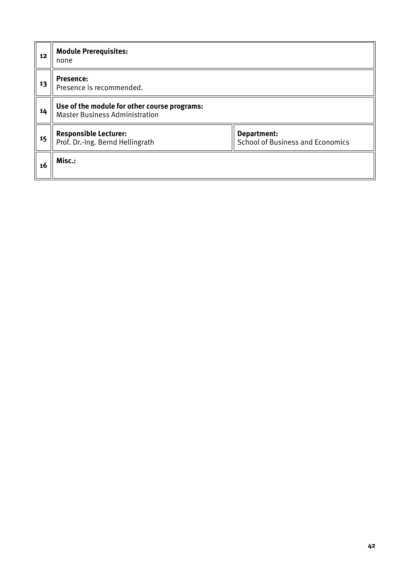| 12 | <b>Module Prerequisites:</b><br>none                                                  |                                                        |
|----|---------------------------------------------------------------------------------------|--------------------------------------------------------|
| 13 | <b>Presence:</b><br>Presence is recommended.                                          |                                                        |
| 14 | Use of the module for other course programs:<br><b>Master Business Administration</b> |                                                        |
| 15 | <b>Responsible Lecturer:</b><br>Prof. Dr.-Ing. Bernd Hellingrath                      | Department:<br><b>School of Business and Economics</b> |
| 16 | Misc.:                                                                                |                                                        |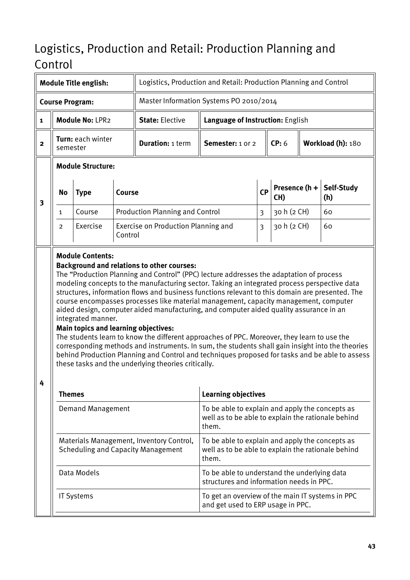# <span id="page-42-0"></span>Logistics, Production and Retail: Production Planning and Control

|                         |                                                                                                                                                                                                                                                                                                                                                                                                                                                                                                                                                                                                                                                                                                                                                                                                                                                                                                                                                             | <b>Module Title english:</b> |               | Logistics, Production and Retail: Production Planning and Control                     |                                                                                                                |    |                      |                   |                   |
|-------------------------|-------------------------------------------------------------------------------------------------------------------------------------------------------------------------------------------------------------------------------------------------------------------------------------------------------------------------------------------------------------------------------------------------------------------------------------------------------------------------------------------------------------------------------------------------------------------------------------------------------------------------------------------------------------------------------------------------------------------------------------------------------------------------------------------------------------------------------------------------------------------------------------------------------------------------------------------------------------|------------------------------|---------------|---------------------------------------------------------------------------------------|----------------------------------------------------------------------------------------------------------------|----|----------------------|-------------------|-------------------|
|                         |                                                                                                                                                                                                                                                                                                                                                                                                                                                                                                                                                                                                                                                                                                                                                                                                                                                                                                                                                             | <b>Course Program:</b>       |               | Master Information Systems PO 2010/2014                                               |                                                                                                                |    |                      |                   |                   |
| $\mathbf{1}$            |                                                                                                                                                                                                                                                                                                                                                                                                                                                                                                                                                                                                                                                                                                                                                                                                                                                                                                                                                             | Module No: LPR2              |               | <b>State: Elective</b>                                                                | Language of Instruction: English                                                                               |    |                      |                   |                   |
| $\mathbf{2}$            | semester                                                                                                                                                                                                                                                                                                                                                                                                                                                                                                                                                                                                                                                                                                                                                                                                                                                                                                                                                    | Turn: each winter            |               | <b>Duration: 1 term</b>                                                               | Semester: 1 or 2                                                                                               |    | CP: 6                | Workload (h): 180 |                   |
|                         |                                                                                                                                                                                                                                                                                                                                                                                                                                                                                                                                                                                                                                                                                                                                                                                                                                                                                                                                                             | <b>Module Structure:</b>     |               |                                                                                       |                                                                                                                |    |                      |                   |                   |
| $\overline{\mathbf{3}}$ | No                                                                                                                                                                                                                                                                                                                                                                                                                                                                                                                                                                                                                                                                                                                                                                                                                                                                                                                                                          | <b>Type</b>                  | <b>Course</b> |                                                                                       |                                                                                                                | CP | Presence (h +<br>CH) |                   | Self-Study<br>(h) |
|                         | 1                                                                                                                                                                                                                                                                                                                                                                                                                                                                                                                                                                                                                                                                                                                                                                                                                                                                                                                                                           | Course                       |               | <b>Production Planning and Control</b>                                                |                                                                                                                | 3  | 30 h (2 CH)          |                   | 60                |
|                         | $\overline{2}$                                                                                                                                                                                                                                                                                                                                                                                                                                                                                                                                                                                                                                                                                                                                                                                                                                                                                                                                              | Exercise                     | Control       | Exercise on Production Planning and                                                   |                                                                                                                | 3  | 30 h (2 CH)          |                   | 60                |
| 4                       | <b>Background and relations to other courses:</b><br>The "Production Planning and Control" (PPC) lecture addresses the adaptation of process<br>modeling concepts to the manufacturing sector. Taking an integrated process perspective data<br>structures, information flows and business functions relevant to this domain are presented. The<br>course encompasses processes like material management, capacity management, computer<br>aided design, computer aided manufacturing, and computer aided quality assurance in an<br>integrated manner.<br>Main topics and learning objectives:<br>The students learn to know the different approaches of PPC. Moreover, they learn to use the<br>corresponding methods and instruments. In sum, the students shall gain insight into the theories<br>behind Production Planning and Control and techniques proposed for tasks and be able to assess<br>these tasks and the underlying theories critically. |                              |               |                                                                                       |                                                                                                                |    |                      |                   |                   |
|                         | <b>Themes</b>                                                                                                                                                                                                                                                                                                                                                                                                                                                                                                                                                                                                                                                                                                                                                                                                                                                                                                                                               | <b>Demand Management</b>     |               |                                                                                       | <b>Learning objectives</b><br>To be able to explain and apply the concepts as                                  |    |                      |                   |                   |
|                         |                                                                                                                                                                                                                                                                                                                                                                                                                                                                                                                                                                                                                                                                                                                                                                                                                                                                                                                                                             |                              |               |                                                                                       | well as to be able to explain the rationale behind<br>them.                                                    |    |                      |                   |                   |
|                         |                                                                                                                                                                                                                                                                                                                                                                                                                                                                                                                                                                                                                                                                                                                                                                                                                                                                                                                                                             |                              |               | Materials Management, Inventory Control,<br><b>Scheduling and Capacity Management</b> | To be able to explain and apply the concepts as<br>well as to be able to explain the rationale behind<br>them. |    |                      |                   |                   |
|                         |                                                                                                                                                                                                                                                                                                                                                                                                                                                                                                                                                                                                                                                                                                                                                                                                                                                                                                                                                             | Data Models                  |               |                                                                                       | To be able to understand the underlying data<br>structures and information needs in PPC.                       |    |                      |                   |                   |
|                         |                                                                                                                                                                                                                                                                                                                                                                                                                                                                                                                                                                                                                                                                                                                                                                                                                                                                                                                                                             | <b>IT Systems</b>            |               |                                                                                       | To get an overview of the main IT systems in PPC<br>and get used to ERP usage in PPC.                          |    |                      |                   |                   |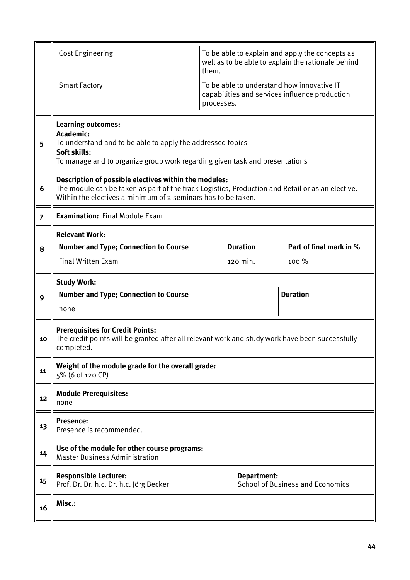|                | <b>Cost Engineering</b>                                                                                                                                                                                                    | them.           | To be able to explain and apply the concepts as<br>well as to be able to explain the rationale behind |                                                                                              |  |  |  |  |
|----------------|----------------------------------------------------------------------------------------------------------------------------------------------------------------------------------------------------------------------------|-----------------|-------------------------------------------------------------------------------------------------------|----------------------------------------------------------------------------------------------|--|--|--|--|
|                | <b>Smart Factory</b>                                                                                                                                                                                                       | processes.      |                                                                                                       | To be able to understand how innovative IT<br>capabilities and services influence production |  |  |  |  |
| 5              | <b>Learning outcomes:</b><br>Academic:<br>To understand and to be able to apply the addressed topics<br>Soft skills:<br>To manage and to organize group work regarding given task and presentations                        |                 |                                                                                                       |                                                                                              |  |  |  |  |
| 6              | Description of possible electives within the modules:<br>The module can be taken as part of the track Logistics, Production and Retail or as an elective.<br>Within the electives a minimum of 2 seminars has to be taken. |                 |                                                                                                       |                                                                                              |  |  |  |  |
| $\overline{7}$ | <b>Examination: Final Module Exam</b>                                                                                                                                                                                      |                 |                                                                                                       |                                                                                              |  |  |  |  |
| 8              | <b>Relevant Work:</b><br><b>Number and Type; Connection to Course</b>                                                                                                                                                      | <b>Duration</b> | Part of final mark in %                                                                               |                                                                                              |  |  |  |  |
|                | <b>Final Written Exam</b>                                                                                                                                                                                                  |                 | 120 min.                                                                                              | 100 %                                                                                        |  |  |  |  |
|                | <b>Study Work:</b>                                                                                                                                                                                                         |                 |                                                                                                       |                                                                                              |  |  |  |  |
| 9              | <b>Number and Type; Connection to Course</b>                                                                                                                                                                               |                 |                                                                                                       | <b>Duration</b>                                                                              |  |  |  |  |
|                | none                                                                                                                                                                                                                       |                 |                                                                                                       |                                                                                              |  |  |  |  |
| 10             | <b>Prerequisites for Credit Points:</b><br>The credit points will be granted after all relevant work and study work have been successfully<br>completed.                                                                   |                 |                                                                                                       |                                                                                              |  |  |  |  |
| 11             | Weight of the module grade for the overall grade:<br>5% (6 of 120 CP)                                                                                                                                                      |                 |                                                                                                       |                                                                                              |  |  |  |  |
| 12             | <b>Module Prerequisites:</b><br>none                                                                                                                                                                                       |                 |                                                                                                       |                                                                                              |  |  |  |  |
| 13             | <b>Presence:</b><br>Presence is recommended.                                                                                                                                                                               |                 |                                                                                                       |                                                                                              |  |  |  |  |
| 14             | Use of the module for other course programs:<br><b>Master Business Administration</b>                                                                                                                                      |                 |                                                                                                       |                                                                                              |  |  |  |  |
| 15             | <b>Responsible Lecturer:</b><br>Department:<br><b>School of Business and Economics</b><br>Prof. Dr. Dr. h.c. Dr. h.c. Jörg Becker                                                                                          |                 |                                                                                                       |                                                                                              |  |  |  |  |
| 16             | Misc.:                                                                                                                                                                                                                     |                 |                                                                                                       |                                                                                              |  |  |  |  |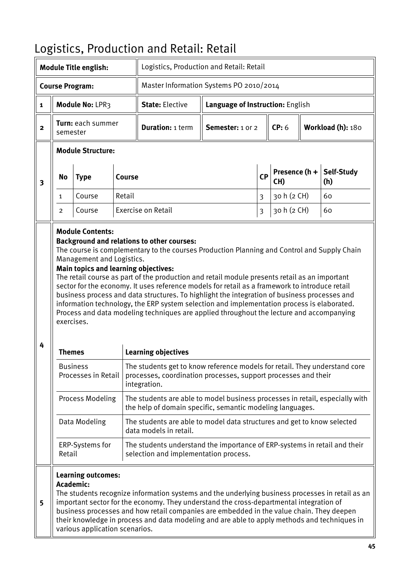|                         |                                                                                                                                                                                                                                                                                                                                                                                                                                                                                                                                                                                                                                                                                                                                         | <b>Module Title english:</b>                                             |        | Logistics, Production and Retail: Retail                                                                                                                                                                                                                                                                                                                                                |                                  |                |                      |  |                   |  |
|-------------------------|-----------------------------------------------------------------------------------------------------------------------------------------------------------------------------------------------------------------------------------------------------------------------------------------------------------------------------------------------------------------------------------------------------------------------------------------------------------------------------------------------------------------------------------------------------------------------------------------------------------------------------------------------------------------------------------------------------------------------------------------|--------------------------------------------------------------------------|--------|-----------------------------------------------------------------------------------------------------------------------------------------------------------------------------------------------------------------------------------------------------------------------------------------------------------------------------------------------------------------------------------------|----------------------------------|----------------|----------------------|--|-------------------|--|
|                         |                                                                                                                                                                                                                                                                                                                                                                                                                                                                                                                                                                                                                                                                                                                                         | <b>Course Program:</b>                                                   |        | Master Information Systems PO 2010/2014                                                                                                                                                                                                                                                                                                                                                 |                                  |                |                      |  |                   |  |
| $\mathbf{1}$            |                                                                                                                                                                                                                                                                                                                                                                                                                                                                                                                                                                                                                                                                                                                                         | Module No: LPR3                                                          |        | <b>State: Elective</b>                                                                                                                                                                                                                                                                                                                                                                  | Language of Instruction: English |                |                      |  |                   |  |
| $\overline{2}$          | semester                                                                                                                                                                                                                                                                                                                                                                                                                                                                                                                                                                                                                                                                                                                                | Turn: each summer                                                        |        | <b>Duration: 1 term</b>                                                                                                                                                                                                                                                                                                                                                                 | Semester: 1 or 2                 |                | CP: 6                |  | Workload (h): 180 |  |
|                         |                                                                                                                                                                                                                                                                                                                                                                                                                                                                                                                                                                                                                                                                                                                                         | <b>Module Structure:</b>                                                 |        |                                                                                                                                                                                                                                                                                                                                                                                         |                                  |                |                      |  |                   |  |
| $\overline{\mathbf{3}}$ | <b>Course</b><br><b>No</b><br><b>Type</b>                                                                                                                                                                                                                                                                                                                                                                                                                                                                                                                                                                                                                                                                                               |                                                                          |        |                                                                                                                                                                                                                                                                                                                                                                                         |                                  | <b>CP</b>      | Presence (h +<br>CH) |  | Self-Study<br>(h) |  |
|                         | $\mathbf{1}$                                                                                                                                                                                                                                                                                                                                                                                                                                                                                                                                                                                                                                                                                                                            | Course                                                                   | Retail |                                                                                                                                                                                                                                                                                                                                                                                         |                                  | $\overline{3}$ | 30 h (2 CH)          |  | 60                |  |
|                         | $\overline{2}$                                                                                                                                                                                                                                                                                                                                                                                                                                                                                                                                                                                                                                                                                                                          | Course                                                                   |        | Exercise on Retail                                                                                                                                                                                                                                                                                                                                                                      |                                  | 3              | 30 h (2 CH)          |  | 60                |  |
| 4                       | <b>Background and relations to other courses:</b><br>The course is complementary to the courses Production Planning and Control and Supply Chain<br>Management and Logistics.<br><b>Main topics and learning objectives:</b><br>The retail course as part of the production and retail module presents retail as an important<br>sector for the economy. It uses reference models for retail as a framework to introduce retail<br>business process and data structures. To highlight the integration of business processes and<br>information technology, the ERP system selection and implementation process is elaborated.<br>Process and data modeling techniques are applied throughout the lecture and accompanying<br>exercises. |                                                                          |        |                                                                                                                                                                                                                                                                                                                                                                                         |                                  |                |                      |  |                   |  |
|                         | Themes                                                                                                                                                                                                                                                                                                                                                                                                                                                                                                                                                                                                                                                                                                                                  |                                                                          |        | <b>Learning objectives</b>                                                                                                                                                                                                                                                                                                                                                              |                                  |                |                      |  |                   |  |
|                         |                                                                                                                                                                                                                                                                                                                                                                                                                                                                                                                                                                                                                                                                                                                                         | <b>Business</b><br>Processes in Retail                                   |        | The students get to know reference models for retail. They understand core<br>processes, coordination processes, support processes and their<br>integration.                                                                                                                                                                                                                            |                                  |                |                      |  |                   |  |
|                         |                                                                                                                                                                                                                                                                                                                                                                                                                                                                                                                                                                                                                                                                                                                                         | <b>Process Modeling</b>                                                  |        | The students are able to model business processes in retail, especially with<br>the help of domain specific, semantic modeling languages.                                                                                                                                                                                                                                               |                                  |                |                      |  |                   |  |
|                         |                                                                                                                                                                                                                                                                                                                                                                                                                                                                                                                                                                                                                                                                                                                                         | Data Modeling                                                            |        | The students are able to model data structures and get to know selected<br>data models in retail.                                                                                                                                                                                                                                                                                       |                                  |                |                      |  |                   |  |
|                         | Retail                                                                                                                                                                                                                                                                                                                                                                                                                                                                                                                                                                                                                                                                                                                                  | ERP-Systems for                                                          |        | The students understand the importance of ERP-systems in retail and their<br>selection and implementation process.                                                                                                                                                                                                                                                                      |                                  |                |                      |  |                   |  |
| 5                       |                                                                                                                                                                                                                                                                                                                                                                                                                                                                                                                                                                                                                                                                                                                                         | <b>Learning outcomes:</b><br>Academic:<br>various application scenarios. |        | The students recognize information systems and the underlying business processes in retail as an<br>important sector for the economy. They understand the cross-departmental integration of<br>business processes and how retail companies are embedded in the value chain. They deepen<br>their knowledge in process and data modeling and are able to apply methods and techniques in |                                  |                |                      |  |                   |  |

# <span id="page-44-0"></span>Logistics, Production and Retail: Retail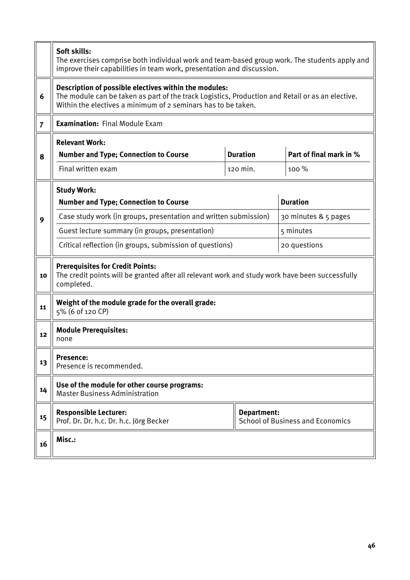|                | Soft skills:<br>The exercises comprise both individual work and team-based group work. The students apply and<br>improve their capabilities in team work, presentation and discussion.                                     |             |                                         |  |  |  |  |
|----------------|----------------------------------------------------------------------------------------------------------------------------------------------------------------------------------------------------------------------------|-------------|-----------------------------------------|--|--|--|--|
| 6              | Description of possible electives within the modules:<br>The module can be taken as part of the track Logistics, Production and Retail or as an elective.<br>Within the electives a minimum of 2 seminars has to be taken. |             |                                         |  |  |  |  |
| $\overline{7}$ | <b>Examination: Final Module Exam</b>                                                                                                                                                                                      |             |                                         |  |  |  |  |
| 8              | <b>Relevant Work:</b><br><b>Duration</b><br>Part of final mark in %<br><b>Number and Type; Connection to Course</b>                                                                                                        |             |                                         |  |  |  |  |
|                | Final written exam                                                                                                                                                                                                         | 100 %       |                                         |  |  |  |  |
|                | <b>Study Work:</b><br><b>Number and Type; Connection to Course</b>                                                                                                                                                         |             | <b>Duration</b>                         |  |  |  |  |
| 9              | Case study work (in groups, presentation and written submission)                                                                                                                                                           |             | 30 minutes & 5 pages                    |  |  |  |  |
|                | Guest lecture summary (in groups, presentation)                                                                                                                                                                            |             | 5 minutes                               |  |  |  |  |
|                | Critical reflection (in groups, submission of questions)                                                                                                                                                                   |             | 20 questions                            |  |  |  |  |
| 10             | <b>Prerequisites for Credit Points:</b><br>The credit points will be granted after all relevant work and study work have been successfully<br>completed.                                                                   |             |                                         |  |  |  |  |
| 11             | Weight of the module grade for the overall grade:<br>5% (6 of 120 CP)                                                                                                                                                      |             |                                         |  |  |  |  |
| 12             | <b>Module Prerequisites:</b><br>none                                                                                                                                                                                       |             |                                         |  |  |  |  |
| 13             | Presence:<br>Presence is recommended.                                                                                                                                                                                      |             |                                         |  |  |  |  |
| 14             | Use of the module for other course programs:<br><b>Master Business Administration</b>                                                                                                                                      |             |                                         |  |  |  |  |
| 15             | <b>Responsible Lecturer:</b><br>Prof. Dr. Dr. h.c. Dr. h.c. Jörg Becker                                                                                                                                                    | Department: | <b>School of Business and Economics</b> |  |  |  |  |
| 16             | Misc.:                                                                                                                                                                                                                     |             |                                         |  |  |  |  |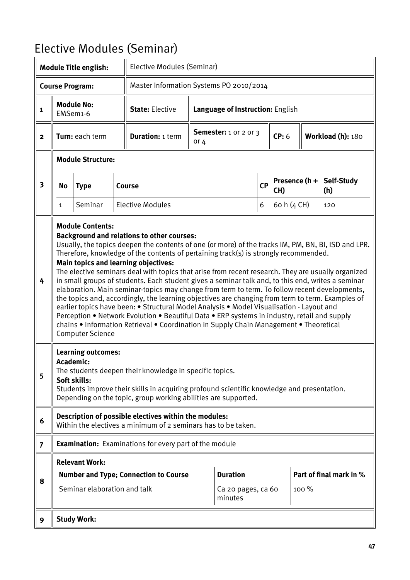# <span id="page-46-0"></span>Elective Modules (Seminar)

|                         | <b>Module Title english:</b>                                                                                                                                                                                                                                                                                                                                                                                                                                                                                                                                                                                                                                                                                                                                                                                                                                                                                                                                                                                                                         |                                                               |  | Elective Modules (Seminar)                                                                                                                                                                                              |                                        |                               |           |                      |                   |                         |
|-------------------------|------------------------------------------------------------------------------------------------------------------------------------------------------------------------------------------------------------------------------------------------------------------------------------------------------------------------------------------------------------------------------------------------------------------------------------------------------------------------------------------------------------------------------------------------------------------------------------------------------------------------------------------------------------------------------------------------------------------------------------------------------------------------------------------------------------------------------------------------------------------------------------------------------------------------------------------------------------------------------------------------------------------------------------------------------|---------------------------------------------------------------|--|-------------------------------------------------------------------------------------------------------------------------------------------------------------------------------------------------------------------------|----------------------------------------|-------------------------------|-----------|----------------------|-------------------|-------------------------|
|                         |                                                                                                                                                                                                                                                                                                                                                                                                                                                                                                                                                                                                                                                                                                                                                                                                                                                                                                                                                                                                                                                      | <b>Course Program:</b>                                        |  | Master Information Systems PO 2010/2014                                                                                                                                                                                 |                                        |                               |           |                      |                   |                         |
| $\mathbf{1}$            |                                                                                                                                                                                                                                                                                                                                                                                                                                                                                                                                                                                                                                                                                                                                                                                                                                                                                                                                                                                                                                                      | <b>Module No:</b><br>EMSem1-6                                 |  | <b>State: Elective</b>                                                                                                                                                                                                  | Language of Instruction: English       |                               |           |                      |                   |                         |
| $\overline{\mathbf{2}}$ |                                                                                                                                                                                                                                                                                                                                                                                                                                                                                                                                                                                                                                                                                                                                                                                                                                                                                                                                                                                                                                                      | Turn: each term                                               |  | <b>Duration: 1 term</b>                                                                                                                                                                                                 | <b>Semester:</b> 1 or 2 or 3<br>or $4$ |                               |           | CP: 6                | Workload (h): 180 |                         |
|                         |                                                                                                                                                                                                                                                                                                                                                                                                                                                                                                                                                                                                                                                                                                                                                                                                                                                                                                                                                                                                                                                      | <b>Module Structure:</b>                                      |  |                                                                                                                                                                                                                         |                                        |                               |           |                      |                   |                         |
| 3                       | No<br><b>Type</b>                                                                                                                                                                                                                                                                                                                                                                                                                                                                                                                                                                                                                                                                                                                                                                                                                                                                                                                                                                                                                                    |                                                               |  | <b>Course</b>                                                                                                                                                                                                           |                                        |                               | <b>CP</b> | Presence (h +<br>CH) |                   | Self-Study<br>(h)       |
|                         | $\mathbf{1}$                                                                                                                                                                                                                                                                                                                                                                                                                                                                                                                                                                                                                                                                                                                                                                                                                                                                                                                                                                                                                                         | Seminar                                                       |  | <b>Elective Modules</b>                                                                                                                                                                                                 |                                        |                               | 6         | 60 h (4 CH)          |                   | 120                     |
| 4                       | <b>Module Contents:</b><br><b>Background and relations to other courses:</b><br>Usually, the topics deepen the contents of one (or more) of the tracks IM, PM, BN, BI, ISD and LPR.<br>Therefore, knowledge of the contents of pertaining track(s) is strongly recommended.<br>Main topics and learning objectives:<br>The elective seminars deal with topics that arise from recent research. They are usually organized<br>in small groups of students. Each student gives a seminar talk and, to this end, writes a seminar<br>elaboration. Main seminar-topics may change from term to term. To follow recent developments,<br>the topics and, accordingly, the learning objectives are changing from term to term. Examples of<br>earlier topics have been: • Structural Model Analysis • Model Visualisation - Layout and<br>Perception • Network Evolution • Beautiful Data • ERP systems in industry, retail and supply<br>chains • Information Retrieval • Coordination in Supply Chain Management • Theoretical<br><b>Computer Science</b> |                                                               |  |                                                                                                                                                                                                                         |                                        |                               |           |                      |                   |                         |
| 5                       |                                                                                                                                                                                                                                                                                                                                                                                                                                                                                                                                                                                                                                                                                                                                                                                                                                                                                                                                                                                                                                                      | <b>Learning outcomes:</b><br><b>Academic:</b><br>Soft skills: |  | The students deepen their knowledge in specific topics.<br>Students improve their skills in acquiring profound scientific knowledge and presentation.<br>Depending on the topic, group working abilities are supported. |                                        |                               |           |                      |                   |                         |
| 6                       |                                                                                                                                                                                                                                                                                                                                                                                                                                                                                                                                                                                                                                                                                                                                                                                                                                                                                                                                                                                                                                                      |                                                               |  | Description of possible electives within the modules:<br>Within the electives a minimum of 2 seminars has to be taken.                                                                                                  |                                        |                               |           |                      |                   |                         |
| $\overline{7}$          |                                                                                                                                                                                                                                                                                                                                                                                                                                                                                                                                                                                                                                                                                                                                                                                                                                                                                                                                                                                                                                                      |                                                               |  | <b>Examination:</b> Examinations for every part of the module                                                                                                                                                           |                                        |                               |           |                      |                   |                         |
|                         |                                                                                                                                                                                                                                                                                                                                                                                                                                                                                                                                                                                                                                                                                                                                                                                                                                                                                                                                                                                                                                                      | <b>Relevant Work:</b>                                         |  |                                                                                                                                                                                                                         |                                        |                               |           |                      |                   |                         |
| 8                       |                                                                                                                                                                                                                                                                                                                                                                                                                                                                                                                                                                                                                                                                                                                                                                                                                                                                                                                                                                                                                                                      |                                                               |  | <b>Number and Type; Connection to Course</b>                                                                                                                                                                            |                                        | <b>Duration</b>               |           |                      |                   | Part of final mark in % |
|                         |                                                                                                                                                                                                                                                                                                                                                                                                                                                                                                                                                                                                                                                                                                                                                                                                                                                                                                                                                                                                                                                      | Seminar elaboration and talk                                  |  |                                                                                                                                                                                                                         |                                        | Ca 20 pages, ca 60<br>minutes |           |                      | $100\%$           |                         |
| 9                       |                                                                                                                                                                                                                                                                                                                                                                                                                                                                                                                                                                                                                                                                                                                                                                                                                                                                                                                                                                                                                                                      | <b>Study Work:</b>                                            |  |                                                                                                                                                                                                                         |                                        |                               |           |                      |                   |                         |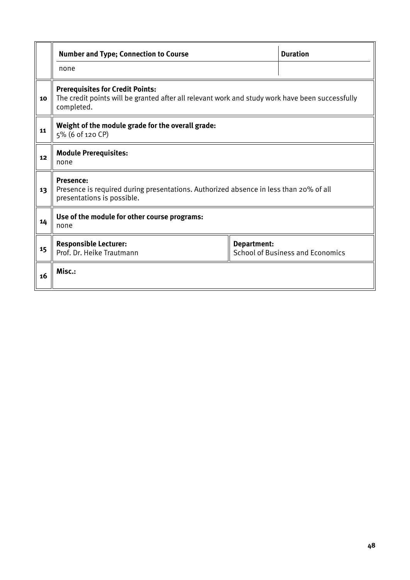|    | <b>Number and Type; Connection to Course</b>                                                                                                             |  | <b>Duration</b> |  |  |  |  |
|----|----------------------------------------------------------------------------------------------------------------------------------------------------------|--|-----------------|--|--|--|--|
|    | none                                                                                                                                                     |  |                 |  |  |  |  |
| 10 | <b>Prerequisites for Credit Points:</b><br>The credit points will be granted after all relevant work and study work have been successfully<br>completed. |  |                 |  |  |  |  |
| 11 | Weight of the module grade for the overall grade:<br>5% (6 of 120 CP)                                                                                    |  |                 |  |  |  |  |
| 12 | <b>Module Prerequisites:</b><br>none                                                                                                                     |  |                 |  |  |  |  |
| 13 | <b>Presence:</b><br>Presence is required during presentations. Authorized absence in less than 20% of all<br>presentations is possible.                  |  |                 |  |  |  |  |
| 14 | Use of the module for other course programs:<br>none                                                                                                     |  |                 |  |  |  |  |
| 15 | <b>Responsible Lecturer:</b><br>Department:<br>Prof. Dr. Heike Trautmann<br><b>School of Business and Economics</b>                                      |  |                 |  |  |  |  |
| 16 | Misc.:                                                                                                                                                   |  |                 |  |  |  |  |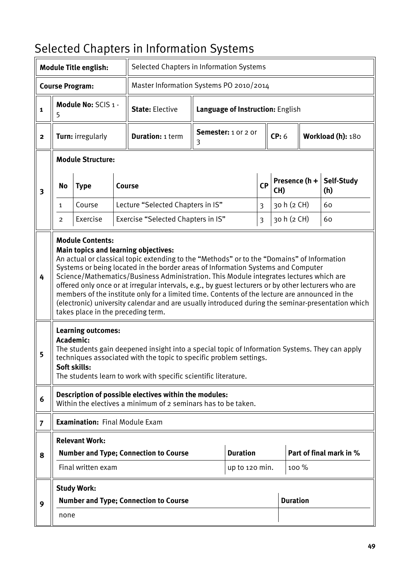# <span id="page-48-0"></span>Selected Chapters in Information Systems

| <b>Module Title english:</b> |                |                                                               |  | Selected Chapters in Information Systems                                                                                                                                                                                                                                                                                                                                                                                                                                                                                                                                                                                       |                                         |                                  |                         |                      |       |                         |
|------------------------------|----------------|---------------------------------------------------------------|--|--------------------------------------------------------------------------------------------------------------------------------------------------------------------------------------------------------------------------------------------------------------------------------------------------------------------------------------------------------------------------------------------------------------------------------------------------------------------------------------------------------------------------------------------------------------------------------------------------------------------------------|-----------------------------------------|----------------------------------|-------------------------|----------------------|-------|-------------------------|
|                              |                | <b>Course Program:</b>                                        |  |                                                                                                                                                                                                                                                                                                                                                                                                                                                                                                                                                                                                                                | Master Information Systems PO 2010/2014 |                                  |                         |                      |       |                         |
| $\mathbf{1}$                 | 5              | Module No: SCIS 1 -                                           |  | <b>State: Elective</b>                                                                                                                                                                                                                                                                                                                                                                                                                                                                                                                                                                                                         |                                         | Language of Instruction: English |                         |                      |       |                         |
| $\mathbf{2}$                 |                | Turn: irregularly                                             |  | <b>Duration: 1 term</b>                                                                                                                                                                                                                                                                                                                                                                                                                                                                                                                                                                                                        | Semester: 1 or 2 or<br>3                |                                  |                         | CP: 6                |       | Workload (h): 180       |
|                              |                | <b>Module Structure:</b>                                      |  |                                                                                                                                                                                                                                                                                                                                                                                                                                                                                                                                                                                                                                |                                         |                                  |                         |                      |       |                         |
| $\overline{\mathbf{3}}$      | <b>No</b>      | <b>Type</b>                                                   |  | Course                                                                                                                                                                                                                                                                                                                                                                                                                                                                                                                                                                                                                         |                                         |                                  | <b>CP</b>               | Presence (h +<br>CH) |       | Self-Study<br>(h)       |
|                              | 1              | Course                                                        |  | Lecture "Selected Chapters in IS"                                                                                                                                                                                                                                                                                                                                                                                                                                                                                                                                                                                              |                                         |                                  | $\overline{\mathbf{3}}$ | 30 h (2 CH)          |       | 60                      |
|                              | $\overline{2}$ | Exercise                                                      |  | Exercise "Selected Chapters in IS"                                                                                                                                                                                                                                                                                                                                                                                                                                                                                                                                                                                             |                                         |                                  | $\overline{\mathbf{3}}$ | 30 h (2 CH)          |       | 60                      |
| 4                            |                | <b>Module Contents:</b><br>takes place in the preceding term. |  | Main topics and learning objectives:<br>An actual or classical topic extending to the "Methods" or to the "Domains" of Information<br>Systems or being located in the border areas of Information Systems and Computer<br>Science/Mathematics/Business Administration. This Module integrates lectures which are<br>offered only once or at irregular intervals, e.g., by guest lecturers or by other lecturers who are<br>members of the institute only for a limited time. Contents of the lecture are announced in the<br>(electronic) university calendar and are usually introduced during the seminar-presentation which |                                         |                                  |                         |                      |       |                         |
| 5                            | Academic:      | <b>Learning outcomes:</b><br>Soft skills:                     |  | The students gain deepened insight into a special topic of Information Systems. They can apply<br>techniques associated with the topic to specific problem settings.<br>The students learn to work with specific scientific literature.                                                                                                                                                                                                                                                                                                                                                                                        |                                         |                                  |                         |                      |       |                         |
| 6                            |                |                                                               |  | Description of possible electives within the modules:<br>Within the electives a minimum of 2 seminars has to be taken.                                                                                                                                                                                                                                                                                                                                                                                                                                                                                                         |                                         |                                  |                         |                      |       |                         |
| $\overline{7}$               |                | <b>Examination: Final Module Exam</b>                         |  |                                                                                                                                                                                                                                                                                                                                                                                                                                                                                                                                                                                                                                |                                         |                                  |                         |                      |       |                         |
|                              |                | <b>Relevant Work:</b>                                         |  |                                                                                                                                                                                                                                                                                                                                                                                                                                                                                                                                                                                                                                |                                         |                                  |                         |                      |       |                         |
| 8                            |                |                                                               |  | <b>Number and Type; Connection to Course</b>                                                                                                                                                                                                                                                                                                                                                                                                                                                                                                                                                                                   |                                         | <b>Duration</b>                  |                         |                      |       | Part of final mark in % |
|                              |                | Final written exam                                            |  |                                                                                                                                                                                                                                                                                                                                                                                                                                                                                                                                                                                                                                |                                         | up to 120 min.                   |                         |                      | 100 % |                         |
|                              |                | <b>Study Work:</b>                                            |  |                                                                                                                                                                                                                                                                                                                                                                                                                                                                                                                                                                                                                                |                                         |                                  |                         |                      |       |                         |
| 9                            |                |                                                               |  | <b>Number and Type; Connection to Course</b>                                                                                                                                                                                                                                                                                                                                                                                                                                                                                                                                                                                   |                                         |                                  |                         | <b>Duration</b>      |       |                         |
|                              | none           |                                                               |  |                                                                                                                                                                                                                                                                                                                                                                                                                                                                                                                                                                                                                                |                                         |                                  |                         |                      |       |                         |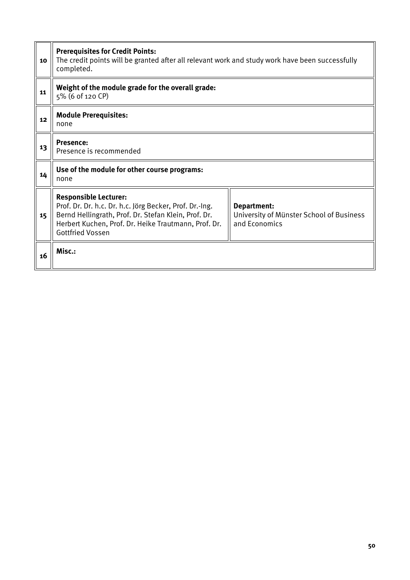| 10 | <b>Prerequisites for Credit Points:</b><br>The credit points will be granted after all relevant work and study work have been successfully<br>completed.                                                                           |                                                                          |  |  |  |
|----|------------------------------------------------------------------------------------------------------------------------------------------------------------------------------------------------------------------------------------|--------------------------------------------------------------------------|--|--|--|
| 11 | Weight of the module grade for the overall grade:<br>5% (6 of 120 CP)                                                                                                                                                              |                                                                          |  |  |  |
| 12 | <b>Module Prerequisites:</b><br>none                                                                                                                                                                                               |                                                                          |  |  |  |
| 13 | <b>Presence:</b><br>Presence is recommended                                                                                                                                                                                        |                                                                          |  |  |  |
| 14 | Use of the module for other course programs:<br>none                                                                                                                                                                               |                                                                          |  |  |  |
| 15 | <b>Responsible Lecturer:</b><br>Prof. Dr. Dr. h.c. Dr. h.c. Jörg Becker, Prof. Dr.-Ing.<br>Bernd Hellingrath, Prof. Dr. Stefan Klein, Prof. Dr.<br>Herbert Kuchen, Prof. Dr. Heike Trautmann, Prof. Dr.<br><b>Gottfried Vossen</b> | Department:<br>University of Münster School of Business<br>and Economics |  |  |  |
| 16 | Misc.:                                                                                                                                                                                                                             |                                                                          |  |  |  |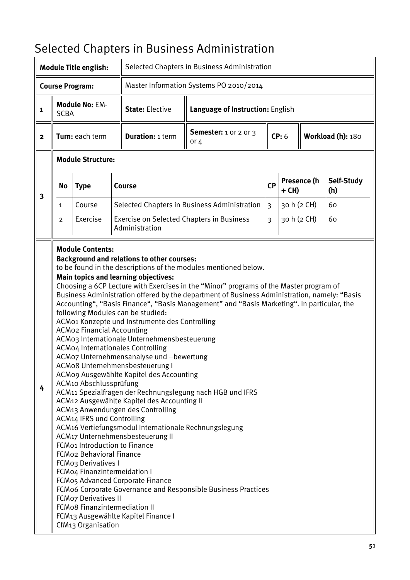# <span id="page-50-0"></span>Selected Chapters in Business Administration

|                                                                   | Selected Chapters in Business Administration<br><b>Module Title english:</b> |                                                                                                                                                                                                                                                                                                            |  |                                                                                                                                                                                                                                                                                                                                                                                                                                                                                                                                                                                                                                                              |                                                                                                                                                                                                                                                                                                                                                                                                                                                                                       |                |       |             |                   |
|-------------------------------------------------------------------|------------------------------------------------------------------------------|------------------------------------------------------------------------------------------------------------------------------------------------------------------------------------------------------------------------------------------------------------------------------------------------------------|--|--------------------------------------------------------------------------------------------------------------------------------------------------------------------------------------------------------------------------------------------------------------------------------------------------------------------------------------------------------------------------------------------------------------------------------------------------------------------------------------------------------------------------------------------------------------------------------------------------------------------------------------------------------------|---------------------------------------------------------------------------------------------------------------------------------------------------------------------------------------------------------------------------------------------------------------------------------------------------------------------------------------------------------------------------------------------------------------------------------------------------------------------------------------|----------------|-------|-------------|-------------------|
| Master Information Systems PO 2010/2014<br><b>Course Program:</b> |                                                                              |                                                                                                                                                                                                                                                                                                            |  |                                                                                                                                                                                                                                                                                                                                                                                                                                                                                                                                                                                                                                                              |                                                                                                                                                                                                                                                                                                                                                                                                                                                                                       |                |       |             |                   |
| <b>Module No: EM-</b><br>$\mathbf{1}$<br><b>SCBA</b>              |                                                                              |                                                                                                                                                                                                                                                                                                            |  | <b>State: Elective</b>                                                                                                                                                                                                                                                                                                                                                                                                                                                                                                                                                                                                                                       | Language of Instruction: English                                                                                                                                                                                                                                                                                                                                                                                                                                                      |                |       |             |                   |
| Turn: each term<br>$\mathbf{2}$                                   |                                                                              |                                                                                                                                                                                                                                                                                                            |  | <b>Duration: 1 term</b>                                                                                                                                                                                                                                                                                                                                                                                                                                                                                                                                                                                                                                      | <b>Semester:</b> 1 or 2 or 3<br>or $4$                                                                                                                                                                                                                                                                                                                                                                                                                                                | CP: 6          |       |             | Workload (h): 180 |
|                                                                   |                                                                              | <b>Module Structure:</b>                                                                                                                                                                                                                                                                                   |  |                                                                                                                                                                                                                                                                                                                                                                                                                                                                                                                                                                                                                                                              |                                                                                                                                                                                                                                                                                                                                                                                                                                                                                       |                |       |             |                   |
| <b>No</b><br><b>Type</b><br>$\overline{\mathbf{3}}$               |                                                                              |                                                                                                                                                                                                                                                                                                            |  | Course                                                                                                                                                                                                                                                                                                                                                                                                                                                                                                                                                                                                                                                       |                                                                                                                                                                                                                                                                                                                                                                                                                                                                                       | <b>CP</b>      | + CH) | Presence (h | Self-Study<br>(h) |
|                                                                   | $\mathbf{1}$                                                                 | Course                                                                                                                                                                                                                                                                                                     |  |                                                                                                                                                                                                                                                                                                                                                                                                                                                                                                                                                                                                                                                              | Selected Chapters in Business Administration                                                                                                                                                                                                                                                                                                                                                                                                                                          | $\overline{3}$ |       | 30 h (2 CH) | 60                |
|                                                                   | $\overline{2}$                                                               | Exercise                                                                                                                                                                                                                                                                                                   |  | Administration                                                                                                                                                                                                                                                                                                                                                                                                                                                                                                                                                                                                                                               | Exercise on Selected Chapters in Business                                                                                                                                                                                                                                                                                                                                                                                                                                             | $\overline{3}$ |       | 30 h (2 CH) | 60                |
| 4                                                                 |                                                                              | <b>ACMo2 Financial Accounting</b><br>ACM10 Abschlussprüfung<br>ACM14 IFRS und Controlling<br>FCM01 Introduction to Finance<br><b>FCMo2 Behavioral Finance</b><br>FCMo3 Derivatives I<br>FCMo4 Finanzintermeidation I<br><b>FCMo7 Derivatives II</b><br>FCMo8 Finanzintermediation II<br>CfM13 Organisation |  | <b>Background and relations to other courses:</b><br>Main topics and learning objectives:<br>following Modules can be studied:<br>ACM01 Konzepte und Instrumente des Controlling<br>ACMo3 Internationale Unternehmensbesteuerung<br>ACMo4 Internationales Controlling<br>ACMo7 Unternehmensanalyse und -bewertung<br>ACMo8 Unternehmensbesteuerung I<br>ACMo9 Ausgewählte Kapitel des Accounting<br>ACM12 Ausgewählte Kapitel des Accounting II<br>ACM13 Anwendungen des Controlling<br>ACM16 Vertiefungsmodul Internationale Rechnungslegung<br>ACM17 Unternehmensbesteuerung II<br>FCMo5 Advanced Corporate Finance<br>FCM13 Ausgewählte Kapitel Finance I | to be found in the descriptions of the modules mentioned below.<br>Choosing a 6CP Lecture with Exercises in the "Minor" programs of the Master program of<br>Business Administration offered by the department of Business Administration, namely: "Basis<br>Accounting", "Basis Finance", "Basis Management" and "Basis Marketing". In particular, the<br>ACM11 Spezialfragen der Rechnungslegung nach HGB und IFRS<br>FCMo6 Corporate Governance and Responsible Business Practices |                |       |             |                   |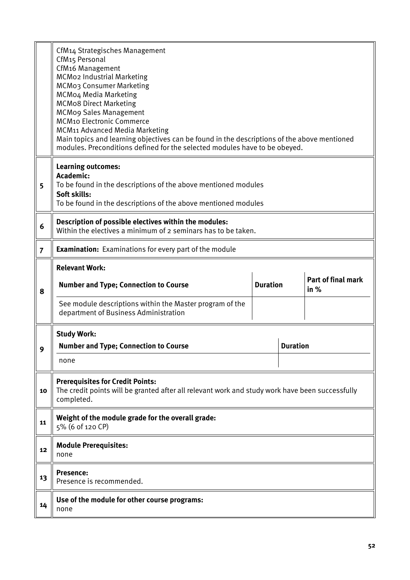|                | CfM14 Strategisches Management<br>CfM15 Personal<br>CfM16 Management<br>MCMo2 Industrial Marketing<br>MCM03 Consumer Marketing<br>MCM04 Media Marketing<br><b>MCMo8 Direct Marketing</b><br><b>MCMog Sales Management</b><br><b>MCM10 Electronic Commerce</b><br><b>MCM11 Advanced Media Marketing</b><br>Main topics and learning objectives can be found in the descriptions of the above mentioned<br>modules. Preconditions defined for the selected modules have to be obeyed. |                 |                 |                                   |  |
|----------------|-------------------------------------------------------------------------------------------------------------------------------------------------------------------------------------------------------------------------------------------------------------------------------------------------------------------------------------------------------------------------------------------------------------------------------------------------------------------------------------|-----------------|-----------------|-----------------------------------|--|
| 5              | <b>Learning outcomes:</b><br><b>Academic:</b><br>To be found in the descriptions of the above mentioned modules<br>Soft skills:<br>To be found in the descriptions of the above mentioned modules                                                                                                                                                                                                                                                                                   |                 |                 |                                   |  |
| 6              | Description of possible electives within the modules:<br>Within the electives a minimum of 2 seminars has to be taken.                                                                                                                                                                                                                                                                                                                                                              |                 |                 |                                   |  |
| $\overline{7}$ | <b>Examination:</b> Examinations for every part of the module                                                                                                                                                                                                                                                                                                                                                                                                                       |                 |                 |                                   |  |
| 8              | <b>Relevant Work:</b><br><b>Number and Type; Connection to Course</b><br>See module descriptions within the Master program of the<br>department of Business Administration                                                                                                                                                                                                                                                                                                          | <b>Duration</b> |                 | <b>Part of final mark</b><br>in % |  |
| Q              | <b>Study Work:</b><br><b>Number and Type; Connection to Course</b><br>none                                                                                                                                                                                                                                                                                                                                                                                                          |                 | <b>Duration</b> |                                   |  |
| 10             | <b>Prerequisites for Credit Points:</b><br>The credit points will be granted after all relevant work and study work have been successfully<br>completed.                                                                                                                                                                                                                                                                                                                            |                 |                 |                                   |  |
| 11             | Weight of the module grade for the overall grade:<br>5% (6 of 120 CP)                                                                                                                                                                                                                                                                                                                                                                                                               |                 |                 |                                   |  |
| 12             | <b>Module Prerequisites:</b><br>none                                                                                                                                                                                                                                                                                                                                                                                                                                                |                 |                 |                                   |  |
| 13             | <b>Presence:</b><br>Presence is recommended.                                                                                                                                                                                                                                                                                                                                                                                                                                        |                 |                 |                                   |  |
| 14             | Use of the module for other course programs:<br>none                                                                                                                                                                                                                                                                                                                                                                                                                                |                 |                 |                                   |  |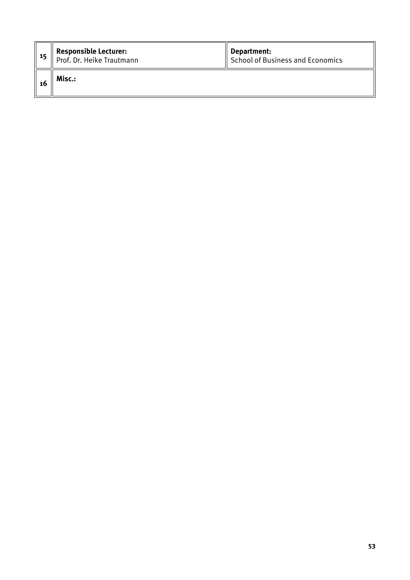| - 15 | <b>Responsible Lecturer:</b><br>Prof. Dr. Heike Trautmann | Department:<br>School of Business and Economics |
|------|-----------------------------------------------------------|-------------------------------------------------|
| 16   | Misc.:                                                    |                                                 |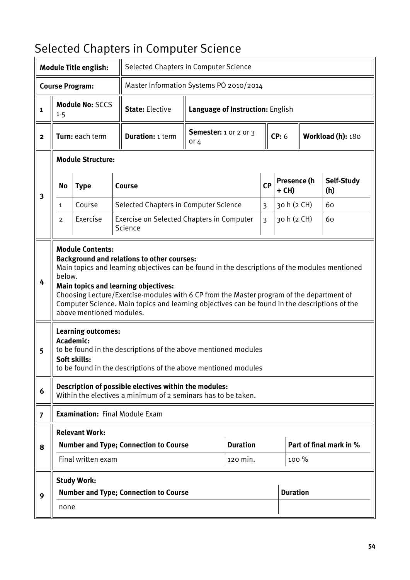# <span id="page-53-0"></span>Selected Chapters in Computer Science

|                |                          | <b>Module Title english:</b>                                                                                  |  | Selected Chapters in Computer Science                                                                                                                                                                                                                                                                                                                                                                                                                            |                                        |                                  |                |                        |  |                         |
|----------------|--------------------------|---------------------------------------------------------------------------------------------------------------|--|------------------------------------------------------------------------------------------------------------------------------------------------------------------------------------------------------------------------------------------------------------------------------------------------------------------------------------------------------------------------------------------------------------------------------------------------------------------|----------------------------------------|----------------------------------|----------------|------------------------|--|-------------------------|
|                |                          | <b>Course Program:</b>                                                                                        |  | Master Information Systems PO 2010/2014                                                                                                                                                                                                                                                                                                                                                                                                                          |                                        |                                  |                |                        |  |                         |
| 1              | $1 - 5$                  | <b>Module No: SCCS</b>                                                                                        |  | <b>State: Elective</b>                                                                                                                                                                                                                                                                                                                                                                                                                                           |                                        | Language of Instruction: English |                |                        |  |                         |
| $\mathbf{2}$   | Turn: each term          |                                                                                                               |  | <b>Duration: 1 term</b>                                                                                                                                                                                                                                                                                                                                                                                                                                          | <b>Semester:</b> 1 or 2 or 3<br>or $4$ |                                  | CP: 6          |                        |  | Workload (h): 180       |
|                | <b>Module Structure:</b> |                                                                                                               |  |                                                                                                                                                                                                                                                                                                                                                                                                                                                                  |                                        |                                  |                |                        |  |                         |
| 3              | <b>No</b><br><b>Type</b> |                                                                                                               |  | Course                                                                                                                                                                                                                                                                                                                                                                                                                                                           | <b>CP</b>                              |                                  |                | Presence (h<br>$+$ CH) |  | Self-Study<br>(h)       |
|                | Course<br>$\mathbf{1}$   |                                                                                                               |  | Selected Chapters in Computer Science                                                                                                                                                                                                                                                                                                                                                                                                                            |                                        |                                  | 3              | 30 h (2 CH)            |  | 60                      |
|                | $\overline{2}$           | Exercise                                                                                                      |  | Exercise on Selected Chapters in Computer<br>Science                                                                                                                                                                                                                                                                                                                                                                                                             |                                        |                                  | $\overline{3}$ | 30 h (2 CH)            |  | 60                      |
| 4<br>5         | below.                   | <b>Module Contents:</b><br>above mentioned modules.<br><b>Learning outcomes:</b><br>Academic:<br>Soft skills: |  | <b>Background and relations to other courses:</b><br>Main topics and learning objectives can be found in the descriptions of the modules mentioned<br><b>Main topics and learning objectives:</b><br>Choosing Lecture/Exercise-modules with 6 CP from the Master program of the department of<br>Computer Science. Main topics and learning objectives can be found in the descriptions of the<br>to be found in the descriptions of the above mentioned modules |                                        |                                  |                |                        |  |                         |
|                |                          |                                                                                                               |  | to be found in the descriptions of the above mentioned modules                                                                                                                                                                                                                                                                                                                                                                                                   |                                        |                                  |                |                        |  |                         |
| 6              |                          |                                                                                                               |  | Description of possible electives within the modules:<br>Within the electives a minimum of 2 seminars has to be taken.                                                                                                                                                                                                                                                                                                                                           |                                        |                                  |                |                        |  |                         |
| $\overline{7}$ |                          |                                                                                                               |  | <b>Examination: Final Module Exam</b>                                                                                                                                                                                                                                                                                                                                                                                                                            |                                        |                                  |                |                        |  |                         |
|                |                          | <b>Relevant Work:</b>                                                                                         |  |                                                                                                                                                                                                                                                                                                                                                                                                                                                                  |                                        |                                  |                |                        |  |                         |
| 8              |                          |                                                                                                               |  | <b>Number and Type; Connection to Course</b>                                                                                                                                                                                                                                                                                                                                                                                                                     |                                        | <b>Duration</b>                  |                |                        |  | Part of final mark in % |
|                |                          | Final written exam                                                                                            |  |                                                                                                                                                                                                                                                                                                                                                                                                                                                                  |                                        | 120 min.                         |                | $100\%$                |  |                         |
|                |                          | <b>Study Work:</b>                                                                                            |  |                                                                                                                                                                                                                                                                                                                                                                                                                                                                  |                                        |                                  |                |                        |  |                         |
| 9              |                          |                                                                                                               |  | <b>Number and Type; Connection to Course</b>                                                                                                                                                                                                                                                                                                                                                                                                                     |                                        |                                  |                | <b>Duration</b>        |  |                         |
|                | none                     |                                                                                                               |  |                                                                                                                                                                                                                                                                                                                                                                                                                                                                  |                                        |                                  |                |                        |  |                         |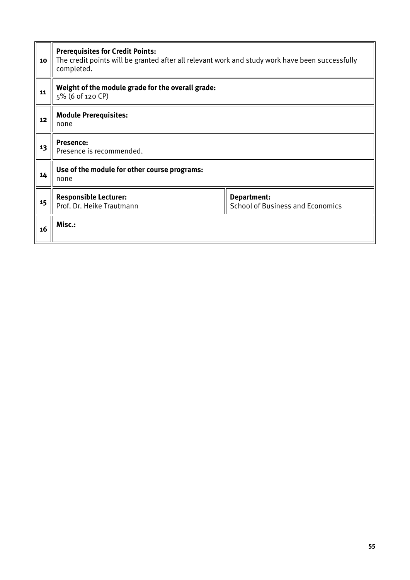| 10 | <b>Prerequisites for Credit Points:</b><br>The credit points will be granted after all relevant work and study work have been successfully<br>completed. |                                                        |  |  |
|----|----------------------------------------------------------------------------------------------------------------------------------------------------------|--------------------------------------------------------|--|--|
| 11 | Weight of the module grade for the overall grade:<br>5% (6 of 120 CP)                                                                                    |                                                        |  |  |
| 12 | <b>Module Prerequisites:</b><br>none                                                                                                                     |                                                        |  |  |
| 13 | <b>Presence:</b><br>Presence is recommended.                                                                                                             |                                                        |  |  |
| 14 | Use of the module for other course programs:<br>none                                                                                                     |                                                        |  |  |
| 15 | <b>Responsible Lecturer:</b><br>Prof. Dr. Heike Trautmann                                                                                                | Department:<br><b>School of Business and Economics</b> |  |  |
| 16 | Misc.:                                                                                                                                                   |                                                        |  |  |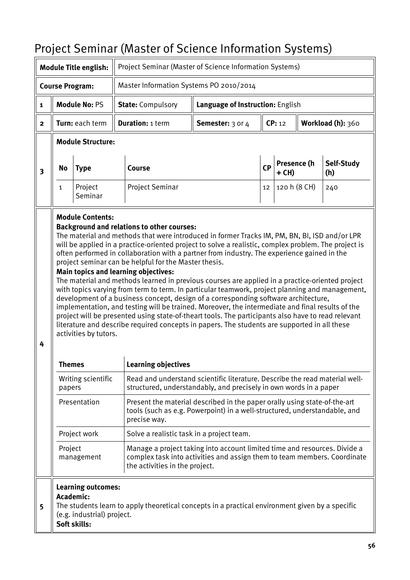# <span id="page-55-0"></span>Project Seminar (Master of Science Information Systems)

| <b>Module Title english:</b> |                                                                                                                                                                                                                                                                                                                                                                                                                                                                                                                                                                                                                                                                                                                                                                                                                                                                                                                                                                                                                                                                                                                              |                                                                               |                                                                                                                                                                                         | Project Seminar (Master of Science Information Systems) |                                                                                                                                                        |    |                             |  |                   |
|------------------------------|------------------------------------------------------------------------------------------------------------------------------------------------------------------------------------------------------------------------------------------------------------------------------------------------------------------------------------------------------------------------------------------------------------------------------------------------------------------------------------------------------------------------------------------------------------------------------------------------------------------------------------------------------------------------------------------------------------------------------------------------------------------------------------------------------------------------------------------------------------------------------------------------------------------------------------------------------------------------------------------------------------------------------------------------------------------------------------------------------------------------------|-------------------------------------------------------------------------------|-----------------------------------------------------------------------------------------------------------------------------------------------------------------------------------------|---------------------------------------------------------|--------------------------------------------------------------------------------------------------------------------------------------------------------|----|-----------------------------|--|-------------------|
| <b>Course Program:</b>       |                                                                                                                                                                                                                                                                                                                                                                                                                                                                                                                                                                                                                                                                                                                                                                                                                                                                                                                                                                                                                                                                                                                              |                                                                               |                                                                                                                                                                                         | Master Information Systems PO 2010/2014                 |                                                                                                                                                        |    |                             |  |                   |
| $\mathbf{1}$                 |                                                                                                                                                                                                                                                                                                                                                                                                                                                                                                                                                                                                                                                                                                                                                                                                                                                                                                                                                                                                                                                                                                                              | <b>Module No: PS</b>                                                          |                                                                                                                                                                                         | <b>State: Compulsory</b>                                | Language of Instruction: English                                                                                                                       |    |                             |  |                   |
| $\mathbf{2}$                 |                                                                                                                                                                                                                                                                                                                                                                                                                                                                                                                                                                                                                                                                                                                                                                                                                                                                                                                                                                                                                                                                                                                              | Turn: each term                                                               |                                                                                                                                                                                         | <b>Duration: 1 term</b>                                 | Semester: 3 or 4                                                                                                                                       |    | Workload (h): 360<br>CP: 12 |  |                   |
|                              |                                                                                                                                                                                                                                                                                                                                                                                                                                                                                                                                                                                                                                                                                                                                                                                                                                                                                                                                                                                                                                                                                                                              | <b>Module Structure:</b>                                                      |                                                                                                                                                                                         |                                                         |                                                                                                                                                        |    |                             |  |                   |
| $\overline{\mathbf{3}}$      | <b>Type</b><br>Course<br>No                                                                                                                                                                                                                                                                                                                                                                                                                                                                                                                                                                                                                                                                                                                                                                                                                                                                                                                                                                                                                                                                                                  |                                                                               |                                                                                                                                                                                         |                                                         |                                                                                                                                                        | CP | Presence (h<br>+ CH)        |  | Self-Study<br>(h) |
|                              | $\mathbf{1}$                                                                                                                                                                                                                                                                                                                                                                                                                                                                                                                                                                                                                                                                                                                                                                                                                                                                                                                                                                                                                                                                                                                 | Project<br>Seminar                                                            |                                                                                                                                                                                         | Project Seminar                                         |                                                                                                                                                        | 12 | 120 h (8 CH)                |  | 240               |
| 4                            | <b>Module Contents:</b><br><b>Background and relations to other courses:</b><br>The material and methods that were introduced in former Tracks IM, PM, BN, BI, ISD and/or LPR<br>will be applied in a practice-oriented project to solve a realistic, complex problem. The project is<br>often performed in collaboration with a partner from industry. The experience gained in the<br>project seminar can be helpful for the Master thesis.<br><b>Main topics and learning objectives:</b><br>The material and methods learned in previous courses are applied in a practice-oriented project<br>with topics varying from term to term. In particular teamwork, project planning and management,<br>development of a business concept, design of a corresponding software architecture,<br>implementation, and testing will be trained. Moreover, the intermediate and final results of the<br>project will be presented using state-of-theart tools. The participants also have to read relevant<br>literature and describe required concepts in papers. The students are supported in all these<br>activities by tutors. |                                                                               |                                                                                                                                                                                         |                                                         |                                                                                                                                                        |    |                             |  |                   |
|                              | <b>Themes</b>                                                                                                                                                                                                                                                                                                                                                                                                                                                                                                                                                                                                                                                                                                                                                                                                                                                                                                                                                                                                                                                                                                                |                                                                               |                                                                                                                                                                                         | <b>Learning objectives</b>                              |                                                                                                                                                        |    |                             |  |                   |
|                              | papers                                                                                                                                                                                                                                                                                                                                                                                                                                                                                                                                                                                                                                                                                                                                                                                                                                                                                                                                                                                                                                                                                                                       | Writing scientific                                                            |                                                                                                                                                                                         |                                                         | Read and understand scientific literature. Describe the read material well-<br>structured, understandably, and precisely in own words in a paper       |    |                             |  |                   |
|                              |                                                                                                                                                                                                                                                                                                                                                                                                                                                                                                                                                                                                                                                                                                                                                                                                                                                                                                                                                                                                                                                                                                                              | Presentation                                                                  |                                                                                                                                                                                         | precise way.                                            | Present the material described in the paper orally using state-of-the-art<br>tools (such as e.g. Powerpoint) in a well-structured, understandable, and |    |                             |  |                   |
|                              |                                                                                                                                                                                                                                                                                                                                                                                                                                                                                                                                                                                                                                                                                                                                                                                                                                                                                                                                                                                                                                                                                                                              | Project work                                                                  |                                                                                                                                                                                         | Solve a realistic task in a project team.               |                                                                                                                                                        |    |                             |  |                   |
|                              | Project                                                                                                                                                                                                                                                                                                                                                                                                                                                                                                                                                                                                                                                                                                                                                                                                                                                                                                                                                                                                                                                                                                                      | management                                                                    | Manage a project taking into account limited time and resources. Divide a<br>complex task into activities and assign them to team members. Coordinate<br>the activities in the project. |                                                         |                                                                                                                                                        |    |                             |  |                   |
| 5                            |                                                                                                                                                                                                                                                                                                                                                                                                                                                                                                                                                                                                                                                                                                                                                                                                                                                                                                                                                                                                                                                                                                                              | Learning outcomes:<br>Academic:<br>(e.g. industrial) project.<br>Soft skills: |                                                                                                                                                                                         |                                                         | The students learn to apply theoretical concepts in a practical environment given by a specific                                                        |    |                             |  |                   |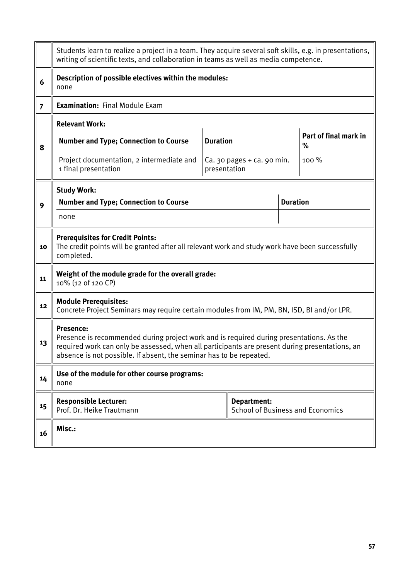|                | Students learn to realize a project in a team. They acquire several soft skills, e.g. in presentations,<br>writing of scientific texts, and collaboration in teams as well as media competence.                                                                                       |              |                                                        |  |       |  |  |
|----------------|---------------------------------------------------------------------------------------------------------------------------------------------------------------------------------------------------------------------------------------------------------------------------------------|--------------|--------------------------------------------------------|--|-------|--|--|
| 6              | Description of possible electives within the modules:<br>none                                                                                                                                                                                                                         |              |                                                        |  |       |  |  |
| $\overline{7}$ | <b>Examination: Final Module Exam</b>                                                                                                                                                                                                                                                 |              |                                                        |  |       |  |  |
|                | <b>Relevant Work:</b>                                                                                                                                                                                                                                                                 |              |                                                        |  |       |  |  |
| 8              | Part of final mark in<br><b>Duration</b><br><b>Number and Type; Connection to Course</b><br>%                                                                                                                                                                                         |              |                                                        |  |       |  |  |
|                | Project documentation, 2 intermediate and<br>1 final presentation                                                                                                                                                                                                                     | presentation | $Ca.$ 30 pages $+$ ca. 90 min.                         |  | 100 % |  |  |
|                | <b>Study Work:</b>                                                                                                                                                                                                                                                                    |              |                                                        |  |       |  |  |
| 9              | <b>Duration</b><br><b>Number and Type; Connection to Course</b>                                                                                                                                                                                                                       |              |                                                        |  |       |  |  |
|                | none                                                                                                                                                                                                                                                                                  |              |                                                        |  |       |  |  |
| 10             | <b>Prerequisites for Credit Points:</b><br>The credit points will be granted after all relevant work and study work have been successfully<br>completed.                                                                                                                              |              |                                                        |  |       |  |  |
| 11             | Weight of the module grade for the overall grade:<br>10% (12 of 120 CP)                                                                                                                                                                                                               |              |                                                        |  |       |  |  |
| 12             | <b>Module Prerequisites:</b><br>Concrete Project Seminars may require certain modules from IM, PM, BN, ISD, BI and/or LPR.                                                                                                                                                            |              |                                                        |  |       |  |  |
| 13             | <b>Presence:</b><br>Presence is recommended during project work and is required during presentations. As the<br>required work can only be assessed, when all participants are present during presentations, an<br>absence is not possible. If absent, the seminar has to be repeated. |              |                                                        |  |       |  |  |
| 14             | Use of the module for other course programs:<br>none                                                                                                                                                                                                                                  |              |                                                        |  |       |  |  |
| 15             | <b>Responsible Lecturer:</b><br>Prof. Dr. Heike Trautmann                                                                                                                                                                                                                             |              | Department:<br><b>School of Business and Economics</b> |  |       |  |  |
| 16             | Misc.:                                                                                                                                                                                                                                                                                |              |                                                        |  |       |  |  |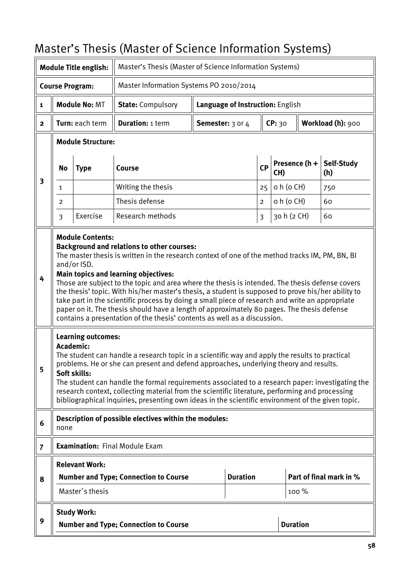# <span id="page-57-0"></span>Master's Thesis (Master of Science Information Systems)

| <b>Module Title english:</b>                                      |                                                                                                                                                                                                                                                                                                                                                                                                                                                                                                                                                                                                                                                                                                                                                                                                                                                                                                                                                                          |                          | Master's Thesis (Master of Science Information Systems)                                                                                                                                                                                                                                                  |                                  |                 |           |                             |       |                         |
|-------------------------------------------------------------------|--------------------------------------------------------------------------------------------------------------------------------------------------------------------------------------------------------------------------------------------------------------------------------------------------------------------------------------------------------------------------------------------------------------------------------------------------------------------------------------------------------------------------------------------------------------------------------------------------------------------------------------------------------------------------------------------------------------------------------------------------------------------------------------------------------------------------------------------------------------------------------------------------------------------------------------------------------------------------|--------------------------|----------------------------------------------------------------------------------------------------------------------------------------------------------------------------------------------------------------------------------------------------------------------------------------------------------|----------------------------------|-----------------|-----------|-----------------------------|-------|-------------------------|
| Master Information Systems PO 2010/2014<br><b>Course Program:</b> |                                                                                                                                                                                                                                                                                                                                                                                                                                                                                                                                                                                                                                                                                                                                                                                                                                                                                                                                                                          |                          |                                                                                                                                                                                                                                                                                                          |                                  |                 |           |                             |       |                         |
| $\mathbf{1}$                                                      |                                                                                                                                                                                                                                                                                                                                                                                                                                                                                                                                                                                                                                                                                                                                                                                                                                                                                                                                                                          | <b>Module No: MT</b>     | <b>State: Compulsory</b>                                                                                                                                                                                                                                                                                 | Language of Instruction: English |                 |           |                             |       |                         |
| $\overline{2}$                                                    |                                                                                                                                                                                                                                                                                                                                                                                                                                                                                                                                                                                                                                                                                                                                                                                                                                                                                                                                                                          | Turn: each term          | <b>Duration: 1 term</b>                                                                                                                                                                                                                                                                                  | Semester: 3 or 4                 |                 |           | CP: 30<br>Workload (h): 900 |       |                         |
|                                                                   |                                                                                                                                                                                                                                                                                                                                                                                                                                                                                                                                                                                                                                                                                                                                                                                                                                                                                                                                                                          | <b>Module Structure:</b> |                                                                                                                                                                                                                                                                                                          |                                  |                 |           |                             |       |                         |
|                                                                   | <b>No</b>                                                                                                                                                                                                                                                                                                                                                                                                                                                                                                                                                                                                                                                                                                                                                                                                                                                                                                                                                                | <b>Type</b>              | <b>Course</b>                                                                                                                                                                                                                                                                                            |                                  |                 | <b>CP</b> | Presence (h +<br>CH)        |       | Self-Study<br>(h)       |
| 3                                                                 | $\mathbf{1}$                                                                                                                                                                                                                                                                                                                                                                                                                                                                                                                                                                                                                                                                                                                                                                                                                                                                                                                                                             |                          | Writing the thesis                                                                                                                                                                                                                                                                                       |                                  |                 | 25        | o h (o CH)                  |       | 750                     |
|                                                                   | 2                                                                                                                                                                                                                                                                                                                                                                                                                                                                                                                                                                                                                                                                                                                                                                                                                                                                                                                                                                        |                          | Thesis defense                                                                                                                                                                                                                                                                                           |                                  |                 | 2         | o h (o CH)                  |       | 60                      |
|                                                                   | $\overline{3}$                                                                                                                                                                                                                                                                                                                                                                                                                                                                                                                                                                                                                                                                                                                                                                                                                                                                                                                                                           | Exercise                 | Research methods                                                                                                                                                                                                                                                                                         |                                  |                 | 3         | 30 h (2 CH)                 |       | 60                      |
| 4<br>5                                                            | <b>Module Contents:</b><br><b>Background and relations to other courses:</b><br>The master thesis is written in the research context of one of the method tracks IM, PM, BN, BI<br>and/or ISD.<br>Main topics and learning objectives:<br>Those are subject to the topic and area where the thesis is intended. The thesis defense covers<br>the thesis' topic. With his/her master's thesis, a student is supposed to prove his/her ability to<br>take part in the scientific process by doing a small piece of research and write an appropriate<br>paper on it. The thesis should have a length of approximately 80 pages. The thesis defense<br>contains a presentation of the thesis' contents as well as a discussion.<br><b>Learning outcomes:</b><br><b>Academic:</b><br>The student can handle a research topic in a scientific way and apply the results to practical<br>problems. He or she can present and defend approaches, underlying theory and results. |                          |                                                                                                                                                                                                                                                                                                          |                                  |                 |           |                             |       |                         |
|                                                                   |                                                                                                                                                                                                                                                                                                                                                                                                                                                                                                                                                                                                                                                                                                                                                                                                                                                                                                                                                                          |                          | The student can handle the formal requirements associated to a research paper: investigating the<br>research context, collecting material from the scientific literature, performing and processing<br>bibliographical inquiries, presenting own ideas in the scientific environment of the given topic. |                                  |                 |           |                             |       |                         |
| 6                                                                 | none                                                                                                                                                                                                                                                                                                                                                                                                                                                                                                                                                                                                                                                                                                                                                                                                                                                                                                                                                                     |                          | Description of possible electives within the modules:                                                                                                                                                                                                                                                    |                                  |                 |           |                             |       |                         |
| $\overline{7}$                                                    |                                                                                                                                                                                                                                                                                                                                                                                                                                                                                                                                                                                                                                                                                                                                                                                                                                                                                                                                                                          |                          | <b>Examination: Final Module Exam</b>                                                                                                                                                                                                                                                                    |                                  |                 |           |                             |       |                         |
|                                                                   |                                                                                                                                                                                                                                                                                                                                                                                                                                                                                                                                                                                                                                                                                                                                                                                                                                                                                                                                                                          | <b>Relevant Work:</b>    |                                                                                                                                                                                                                                                                                                          |                                  |                 |           |                             |       |                         |
| 8                                                                 |                                                                                                                                                                                                                                                                                                                                                                                                                                                                                                                                                                                                                                                                                                                                                                                                                                                                                                                                                                          |                          | <b>Number and Type; Connection to Course</b>                                                                                                                                                                                                                                                             |                                  | <b>Duration</b> |           |                             |       | Part of final mark in % |
|                                                                   |                                                                                                                                                                                                                                                                                                                                                                                                                                                                                                                                                                                                                                                                                                                                                                                                                                                                                                                                                                          | Master's thesis          |                                                                                                                                                                                                                                                                                                          |                                  |                 |           |                             | 100 % |                         |
|                                                                   |                                                                                                                                                                                                                                                                                                                                                                                                                                                                                                                                                                                                                                                                                                                                                                                                                                                                                                                                                                          | <b>Study Work:</b>       |                                                                                                                                                                                                                                                                                                          |                                  |                 |           |                             |       |                         |
| 9                                                                 | <b>Duration</b><br><b>Number and Type; Connection to Course</b>                                                                                                                                                                                                                                                                                                                                                                                                                                                                                                                                                                                                                                                                                                                                                                                                                                                                                                          |                          |                                                                                                                                                                                                                                                                                                          |                                  |                 |           |                             |       |                         |